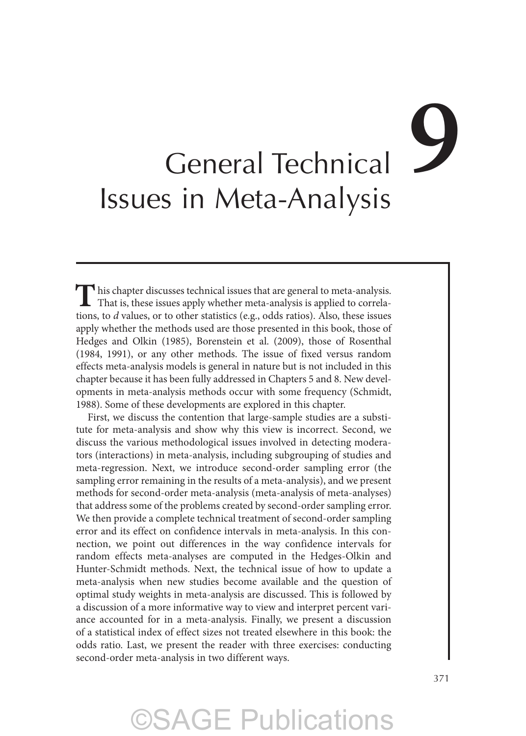# General Technical **9** Issues in Meta-Analysis

That is, these issues technical issues that are general to meta-analysis.<br>That is, these issues apply whether meta-analysis is applied to correla-<br>tions to develop on the then triting (e.g. addantia). Also these issues tions, to *d* values, or to other statistics (e.g., odds ratios). Also, these issues apply whether the methods used are those presented in this book, those of Hedges and Olkin (1985), Borenstein et al. (2009), those of Rosenthal (1984, 1991), or any other methods. The issue of fixed versus random effects meta-analysis models is general in nature but is not included in this chapter because it has been fully addressed in Chapters 5 and 8. New developments in meta-analysis methods occur with some frequency (Schmidt, 1988). Some of these developments are explored in this chapter.

First, we discuss the contention that large-sample studies are a substitute for meta-analysis and show why this view is incorrect. Second, we discuss the various methodological issues involved in detecting moderators (interactions) in meta-analysis, including subgrouping of studies and meta-regression. Next, we introduce second-order sampling error (the sampling error remaining in the results of a meta-analysis), and we present methods for second-order meta-analysis (meta-analysis of meta-analyses) that address some of the problems created by second-order sampling error. We then provide a complete technical treatment of second-order sampling error and its effect on confidence intervals in meta-analysis. In this connection, we point out differences in the way confidence intervals for random effects meta-analyses are computed in the Hedges-Olkin and Hunter-Schmidt methods. Next, the technical issue of how to update a meta-analysis when new studies become available and the question of optimal study weights in meta-analysis are discussed. This is followed by a discussion of a more informative way to view and interpret percent variance accounted for in a meta-analysis. Finally, we present a discussion of a statistical index of effect sizes not treated elsewhere in this book: the odds ratio. Last, we present the reader with three exercises: conducting second-order meta-analysis in two different ways.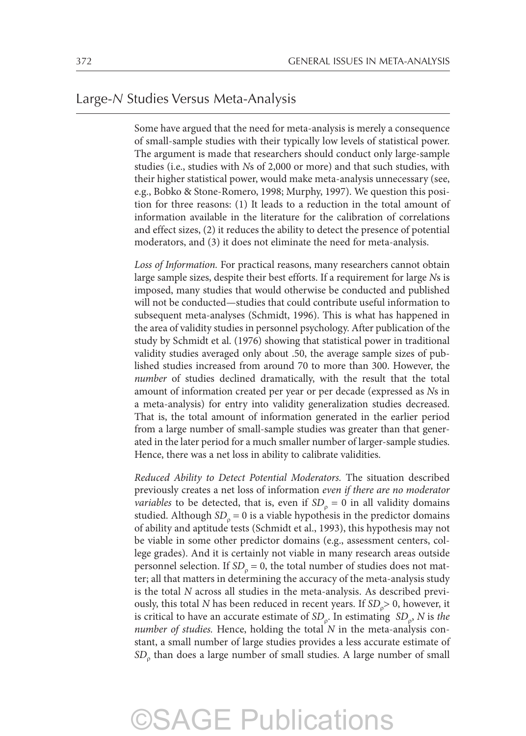#### Large-*N* Studies Versus Meta-Analysis

Some have argued that the need for meta-analysis is merely a consequence of small-sample studies with their typically low levels of statistical power. The argument is made that researchers should conduct only large-sample studies (i.e., studies with *N*s of 2,000 or more) and that such studies, with their higher statistical power, would make meta-analysis unnecessary (see, e.g., Bobko & Stone-Romero, 1998; Murphy, 1997). We question this position for three reasons: (1) It leads to a reduction in the total amount of information available in the literature for the calibration of correlations and effect sizes, (2) it reduces the ability to detect the presence of potential moderators, and (3) it does not eliminate the need for meta-analysis.

*Loss of Information.* For practical reasons, many researchers cannot obtain large sample sizes, despite their best efforts. If a requirement for large *N*s is imposed, many studies that would otherwise be conducted and published will not be conducted—studies that could contribute useful information to subsequent meta-analyses (Schmidt, 1996). This is what has happened in the area of validity studies in personnel psychology. After publication of the study by Schmidt et al. (1976) showing that statistical power in traditional validity studies averaged only about .50, the average sample sizes of published studies increased from around 70 to more than 300. However, the *number* of studies declined dramatically, with the result that the total amount of information created per year or per decade (expressed as *N*s in a meta-analysis) for entry into validity generalization studies decreased. That is, the total amount of information generated in the earlier period from a large number of small-sample studies was greater than that generated in the later period for a much smaller number of larger-sample studies. Hence, there was a net loss in ability to calibrate validities.

*Reduced Ability to Detect Potential Moderators.* The situation described previously creates a net loss of information *even if there are no moderator variables* to be detected, that is, even if  $SD_0 = 0$  in all validity domains studied. Although  $SD_0 = 0$  is a viable hypothesis in the predictor domains of ability and aptitude tests (Schmidt et al., 1993), this hypothesis may not be viable in some other predictor domains (e.g., assessment centers, college grades). And it is certainly not viable in many research areas outside personnel selection. If  $SD_0 = 0$ , the total number of studies does not matter; all that matters in determining the accuracy of the meta-analysis study is the total *N* across all studies in the meta-analysis. As described previously, this total *N* has been reduced in recent years. If *SD*<sub>0</sub> > 0, however, it is critical to have an accurate estimate of *SD*ρ. In estimating *SD*ρ, *N* is *the number of studies.* Hence, holding the total *N* in the meta-analysis constant, a small number of large studies provides a less accurate estimate of *SD*ρ than does a large number of small studies. A large number of small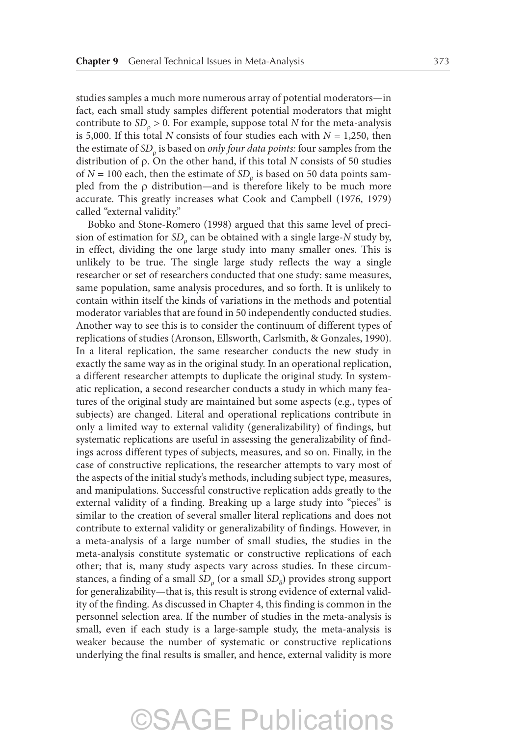studies samples a much more numerous array of potential moderators—in fact, each small study samples different potential moderators that might contribute to  $SD_0 > 0$ . For example, suppose total *N* for the meta-analysis is 5,000. If this total *N* consists of four studies each with *N =* 1,250, then the estimate of *SD*<sub>0</sub> is based on *only four data points*: four samples from the distribution of ρ. On the other hand, if this total *N* consists of 50 studies of  $N = 100$  each, then the estimate of  $SD<sub>o</sub>$  is based on 50 data points sampled from the  $\rho$  distribution—and is therefore likely to be much more accurate. This greatly increases what Cook and Campbell (1976, 1979) called "external validity."

Bobko and Stone-Romero (1998) argued that this same level of precision of estimation for *SD*<sub>0</sub> can be obtained with a single large-*N* study by, in effect, dividing the one large study into many smaller ones. This is unlikely to be true. The single large study reflects the way a single researcher or set of researchers conducted that one study: same measures, same population, same analysis procedures, and so forth. It is unlikely to contain within itself the kinds of variations in the methods and potential moderator variables that are found in 50 independently conducted studies. Another way to see this is to consider the continuum of different types of replications of studies (Aronson, Ellsworth, Carlsmith, & Gonzales, 1990). In a literal replication, the same researcher conducts the new study in exactly the same way as in the original study. In an operational replication, a different researcher attempts to duplicate the original study. In systematic replication, a second researcher conducts a study in which many features of the original study are maintained but some aspects (e.g., types of subjects) are changed. Literal and operational replications contribute in only a limited way to external validity (generalizability) of findings, but systematic replications are useful in assessing the generalizability of findings across different types of subjects, measures, and so on. Finally, in the case of constructive replications, the researcher attempts to vary most of the aspects of the initial study's methods, including subject type, measures, and manipulations. Successful constructive replication adds greatly to the external validity of a finding. Breaking up a large study into "pieces" is similar to the creation of several smaller literal replications and does not contribute to external validity or generalizability of findings. However, in a meta-analysis of a large number of small studies, the studies in the meta-analysis constitute systematic or constructive replications of each other; that is, many study aspects vary across studies. In these circumstances, a finding of a small  $SD<sub>o</sub>$  (or a small  $SD<sub>o</sub>$ ) provides strong support for generalizability—that is, this result is strong evidence of external validity of the finding. As discussed in Chapter 4, this finding is common in the personnel selection area. If the number of studies in the meta-analysis is small, even if each study is a large-sample study, the meta-analysis is weaker because the number of systematic or constructive replications underlying the final results is smaller, and hence, external validity is more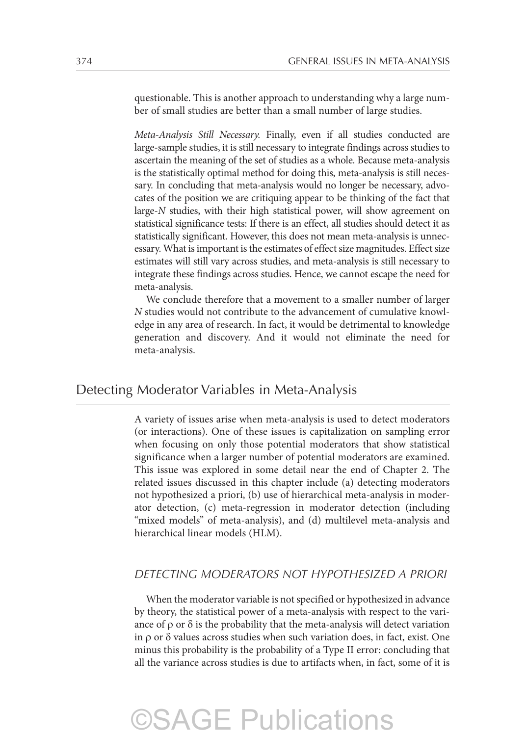questionable. This is another approach to understanding why a large number of small studies are better than a small number of large studies.

*Meta-Analysis Still Necessary.* Finally, even if all studies conducted are large-sample studies, it is still necessary to integrate findings across studies to ascertain the meaning of the set of studies as a whole. Because meta-analysis is the statistically optimal method for doing this, meta-analysis is still necessary. In concluding that meta-analysis would no longer be necessary, advocates of the position we are critiquing appear to be thinking of the fact that large-*N* studies, with their high statistical power, will show agreement on statistical significance tests: If there is an effect, all studies should detect it as statistically significant. However, this does not mean meta-analysis is unnecessary. What is important is the estimates of effect size magnitudes. Effect size estimates will still vary across studies, and meta-analysis is still necessary to integrate these findings across studies. Hence, we cannot escape the need for meta-analysis.

We conclude therefore that a movement to a smaller number of larger *N* studies would not contribute to the advancement of cumulative knowledge in any area of research. In fact, it would be detrimental to knowledge generation and discovery. And it would not eliminate the need for meta-analysis.

#### Detecting Moderator Variables in Meta-Analysis

A variety of issues arise when meta-analysis is used to detect moderators (or interactions). One of these issues is capitalization on sampling error when focusing on only those potential moderators that show statistical significance when a larger number of potential moderators are examined. This issue was explored in some detail near the end of Chapter 2. The related issues discussed in this chapter include (a) detecting moderators not hypothesized a priori, (b) use of hierarchical meta-analysis in moderator detection, (c) meta-regression in moderator detection (including "mixed models" of meta-analysis), and (d) multilevel meta-analysis and hierarchical linear models (HLM).

#### *DETECTING MODERATORS NOT HYPOTHESIZED A PRIORI*

When the moderator variable is not specified or hypothesized in advance by theory, the statistical power of a meta-analysis with respect to the variance of  $\rho$  or  $\delta$  is the probability that the meta-analysis will detect variation in  $\rho$  or  $\delta$  values across studies when such variation does, in fact, exist. One minus this probability is the probability of a Type II error: concluding that all the variance across studies is due to artifacts when, in fact, some of it is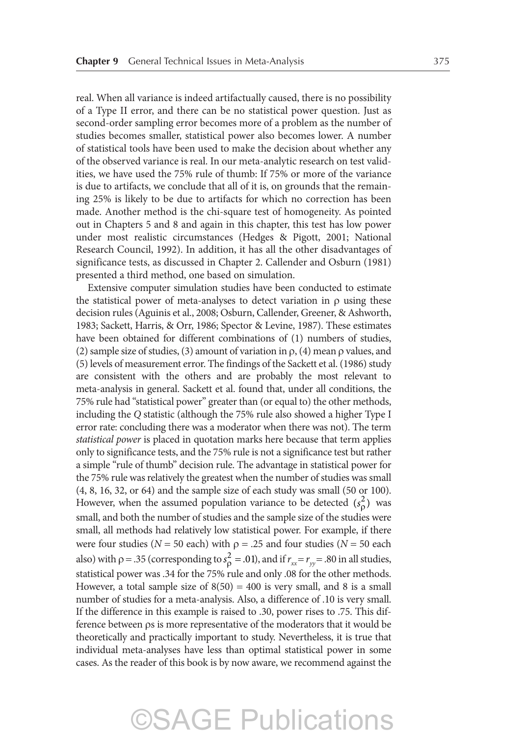real. When all variance is indeed artifactually caused, there is no possibility of a Type II error, and there can be no statistical power question. Just as second-order sampling error becomes more of a problem as the number of studies becomes smaller, statistical power also becomes lower. A number of statistical tools have been used to make the decision about whether any of the observed variance is real. In our meta-analytic research on test validities, we have used the 75% rule of thumb: If 75% or more of the variance is due to artifacts, we conclude that all of it is, on grounds that the remaining 25% is likely to be due to artifacts for which no correction has been made. Another method is the chi-square test of homogeneity. As pointed out in Chapters 5 and 8 and again in this chapter, this test has low power under most realistic circumstances (Hedges & Pigott, 2001; National Research Council, 1992). In addition, it has all the other disadvantages of significance tests, as discussed in Chapter 2. Callender and Osburn (1981) presented a third method, one based on simulation.

Extensive computer simulation studies have been conducted to estimate the statistical power of meta-analyses to detect variation in  $\rho$  using these decision rules (Aguinis et al., 2008; Osburn, Callender, Greener, & Ashworth, 1983; Sackett, Harris, & Orr, 1986; Spector & Levine, 1987). These estimates have been obtained for different combinations of (1) numbers of studies, (2) sample size of studies, (3) amount of variation in  $\rho$ , (4) mean  $\rho$  values, and (5) levels of measurement error. The findings of the Sackett et al. (1986) study are consistent with the others and are probably the most relevant to meta-analysis in general. Sackett et al. found that, under all conditions, the 75% rule had "statistical power" greater than (or equal to) the other methods, including the *Q* statistic (although the 75% rule also showed a higher Type I error rate: concluding there was a moderator when there was not). The term *statistical power* is placed in quotation marks here because that term applies only to significance tests, and the 75% rule is not a significance test but rather a simple "rule of thumb" decision rule. The advantage in statistical power for the 75% rule was relatively the greatest when the number of studies was small (4, 8, 16, 32, or 64) and the sample size of each study was small (50 or 100). However, when the assumed population variance to be detected  $(s_p^2)$  was small, and both the number of studies and the sample size of the studies were small, all methods had relatively low statistical power. For example, if there were four studies ( $N = 50$  each) with  $\rho = .25$  and four studies ( $N = 50$  each also) with  $\rho = 0.35$  (corresponding to  $s_0^2 = 0.01$ ), and if  $r_{xx} = r_{yy} = 0.80$  in all studies, statistical power was .34 for the 75% rule and only .08 for the other methods. However, a total sample size of  $8(50) = 400$  is very small, and 8 is a small number of studies for a meta-analysis. Also, a difference of .10 is very small. If the difference in this example is raised to .30, power rises to .75. This difference between ρs is more representative of the moderators that it would be theoretically and practically important to study. Nevertheless, it is true that individual meta-analyses have less than optimal statistical power in some cases. As the reader of this book is by now aware, we recommend against the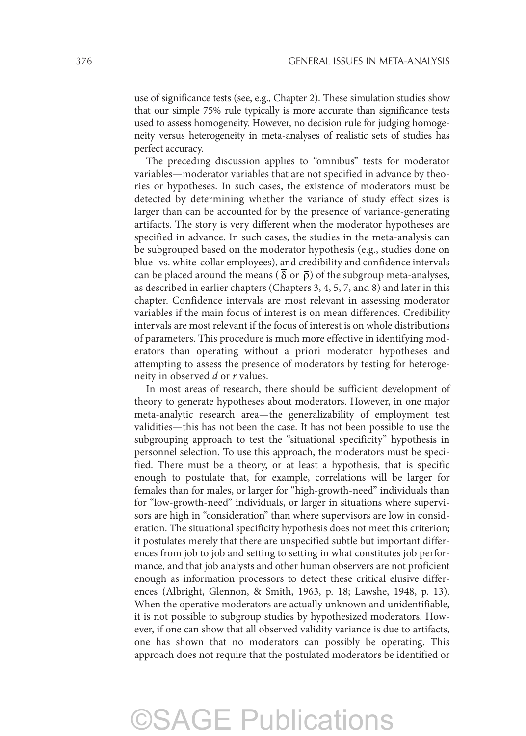use of significance tests (see, e.g., Chapter 2). These simulation studies show that our simple 75% rule typically is more accurate than significance tests used to assess homogeneity. However, no decision rule for judging homogeneity versus heterogeneity in meta-analyses of realistic sets of studies has perfect accuracy.

The preceding discussion applies to "omnibus" tests for moderator variables—moderator variables that are not specified in advance by theories or hypotheses. In such cases, the existence of moderators must be detected by determining whether the variance of study effect sizes is larger than can be accounted for by the presence of variance-generating artifacts. The story is very different when the moderator hypotheses are specified in advance. In such cases, the studies in the meta-analysis can be subgrouped based on the moderator hypothesis (e.g., studies done on blue- vs. white-collar employees), and credibility and confidence intervals can be placed around the means ( $\delta$  or  $\bar{\rho}$ ) of the subgroup meta-analyses, as described in earlier chapters (Chapters 3, 4, 5, 7, and 8) and later in this chapter. Confidence intervals are most relevant in assessing moderator variables if the main focus of interest is on mean differences. Credibility intervals are most relevant if the focus of interest is on whole distributions of parameters. This procedure is much more effective in identifying moderators than operating without a priori moderator hypotheses and attempting to assess the presence of moderators by testing for heterogeneity in observed *d* or *r* values.

In most areas of research, there should be sufficient development of theory to generate hypotheses about moderators. However, in one major meta-analytic research area—the generalizability of employment test validities—this has not been the case. It has not been possible to use the subgrouping approach to test the "situational specificity" hypothesis in personnel selection. To use this approach, the moderators must be specified. There must be a theory, or at least a hypothesis, that is specific enough to postulate that, for example, correlations will be larger for females than for males, or larger for "high-growth-need" individuals than for "low-growth-need" individuals, or larger in situations where supervisors are high in "consideration" than where supervisors are low in consideration. The situational specificity hypothesis does not meet this criterion; it postulates merely that there are unspecified subtle but important differences from job to job and setting to setting in what constitutes job performance, and that job analysts and other human observers are not proficient enough as information processors to detect these critical elusive differences (Albright, Glennon, & Smith, 1963, p. 18; Lawshe, 1948, p. 13). When the operative moderators are actually unknown and unidentifiable, it is not possible to subgroup studies by hypothesized moderators. However, if one can show that all observed validity variance is due to artifacts, one has shown that no moderators can possibly be operating. This approach does not require that the postulated moderators be identified or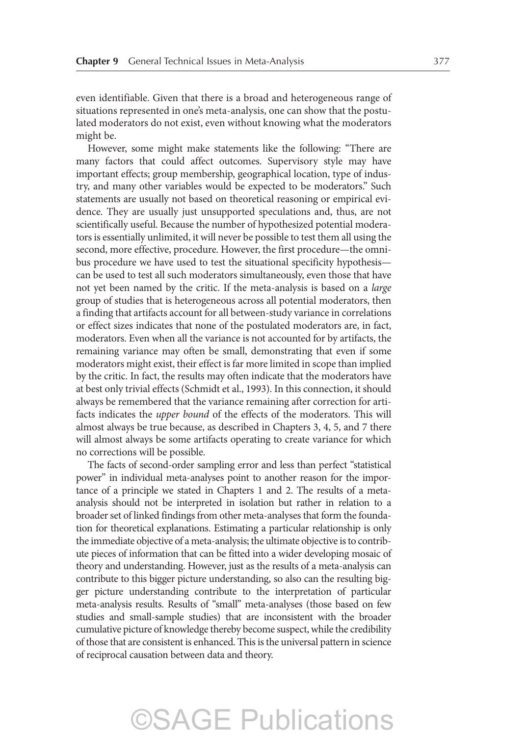even identifiable. Given that there is a broad and heterogeneous range of situations represented in one's meta-analysis, one can show that the postulated moderators do not exist, even without knowing what the moderators might be.

However, some might make statements like the following: "There are many factors that could affect outcomes. Supervisory style may have important effects; group membership, geographical location, type of industry, and many other variables would be expected to be moderators." Such statements are usually not based on theoretical reasoning or empirical evidence. They are usually just unsupported speculations and, thus, are not scientifically useful. Because the number of hypothesized potential moderators is essentially unlimited, it will never be possible to test them all using the second, more effective, procedure. However, the first procedure—the omnibus procedure we have used to test the situational specificity hypothesis can be used to test all such moderators simultaneously, even those that have not yet been named by the critic. If the meta-analysis is based on a *large* group of studies that is heterogeneous across all potential moderators, then a finding that artifacts account for all between-study variance in correlations or effect sizes indicates that none of the postulated moderators are, in fact, moderators. Even when all the variance is not accounted for by artifacts, the remaining variance may often be small, demonstrating that even if some moderators might exist, their effect is far more limited in scope than implied by the critic. In fact, the results may often indicate that the moderators have at best only trivial effects (Schmidt et al., 1993). In this connection, it should always be remembered that the variance remaining after correction for artifacts indicates the *upper bound* of the effects of the moderators. This will almost always be true because, as described in Chapters 3, 4, 5, and 7 there will almost always be some artifacts operating to create variance for which no corrections will be possible.

The facts of second-order sampling error and less than perfect "statistical power" in individual meta-analyses point to another reason for the importance of a principle we stated in Chapters 1 and 2. The results of a metaanalysis should not be interpreted in isolation but rather in relation to a broader set of linked findings from other meta-analyses that form the foundation for theoretical explanations. Estimating a particular relationship is only the immediate objective of a meta-analysis; the ultimate objective is to contribute pieces of information that can be fitted into a wider developing mosaic of theory and understanding. However, just as the results of a meta-analysis can contribute to this bigger picture understanding, so also can the resulting bigger picture understanding contribute to the interpretation of particular meta-analysis results. Results of "small" meta-analyses (those based on few studies and small-sample studies) that are inconsistent with the broader cumulative picture of knowledge thereby become suspect, while the credibility of those that are consistent is enhanced. This is the universal pattern in science of reciprocal causation between data and theory.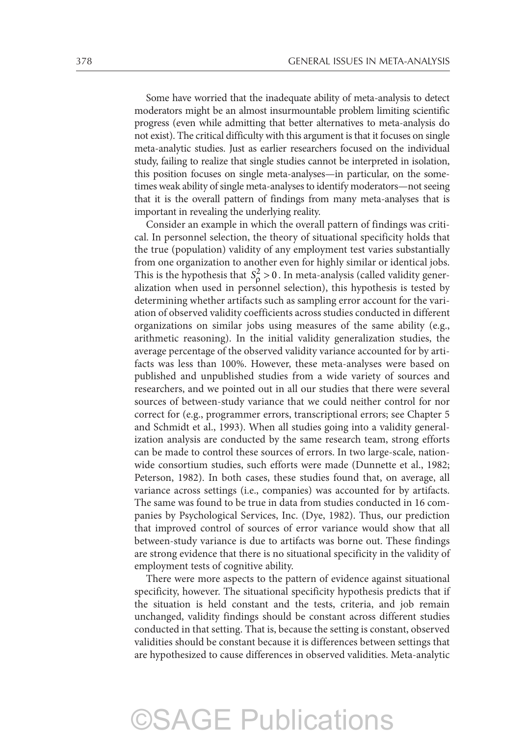Some have worried that the inadequate ability of meta-analysis to detect moderators might be an almost insurmountable problem limiting scientific progress (even while admitting that better alternatives to meta-analysis do not exist). The critical difficulty with this argument is that it focuses on single meta-analytic studies. Just as earlier researchers focused on the individual study, failing to realize that single studies cannot be interpreted in isolation, this position focuses on single meta-analyses—in particular, on the sometimes weak ability of single meta-analyses to identify moderators—not seeing that it is the overall pattern of findings from many meta-analyses that is important in revealing the underlying reality.

Consider an example in which the overall pattern of findings was critical. In personnel selection, the theory of situational specificity holds that the true (population) validity of any employment test varies substantially from one organization to another even for highly similar or identical jobs. This is the hypothesis that  $S_p^2 > 0$ . In meta-analysis (called validity generalization when used in personnel selection), this hypothesis is tested by determining whether artifacts such as sampling error account for the variation of observed validity coefficients across studies conducted in different organizations on similar jobs using measures of the same ability (e.g., arithmetic reasoning). In the initial validity generalization studies, the average percentage of the observed validity variance accounted for by artifacts was less than 100%. However, these meta-analyses were based on published and unpublished studies from a wide variety of sources and researchers, and we pointed out in all our studies that there were several sources of between-study variance that we could neither control for nor correct for (e.g., programmer errors, transcriptional errors; see Chapter 5 and Schmidt et al., 1993). When all studies going into a validity generalization analysis are conducted by the same research team, strong efforts can be made to control these sources of errors. In two large-scale, nationwide consortium studies, such efforts were made (Dunnette et al., 1982; Peterson, 1982). In both cases, these studies found that, on average, all variance across settings (i.e., companies) was accounted for by artifacts. The same was found to be true in data from studies conducted in 16 companies by Psychological Services, Inc. (Dye, 1982). Thus, our prediction that improved control of sources of error variance would show that all between-study variance is due to artifacts was borne out. These findings are strong evidence that there is no situational specificity in the validity of employment tests of cognitive ability.

There were more aspects to the pattern of evidence against situational specificity, however. The situational specificity hypothesis predicts that if the situation is held constant and the tests, criteria, and job remain unchanged, validity findings should be constant across different studies conducted in that setting. That is, because the setting is constant, observed validities should be constant because it is differences between settings that are hypothesized to cause differences in observed validities. Meta-analytic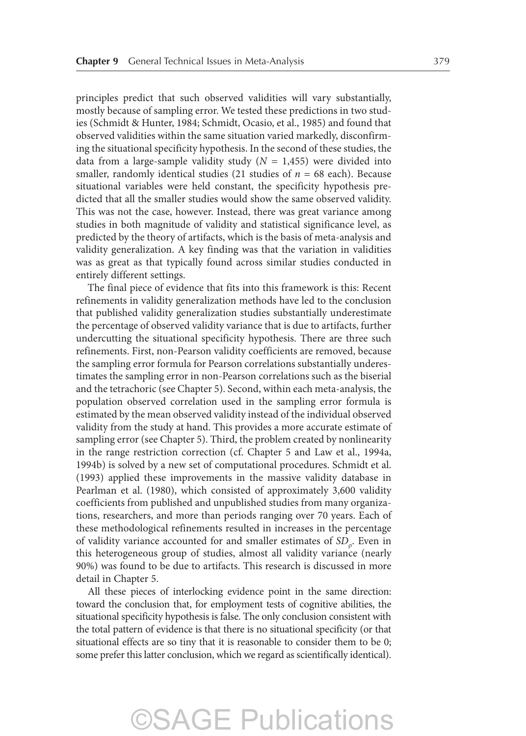principles predict that such observed validities will vary substantially, mostly because of sampling error. We tested these predictions in two studies (Schmidt & Hunter, 1984; Schmidt, Ocasio, et al., 1985) and found that observed validities within the same situation varied markedly, disconfirming the situational specificity hypothesis. In the second of these studies, the data from a large-sample validity study (*N =* 1,455) were divided into smaller, randomly identical studies  $(21 \text{ studies of } n = 68 \text{ each})$ . Because situational variables were held constant, the specificity hypothesis predicted that all the smaller studies would show the same observed validity. This was not the case, however. Instead, there was great variance among studies in both magnitude of validity and statistical significance level, as predicted by the theory of artifacts, which is the basis of meta-analysis and validity generalization. A key finding was that the variation in validities was as great as that typically found across similar studies conducted in entirely different settings.

The final piece of evidence that fits into this framework is this: Recent refinements in validity generalization methods have led to the conclusion that published validity generalization studies substantially underestimate the percentage of observed validity variance that is due to artifacts, further undercutting the situational specificity hypothesis. There are three such refinements. First, non-Pearson validity coefficients are removed, because the sampling error formula for Pearson correlations substantially underestimates the sampling error in non-Pearson correlations such as the biserial and the tetrachoric (see Chapter 5). Second, within each meta-analysis, the population observed correlation used in the sampling error formula is estimated by the mean observed validity instead of the individual observed validity from the study at hand. This provides a more accurate estimate of sampling error (see Chapter 5). Third, the problem created by nonlinearity in the range restriction correction (cf. Chapter 5 and Law et al., 1994a, 1994b) is solved by a new set of computational procedures. Schmidt et al. (1993) applied these improvements in the massive validity database in Pearlman et al. (1980), which consisted of approximately 3,600 validity coefficients from published and unpublished studies from many organizations, researchers, and more than periods ranging over 70 years. Each of these methodological refinements resulted in increases in the percentage of validity variance accounted for and smaller estimates of *SD<sub>p</sub>*. Even in this heterogeneous group of studies, almost all validity variance (nearly 90%) was found to be due to artifacts. This research is discussed in more detail in Chapter 5.

All these pieces of interlocking evidence point in the same direction: toward the conclusion that, for employment tests of cognitive abilities, the situational specificity hypothesis is false. The only conclusion consistent with the total pattern of evidence is that there is no situational specificity (or that situational effects are so tiny that it is reasonable to consider them to be 0; some prefer this latter conclusion, which we regard as scientifically identical).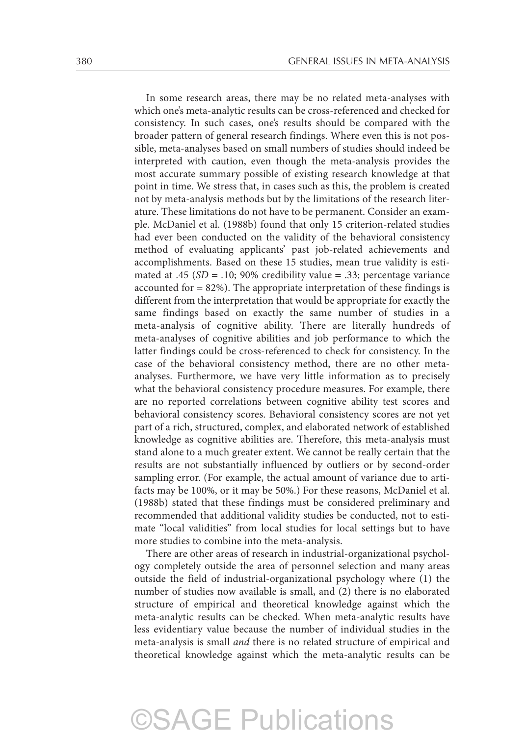In some research areas, there may be no related meta-analyses with which one's meta-analytic results can be cross-referenced and checked for consistency. In such cases, one's results should be compared with the broader pattern of general research findings. Where even this is not possible, meta-analyses based on small numbers of studies should indeed be interpreted with caution, even though the meta-analysis provides the most accurate summary possible of existing research knowledge at that point in time. We stress that, in cases such as this, the problem is created not by meta-analysis methods but by the limitations of the research literature. These limitations do not have to be permanent. Consider an example. McDaniel et al. (1988b) found that only 15 criterion-related studies had ever been conducted on the validity of the behavioral consistency method of evaluating applicants' past job-related achievements and accomplishments. Based on these 15 studies, mean true validity is estimated at .45 (*SD* = *.*10; 90% credibility value = .33; percentage variance accounted for = 82%). The appropriate interpretation of these findings is different from the interpretation that would be appropriate for exactly the same findings based on exactly the same number of studies in a meta-analysis of cognitive ability. There are literally hundreds of meta-analyses of cognitive abilities and job performance to which the latter findings could be cross-referenced to check for consistency. In the case of the behavioral consistency method, there are no other metaanalyses. Furthermore, we have very little information as to precisely what the behavioral consistency procedure measures. For example, there are no reported correlations between cognitive ability test scores and behavioral consistency scores. Behavioral consistency scores are not yet part of a rich, structured, complex, and elaborated network of established knowledge as cognitive abilities are. Therefore, this meta-analysis must stand alone to a much greater extent. We cannot be really certain that the results are not substantially influenced by outliers or by second-order sampling error. (For example, the actual amount of variance due to artifacts may be 100%, or it may be 50%.) For these reasons, McDaniel et al. (1988b) stated that these findings must be considered preliminary and recommended that additional validity studies be conducted, not to estimate "local validities" from local studies for local settings but to have more studies to combine into the meta-analysis.

There are other areas of research in industrial-organizational psychology completely outside the area of personnel selection and many areas outside the field of industrial-organizational psychology where (1) the number of studies now available is small, and (2) there is no elaborated structure of empirical and theoretical knowledge against which the meta-analytic results can be checked. When meta-analytic results have less evidentiary value because the number of individual studies in the meta-analysis is small *and* there is no related structure of empirical and theoretical knowledge against which the meta-analytic results can be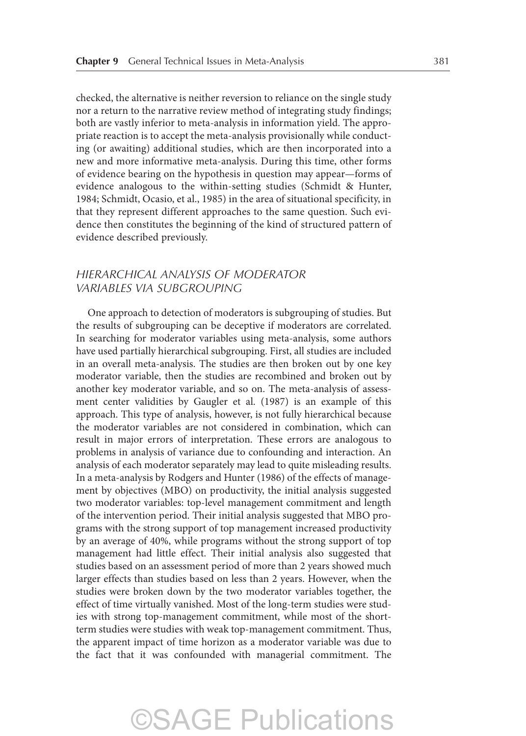checked, the alternative is neither reversion to reliance on the single study nor a return to the narrative review method of integrating study findings; both are vastly inferior to meta-analysis in information yield. The appropriate reaction is to accept the meta-analysis provisionally while conducting (or awaiting) additional studies, which are then incorporated into a new and more informative meta-analysis. During this time, other forms of evidence bearing on the hypothesis in question may appear—forms of evidence analogous to the within-setting studies (Schmidt & Hunter, 1984; Schmidt, Ocasio, et al., 1985) in the area of situational specificity, in that they represent different approaches to the same question. Such evidence then constitutes the beginning of the kind of structured pattern of evidence described previously.

#### *HIERARCHICAL ANALYSIS OF MODERATOR VARIABLES VIA SUBGROUPING*

One approach to detection of moderators is subgrouping of studies. But the results of subgrouping can be deceptive if moderators are correlated. In searching for moderator variables using meta-analysis, some authors have used partially hierarchical subgrouping. First, all studies are included in an overall meta-analysis. The studies are then broken out by one key moderator variable, then the studies are recombined and broken out by another key moderator variable, and so on. The meta-analysis of assessment center validities by Gaugler et al. (1987) is an example of this approach. This type of analysis, however, is not fully hierarchical because the moderator variables are not considered in combination, which can result in major errors of interpretation. These errors are analogous to problems in analysis of variance due to confounding and interaction. An analysis of each moderator separately may lead to quite misleading results. In a meta-analysis by Rodgers and Hunter (1986) of the effects of management by objectives (MBO) on productivity, the initial analysis suggested two moderator variables: top-level management commitment and length of the intervention period. Their initial analysis suggested that MBO programs with the strong support of top management increased productivity by an average of 40%, while programs without the strong support of top management had little effect. Their initial analysis also suggested that studies based on an assessment period of more than 2 years showed much larger effects than studies based on less than 2 years. However, when the studies were broken down by the two moderator variables together, the effect of time virtually vanished. Most of the long-term studies were studies with strong top-management commitment, while most of the shortterm studies were studies with weak top-management commitment. Thus, the apparent impact of time horizon as a moderator variable was due to the fact that it was confounded with managerial commitment. The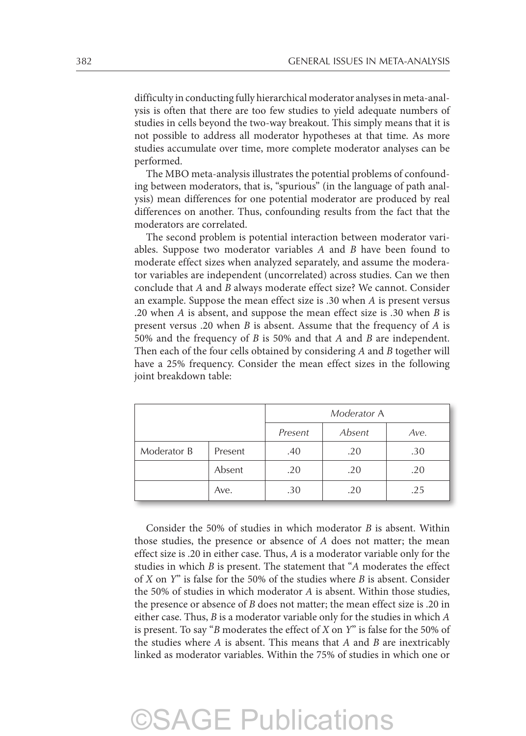difficulty in conducting fully hierarchical moderator analyses in meta-analysis is often that there are too few studies to yield adequate numbers of studies in cells beyond the two-way breakout. This simply means that it is not possible to address all moderator hypotheses at that time. As more studies accumulate over time, more complete moderator analyses can be performed.

The MBO meta-analysis illustrates the potential problems of confounding between moderators, that is, "spurious" (in the language of path analysis) mean differences for one potential moderator are produced by real differences on another. Thus, confounding results from the fact that the moderators are correlated.

The second problem is potential interaction between moderator variables. Suppose two moderator variables *A* and *B* have been found to moderate effect sizes when analyzed separately, and assume the moderator variables are independent (uncorrelated) across studies. Can we then conclude that *A* and *B* always moderate effect size? We cannot. Consider an example. Suppose the mean effect size is .30 when *A* is present versus .20 when *A* is absent, and suppose the mean effect size is .30 when *B* is present versus .20 when *B* is absent. Assume that the frequency of *A* is 50% and the frequency of *B* is 50% and that *A* and *B* are independent. Then each of the four cells obtained by considering *A* and *B* together will have a 25% frequency. Consider the mean effect sizes in the following joint breakdown table:

|             |         | Moderator A |        |      |  |  |  |  |
|-------------|---------|-------------|--------|------|--|--|--|--|
|             |         | Present     | Absent | Ave. |  |  |  |  |
| Moderator B | Present | .40         | .20    | .30  |  |  |  |  |
|             | Absent  | .20         | .20    | .20  |  |  |  |  |
|             | Ave.    | .30         | .20    | .25  |  |  |  |  |

Consider the 50% of studies in which moderator *B* is absent. Within those studies, the presence or absence of *A* does not matter; the mean effect size is .20 in either case. Thus, *A* is a moderator variable only for the studies in which *B* is present. The statement that "*A* moderates the effect of *X* on *Y*" is false for the 50% of the studies where *B* is absent. Consider the 50% of studies in which moderator *A* is absent. Within those studies, the presence or absence of *B* does not matter; the mean effect size is .20 in either case. Thus, *B* is a moderator variable only for the studies in which *A* is present. To say "*B* moderates the effect of *X* on *Y*" is false for the 50% of the studies where *A* is absent. This means that *A* and *B* are inextricably linked as moderator variables. Within the 75% of studies in which one or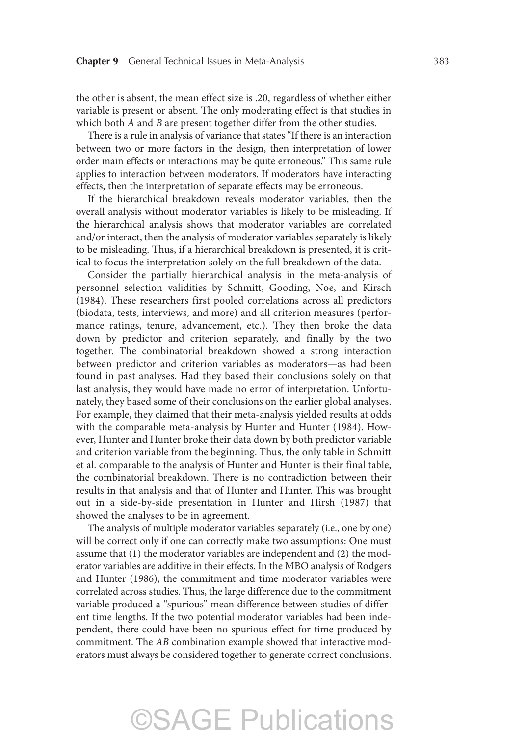the other is absent, the mean effect size is .20, regardless of whether either variable is present or absent. The only moderating effect is that studies in which both *A* and *B* are present together differ from the other studies.

There is a rule in analysis of variance that states "If there is an interaction between two or more factors in the design, then interpretation of lower order main effects or interactions may be quite erroneous." This same rule applies to interaction between moderators. If moderators have interacting effects, then the interpretation of separate effects may be erroneous.

If the hierarchical breakdown reveals moderator variables, then the overall analysis without moderator variables is likely to be misleading. If the hierarchical analysis shows that moderator variables are correlated and/or interact, then the analysis of moderator variables separately is likely to be misleading. Thus, if a hierarchical breakdown is presented, it is critical to focus the interpretation solely on the full breakdown of the data.

Consider the partially hierarchical analysis in the meta-analysis of personnel selection validities by Schmitt, Gooding, Noe, and Kirsch (1984). These researchers first pooled correlations across all predictors (biodata, tests, interviews, and more) and all criterion measures (performance ratings, tenure, advancement, etc.). They then broke the data down by predictor and criterion separately, and finally by the two together. The combinatorial breakdown showed a strong interaction between predictor and criterion variables as moderators—as had been found in past analyses. Had they based their conclusions solely on that last analysis, they would have made no error of interpretation. Unfortunately, they based some of their conclusions on the earlier global analyses. For example, they claimed that their meta-analysis yielded results at odds with the comparable meta-analysis by Hunter and Hunter (1984). However, Hunter and Hunter broke their data down by both predictor variable and criterion variable from the beginning. Thus, the only table in Schmitt et al. comparable to the analysis of Hunter and Hunter is their final table, the combinatorial breakdown. There is no contradiction between their results in that analysis and that of Hunter and Hunter. This was brought out in a side-by-side presentation in Hunter and Hirsh (1987) that showed the analyses to be in agreement.

The analysis of multiple moderator variables separately (i.e., one by one) will be correct only if one can correctly make two assumptions: One must assume that (1) the moderator variables are independent and (2) the moderator variables are additive in their effects. In the MBO analysis of Rodgers and Hunter (1986), the commitment and time moderator variables were correlated across studies. Thus, the large difference due to the commitment variable produced a "spurious" mean difference between studies of different time lengths. If the two potential moderator variables had been independent, there could have been no spurious effect for time produced by commitment. The *AB* combination example showed that interactive moderators must always be considered together to generate correct conclusions.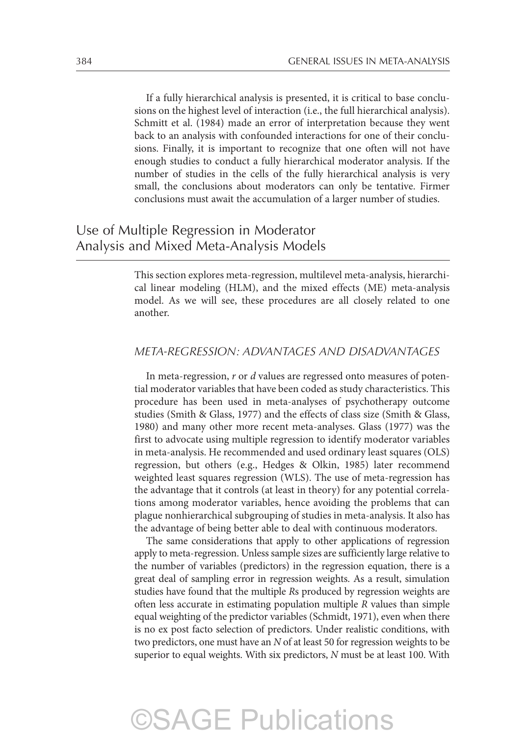If a fully hierarchical analysis is presented, it is critical to base conclusions on the highest level of interaction (i.e., the full hierarchical analysis). Schmitt et al. (1984) made an error of interpretation because they went back to an analysis with confounded interactions for one of their conclusions. Finally, it is important to recognize that one often will not have enough studies to conduct a fully hierarchical moderator analysis. If the number of studies in the cells of the fully hierarchical analysis is very small, the conclusions about moderators can only be tentative. Firmer conclusions must await the accumulation of a larger number of studies.

#### Use of Multiple Regression in Moderator Analysis and Mixed Meta-Analysis Models

This section explores meta-regression, multilevel meta-analysis, hierarchical linear modeling (HLM), and the mixed effects (ME) meta-analysis model. As we will see, these procedures are all closely related to one another.

#### *META-REGRESSION: ADVANTAGES AND DISADVANTAGES*

In meta-regression, *r* or *d* values are regressed onto measures of potential moderator variables that have been coded as study characteristics. This procedure has been used in meta-analyses of psychotherapy outcome studies (Smith & Glass, 1977) and the effects of class size (Smith & Glass, 1980) and many other more recent meta-analyses. Glass (1977) was the first to advocate using multiple regression to identify moderator variables in meta-analysis. He recommended and used ordinary least squares (OLS) regression, but others (e.g., Hedges & Olkin, 1985) later recommend weighted least squares regression (WLS). The use of meta-regression has the advantage that it controls (at least in theory) for any potential correlations among moderator variables, hence avoiding the problems that can plague nonhierarchical subgrouping of studies in meta-analysis. It also has the advantage of being better able to deal with continuous moderators.

The same considerations that apply to other applications of regression apply to meta-regression. Unless sample sizes are sufficiently large relative to the number of variables (predictors) in the regression equation, there is a great deal of sampling error in regression weights. As a result, simulation studies have found that the multiple *R*s produced by regression weights are often less accurate in estimating population multiple *R* values than simple equal weighting of the predictor variables (Schmidt, 1971), even when there is no ex post facto selection of predictors. Under realistic conditions, with two predictors, one must have an *N* of at least 50 for regression weights to be superior to equal weights. With six predictors, *N* must be at least 100. With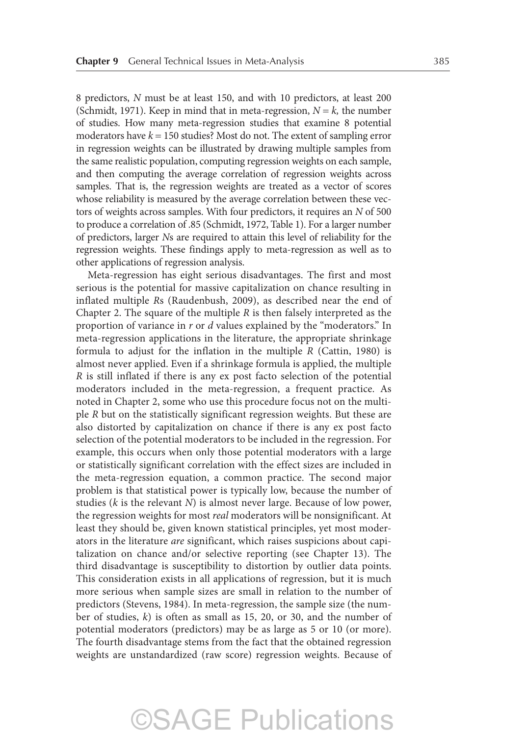8 predictors, *N* must be at least 150, and with 10 predictors, at least 200 (Schmidt, 1971). Keep in mind that in meta-regression,  $N = k$ , the number of studies. How many meta-regression studies that examine 8 potential moderators have  $k = 150$  studies? Most do not. The extent of sampling error in regression weights can be illustrated by drawing multiple samples from the same realistic population, computing regression weights on each sample, and then computing the average correlation of regression weights across samples. That is, the regression weights are treated as a vector of scores whose reliability is measured by the average correlation between these vectors of weights across samples. With four predictors, it requires an *N* of 500 to produce a correlation of .85 (Schmidt, 1972, Table 1). For a larger number of predictors, larger *N*s are required to attain this level of reliability for the regression weights. These findings apply to meta-regression as well as to other applications of regression analysis.

Meta-regression has eight serious disadvantages. The first and most serious is the potential for massive capitalization on chance resulting in inflated multiple *R*s (Raudenbush, 2009), as described near the end of Chapter 2. The square of the multiple *R* is then falsely interpreted as the proportion of variance in *r* or *d* values explained by the "moderators." In meta-regression applications in the literature, the appropriate shrinkage formula to adjust for the inflation in the multiple *R* (Cattin, 1980) is almost never applied. Even if a shrinkage formula is applied, the multiple *R* is still inflated if there is any ex post facto selection of the potential moderators included in the meta-regression, a frequent practice. As noted in Chapter 2, some who use this procedure focus not on the multiple *R* but on the statistically significant regression weights. But these are also distorted by capitalization on chance if there is any ex post facto selection of the potential moderators to be included in the regression. For example, this occurs when only those potential moderators with a large or statistically significant correlation with the effect sizes are included in the meta-regression equation, a common practice. The second major problem is that statistical power is typically low, because the number of studies (*k* is the relevant *N*) is almost never large. Because of low power, the regression weights for most *real* moderators will be nonsignificant. At least they should be, given known statistical principles, yet most moderators in the literature *are* significant, which raises suspicions about capitalization on chance and/or selective reporting (see Chapter 13). The third disadvantage is susceptibility to distortion by outlier data points. This consideration exists in all applications of regression, but it is much more serious when sample sizes are small in relation to the number of predictors (Stevens, 1984). In meta-regression, the sample size (the number of studies, *k*) is often as small as 15, 20, or 30, and the number of potential moderators (predictors) may be as large as 5 or 10 (or more). The fourth disadvantage stems from the fact that the obtained regression weights are unstandardized (raw score) regression weights. Because of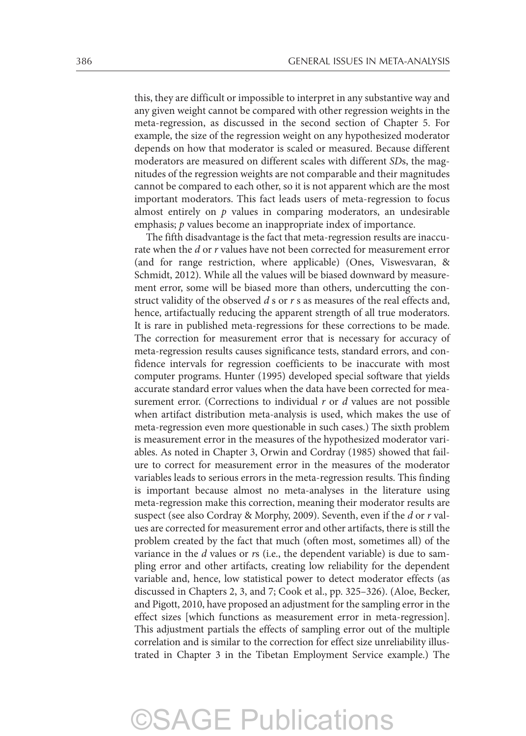this, they are difficult or impossible to interpret in any substantive way and any given weight cannot be compared with other regression weights in the meta-regression, as discussed in the second section of Chapter 5. For example, the size of the regression weight on any hypothesized moderator depends on how that moderator is scaled or measured. Because different moderators are measured on different scales with different *SD*s, the magnitudes of the regression weights are not comparable and their magnitudes cannot be compared to each other, so it is not apparent which are the most important moderators. This fact leads users of meta-regression to focus almost entirely on *p* values in comparing moderators, an undesirable emphasis; *p* values become an inappropriate index of importance.

The fifth disadvantage is the fact that meta-regression results are inaccurate when the *d* or *r* values have not been corrected for measurement error (and for range restriction, where applicable) (Ones, Viswesvaran, & Schmidt, 2012). While all the values will be biased downward by measurement error, some will be biased more than others, undercutting the construct validity of the observed *d* s or *r* s as measures of the real effects and, hence, artifactually reducing the apparent strength of all true moderators. It is rare in published meta-regressions for these corrections to be made. The correction for measurement error that is necessary for accuracy of meta-regression results causes significance tests, standard errors, and confidence intervals for regression coefficients to be inaccurate with most computer programs. Hunter (1995) developed special software that yields accurate standard error values when the data have been corrected for measurement error. (Corrections to individual *r* or *d* values are not possible when artifact distribution meta-analysis is used, which makes the use of meta-regression even more questionable in such cases.) The sixth problem is measurement error in the measures of the hypothesized moderator variables. As noted in Chapter 3, Orwin and Cordray (1985) showed that failure to correct for measurement error in the measures of the moderator variables leads to serious errors in the meta-regression results. This finding is important because almost no meta-analyses in the literature using meta-regression make this correction, meaning their moderator results are suspect (see also Cordray & Morphy, 2009). Seventh, even if the *d* or *r* values are corrected for measurement error and other artifacts, there is still the problem created by the fact that much (often most, sometimes all) of the variance in the *d* values or *r*s (i.e., the dependent variable) is due to sampling error and other artifacts, creating low reliability for the dependent variable and, hence, low statistical power to detect moderator effects (as discussed in Chapters 2, 3, and 7; Cook et al., pp. 325–326). (Aloe, Becker, and Pigott, 2010, have proposed an adjustment for the sampling error in the effect sizes [which functions as measurement error in meta-regression]. This adjustment partials the effects of sampling error out of the multiple correlation and is similar to the correction for effect size unreliability illustrated in Chapter 3 in the Tibetan Employment Service example.) The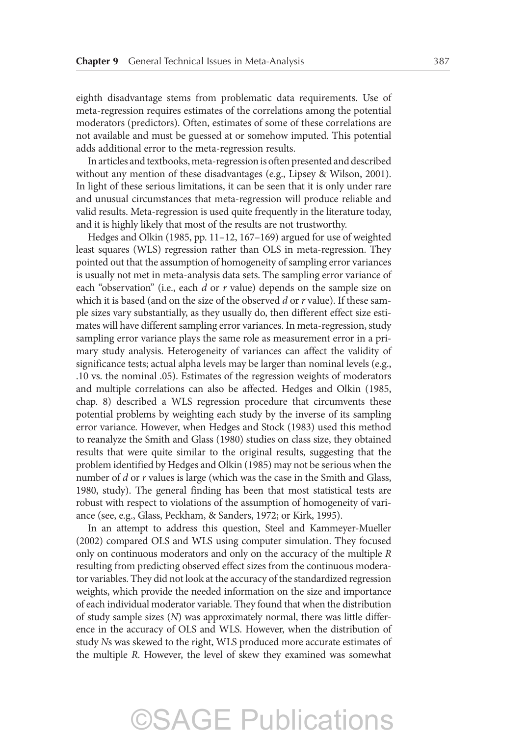eighth disadvantage stems from problematic data requirements. Use of meta-regression requires estimates of the correlations among the potential moderators (predictors). Often, estimates of some of these correlations are not available and must be guessed at or somehow imputed. This potential adds additional error to the meta-regression results.

In articles and textbooks, meta-regression is often presented and described without any mention of these disadvantages (e.g., Lipsey & Wilson, 2001). In light of these serious limitations, it can be seen that it is only under rare and unusual circumstances that meta-regression will produce reliable and valid results. Meta-regression is used quite frequently in the literature today, and it is highly likely that most of the results are not trustworthy.

Hedges and Olkin (1985, pp. 11–12, 167–169) argued for use of weighted least squares (WLS) regression rather than OLS in meta-regression. They pointed out that the assumption of homogeneity of sampling error variances is usually not met in meta-analysis data sets. The sampling error variance of each "observation" (i.e., each *d* or *r* value) depends on the sample size on which it is based (and on the size of the observed *d* or *r* value). If these sample sizes vary substantially, as they usually do, then different effect size estimates will have different sampling error variances. In meta-regression, study sampling error variance plays the same role as measurement error in a primary study analysis. Heterogeneity of variances can affect the validity of significance tests; actual alpha levels may be larger than nominal levels (e.g., .10 vs. the nominal .05). Estimates of the regression weights of moderators and multiple correlations can also be affected. Hedges and Olkin (1985, chap. 8) described a WLS regression procedure that circumvents these potential problems by weighting each study by the inverse of its sampling error variance. However, when Hedges and Stock (1983) used this method to reanalyze the Smith and Glass (1980) studies on class size, they obtained results that were quite similar to the original results, suggesting that the problem identified by Hedges and Olkin (1985) may not be serious when the number of *d* or *r* values is large (which was the case in the Smith and Glass, 1980, study). The general finding has been that most statistical tests are robust with respect to violations of the assumption of homogeneity of variance (see, e.g., Glass, Peckham, & Sanders, 1972; or Kirk, 1995).

In an attempt to address this question, Steel and Kammeyer-Mueller (2002) compared OLS and WLS using computer simulation. They focused only on continuous moderators and only on the accuracy of the multiple *R* resulting from predicting observed effect sizes from the continuous moderator variables. They did not look at the accuracy of the standardized regression weights, which provide the needed information on the size and importance of each individual moderator variable. They found that when the distribution of study sample sizes (*N*) was approximately normal, there was little difference in the accuracy of OLS and WLS. However, when the distribution of study *N*s was skewed to the right, WLS produced more accurate estimates of the multiple *R*. However, the level of skew they examined was somewhat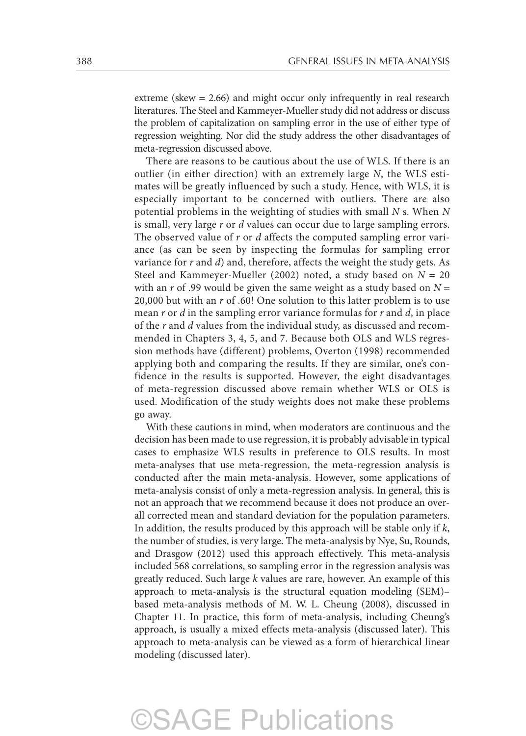extreme (skew  $= 2.66$ ) and might occur only infrequently in real research literatures. The Steel and Kammeyer-Mueller study did not address or discuss the problem of capitalization on sampling error in the use of either type of regression weighting. Nor did the study address the other disadvantages of meta-regression discussed above.

There are reasons to be cautious about the use of WLS. If there is an outlier (in either direction) with an extremely large *N*, the WLS estimates will be greatly influenced by such a study. Hence, with WLS, it is especially important to be concerned with outliers. There are also potential problems in the weighting of studies with small *N* s. When *N* is small, very large *r* or *d* values can occur due to large sampling errors. The observed value of *r* or *d* affects the computed sampling error variance (as can be seen by inspecting the formulas for sampling error variance for *r* and *d*) and, therefore, affects the weight the study gets. As Steel and Kammeyer-Mueller (2002) noted, a study based on *N* = 20 with an *r* of .99 would be given the same weight as a study based on *N* = 20,000 but with an *r* of .60! One solution to this latter problem is to use mean *r* or *d* in the sampling error variance formulas for *r* and *d*, in place of the *r* and *d* values from the individual study, as discussed and recommended in Chapters 3, 4, 5, and 7. Because both OLS and WLS regression methods have (different) problems, Overton (1998) recommended applying both and comparing the results. If they are similar, one's confidence in the results is supported. However, the eight disadvantages of meta-regression discussed above remain whether WLS or OLS is used. Modification of the study weights does not make these problems go away.

With these cautions in mind, when moderators are continuous and the decision has been made to use regression, it is probably advisable in typical cases to emphasize WLS results in preference to OLS results. In most meta-analyses that use meta-regression, the meta-regression analysis is conducted after the main meta-analysis. However, some applications of meta-analysis consist of only a meta-regression analysis. In general, this is not an approach that we recommend because it does not produce an overall corrected mean and standard deviation for the population parameters. In addition, the results produced by this approach will be stable only if *k*, the number of studies, is very large. The meta-analysis by Nye, Su, Rounds, and Drasgow (2012) used this approach effectively. This meta-analysis included 568 correlations, so sampling error in the regression analysis was greatly reduced. Such large *k* values are rare, however. An example of this approach to meta-analysis is the structural equation modeling (SEM)– based meta-analysis methods of M. W. L. Cheung (2008), discussed in Chapter 11. In practice, this form of meta-analysis, including Cheung's approach, is usually a mixed effects meta-analysis (discussed later). This approach to meta-analysis can be viewed as a form of hierarchical linear modeling (discussed later).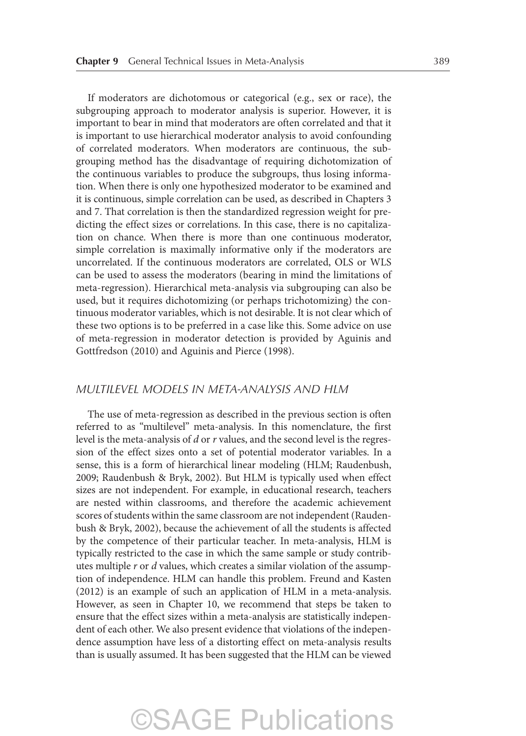If moderators are dichotomous or categorical (e.g., sex or race), the subgrouping approach to moderator analysis is superior. However, it is important to bear in mind that moderators are often correlated and that it is important to use hierarchical moderator analysis to avoid confounding of correlated moderators. When moderators are continuous, the subgrouping method has the disadvantage of requiring dichotomization of the continuous variables to produce the subgroups, thus losing information. When there is only one hypothesized moderator to be examined and it is continuous, simple correlation can be used, as described in Chapters 3 and 7. That correlation is then the standardized regression weight for predicting the effect sizes or correlations. In this case, there is no capitalization on chance. When there is more than one continuous moderator, simple correlation is maximally informative only if the moderators are uncorrelated. If the continuous moderators are correlated, OLS or WLS can be used to assess the moderators (bearing in mind the limitations of meta-regression). Hierarchical meta-analysis via subgrouping can also be used, but it requires dichotomizing (or perhaps trichotomizing) the continuous moderator variables, which is not desirable. It is not clear which of these two options is to be preferred in a case like this. Some advice on use of meta-regression in moderator detection is provided by Aguinis and Gottfredson (2010) and Aguinis and Pierce (1998).

#### *MULTILEVEL MODELS IN META-ANALYSIS AND HLM*

The use of meta-regression as described in the previous section is often referred to as "multilevel" meta-analysis. In this nomenclature, the first level is the meta-analysis of *d* or *r* values, and the second level is the regression of the effect sizes onto a set of potential moderator variables. In a sense, this is a form of hierarchical linear modeling (HLM; Raudenbush, 2009; Raudenbush & Bryk, 2002). But HLM is typically used when effect sizes are not independent. For example, in educational research, teachers are nested within classrooms, and therefore the academic achievement scores of students within the same classroom are not independent (Raudenbush & Bryk, 2002), because the achievement of all the students is affected by the competence of their particular teacher. In meta-analysis, HLM is typically restricted to the case in which the same sample or study contributes multiple *r* or *d* values, which creates a similar violation of the assumption of independence. HLM can handle this problem. Freund and Kasten (2012) is an example of such an application of HLM in a meta-analysis. However, as seen in Chapter 10, we recommend that steps be taken to ensure that the effect sizes within a meta-analysis are statistically independent of each other. We also present evidence that violations of the independence assumption have less of a distorting effect on meta-analysis results than is usually assumed. It has been suggested that the HLM can be viewed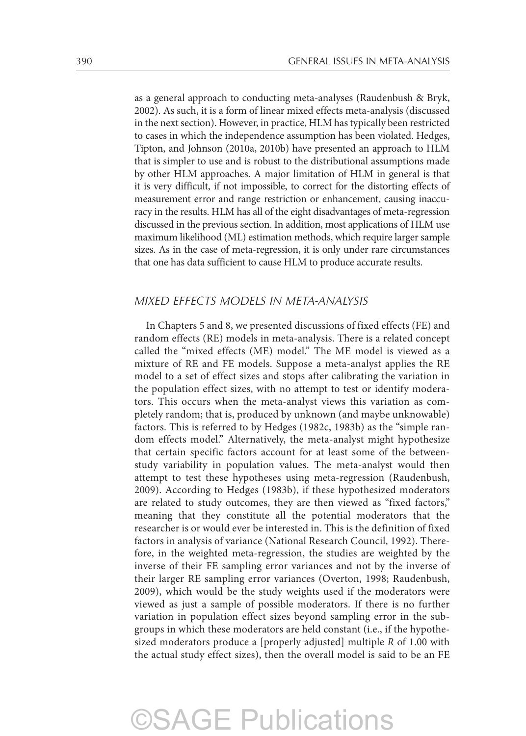as a general approach to conducting meta-analyses (Raudenbush & Bryk, 2002). As such, it is a form of linear mixed effects meta-analysis (discussed in the next section). However, in practice, HLM has typically been restricted to cases in which the independence assumption has been violated. Hedges, Tipton, and Johnson (2010a, 2010b) have presented an approach to HLM that is simpler to use and is robust to the distributional assumptions made by other HLM approaches. A major limitation of HLM in general is that it is very difficult, if not impossible, to correct for the distorting effects of measurement error and range restriction or enhancement, causing inaccuracy in the results. HLM has all of the eight disadvantages of meta-regression discussed in the previous section. In addition, most applications of HLM use maximum likelihood (ML) estimation methods, which require larger sample sizes. As in the case of meta-regression, it is only under rare circumstances that one has data sufficient to cause HLM to produce accurate results.

#### *MIXED EFFECTS MODELS IN META-ANALYSIS*

In Chapters 5 and 8, we presented discussions of fixed effects (FE) and random effects (RE) models in meta-analysis. There is a related concept called the "mixed effects (ME) model." The ME model is viewed as a mixture of RE and FE models. Suppose a meta-analyst applies the RE model to a set of effect sizes and stops after calibrating the variation in the population effect sizes, with no attempt to test or identify moderators. This occurs when the meta-analyst views this variation as completely random; that is, produced by unknown (and maybe unknowable) factors. This is referred to by Hedges (1982c, 1983b) as the "simple random effects model." Alternatively, the meta-analyst might hypothesize that certain specific factors account for at least some of the betweenstudy variability in population values. The meta-analyst would then attempt to test these hypotheses using meta-regression (Raudenbush, 2009). According to Hedges (1983b), if these hypothesized moderators are related to study outcomes, they are then viewed as "fixed factors," meaning that they constitute all the potential moderators that the researcher is or would ever be interested in. This is the definition of fixed factors in analysis of variance (National Research Council, 1992). Therefore, in the weighted meta-regression, the studies are weighted by the inverse of their FE sampling error variances and not by the inverse of their larger RE sampling error variances (Overton, 1998; Raudenbush, 2009), which would be the study weights used if the moderators were viewed as just a sample of possible moderators. If there is no further variation in population effect sizes beyond sampling error in the subgroups in which these moderators are held constant (i.e., if the hypothesized moderators produce a [properly adjusted] multiple *R* of 1.00 with the actual study effect sizes), then the overall model is said to be an FE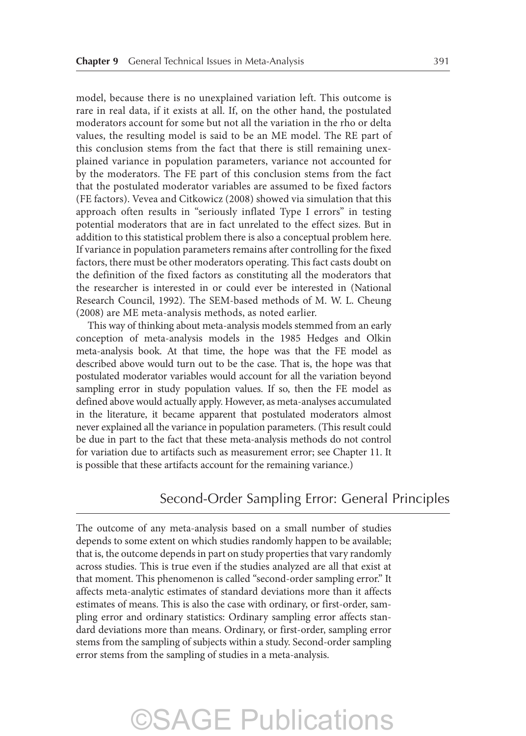model, because there is no unexplained variation left. This outcome is rare in real data, if it exists at all. If, on the other hand, the postulated moderators account for some but not all the variation in the rho or delta values, the resulting model is said to be an ME model. The RE part of this conclusion stems from the fact that there is still remaining unexplained variance in population parameters, variance not accounted for by the moderators. The FE part of this conclusion stems from the fact that the postulated moderator variables are assumed to be fixed factors (FE factors). Vevea and Citkowicz (2008) showed via simulation that this approach often results in "seriously inflated Type I errors" in testing potential moderators that are in fact unrelated to the effect sizes. But in addition to this statistical problem there is also a conceptual problem here. If variance in population parameters remains after controlling for the fixed factors, there must be other moderators operating. This fact casts doubt on the definition of the fixed factors as constituting all the moderators that the researcher is interested in or could ever be interested in (National Research Council, 1992). The SEM-based methods of M. W. L. Cheung (2008) are ME meta-analysis methods, as noted earlier.

This way of thinking about meta-analysis models stemmed from an early conception of meta-analysis models in the 1985 Hedges and Olkin meta-analysis book. At that time, the hope was that the FE model as described above would turn out to be the case. That is, the hope was that postulated moderator variables would account for all the variation beyond sampling error in study population values. If so, then the FE model as defined above would actually apply. However, as meta-analyses accumulated in the literature, it became apparent that postulated moderators almost never explained all the variance in population parameters. (This result could be due in part to the fact that these meta-analysis methods do not control for variation due to artifacts such as measurement error; see Chapter 11. It is possible that these artifacts account for the remaining variance.)

#### Second-Order Sampling Error: General Principles

The outcome of any meta-analysis based on a small number of studies depends to some extent on which studies randomly happen to be available; that is, the outcome depends in part on study properties that vary randomly across studies. This is true even if the studies analyzed are all that exist at that moment. This phenomenon is called "second-order sampling error." It affects meta-analytic estimates of standard deviations more than it affects estimates of means. This is also the case with ordinary, or first-order, sampling error and ordinary statistics: Ordinary sampling error affects standard deviations more than means. Ordinary, or first-order, sampling error stems from the sampling of subjects within a study. Second-order sampling error stems from the sampling of studies in a meta-analysis.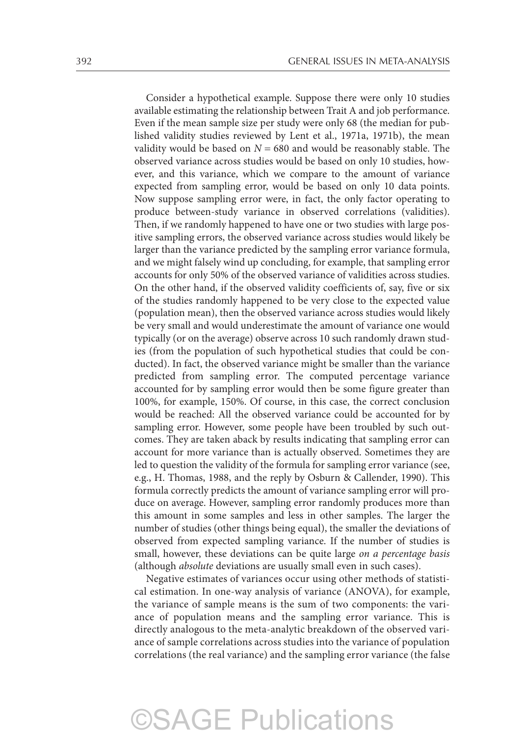Consider a hypothetical example. Suppose there were only 10 studies available estimating the relationship between Trait A and job performance. Even if the mean sample size per study were only 68 (the median for published validity studies reviewed by Lent et al., 1971a, 1971b), the mean validity would be based on  $N = 680$  and would be reasonably stable. The observed variance across studies would be based on only 10 studies, however, and this variance, which we compare to the amount of variance expected from sampling error, would be based on only 10 data points. Now suppose sampling error were, in fact, the only factor operating to produce between-study variance in observed correlations (validities). Then, if we randomly happened to have one or two studies with large positive sampling errors, the observed variance across studies would likely be larger than the variance predicted by the sampling error variance formula, and we might falsely wind up concluding, for example, that sampling error accounts for only 50% of the observed variance of validities across studies. On the other hand, if the observed validity coefficients of, say, five or six of the studies randomly happened to be very close to the expected value (population mean), then the observed variance across studies would likely be very small and would underestimate the amount of variance one would typically (or on the average) observe across 10 such randomly drawn studies (from the population of such hypothetical studies that could be conducted). In fact, the observed variance might be smaller than the variance predicted from sampling error. The computed percentage variance accounted for by sampling error would then be some figure greater than 100%, for example, 150%. Of course, in this case, the correct conclusion would be reached: All the observed variance could be accounted for by sampling error. However, some people have been troubled by such outcomes. They are taken aback by results indicating that sampling error can account for more variance than is actually observed. Sometimes they are led to question the validity of the formula for sampling error variance (see, e.g., H. Thomas, 1988, and the reply by Osburn & Callender, 1990). This formula correctly predicts the amount of variance sampling error will produce on average. However, sampling error randomly produces more than this amount in some samples and less in other samples. The larger the number of studies (other things being equal), the smaller the deviations of observed from expected sampling variance. If the number of studies is small, however, these deviations can be quite large *on a percentage basis* (although *absolute* deviations are usually small even in such cases).

Negative estimates of variances occur using other methods of statistical estimation. In one-way analysis of variance (ANOVA), for example, the variance of sample means is the sum of two components: the variance of population means and the sampling error variance. This is directly analogous to the meta-analytic breakdown of the observed variance of sample correlations across studies into the variance of population correlations (the real variance) and the sampling error variance (the false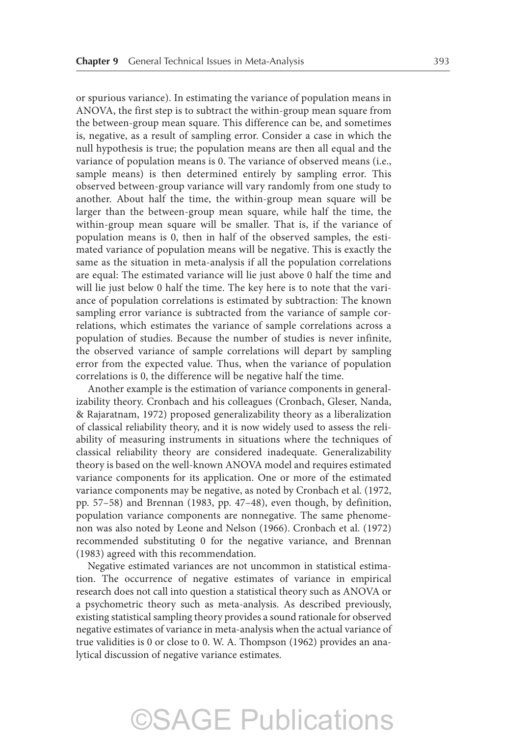or spurious variance). In estimating the variance of population means in ANOVA, the first step is to subtract the within-group mean square from the between-group mean square. This difference can be, and sometimes is, negative, as a result of sampling error. Consider a case in which the null hypothesis is true; the population means are then all equal and the variance of population means is 0. The variance of observed means (i.e., sample means) is then determined entirely by sampling error. This observed between-group variance will vary randomly from one study to another. About half the time, the within-group mean square will be larger than the between-group mean square, while half the time, the within-group mean square will be smaller. That is, if the variance of population means is 0, then in half of the observed samples, the estimated variance of population means will be negative. This is exactly the same as the situation in meta-analysis if all the population correlations are equal: The estimated variance will lie just above 0 half the time and will lie just below 0 half the time. The key here is to note that the variance of population correlations is estimated by subtraction: The known sampling error variance is subtracted from the variance of sample correlations, which estimates the variance of sample correlations across a population of studies. Because the number of studies is never infinite, the observed variance of sample correlations will depart by sampling error from the expected value. Thus, when the variance of population correlations is 0, the difference will be negative half the time.

Another example is the estimation of variance components in generalizability theory. Cronbach and his colleagues (Cronbach, Gleser, Nanda, & Rajaratnam, 1972) proposed generalizability theory as a liberalization of classical reliability theory, and it is now widely used to assess the reliability of measuring instruments in situations where the techniques of classical reliability theory are considered inadequate. Generalizability theory is based on the well-known ANOVA model and requires estimated variance components for its application. One or more of the estimated variance components may be negative, as noted by Cronbach et al. (1972, pp. 57–58) and Brennan (1983, pp. 47–48), even though, by definition, population variance components are nonnegative. The same phenomenon was also noted by Leone and Nelson (1966). Cronbach et al. (1972) recommended substituting 0 for the negative variance, and Brennan (1983) agreed with this recommendation.

Negative estimated variances are not uncommon in statistical estimation. The occurrence of negative estimates of variance in empirical research does not call into question a statistical theory such as ANOVA or a psychometric theory such as meta-analysis. As described previously, existing statistical sampling theory provides a sound rationale for observed negative estimates of variance in meta-analysis when the actual variance of true validities is 0 or close to 0. W. A. Thompson (1962) provides an analytical discussion of negative variance estimates.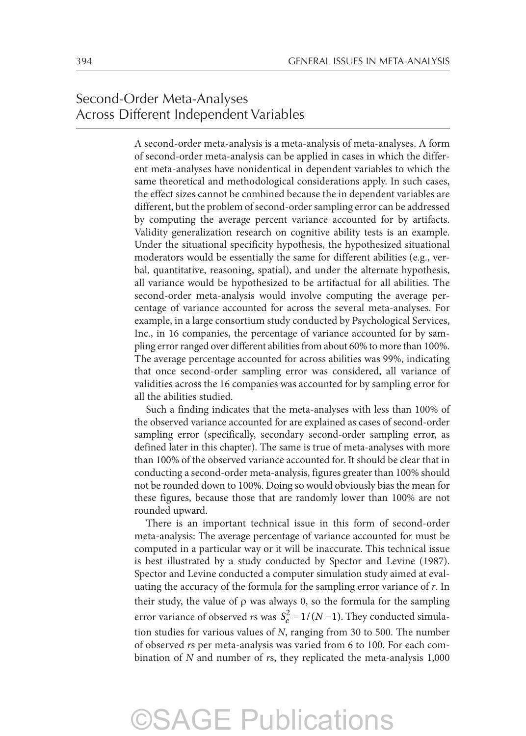#### Second-Order Meta-Analyses Across Different Independent Variables

A second-order meta-analysis is a meta-analysis of meta-analyses. A form of second-order meta-analysis can be applied in cases in which the different meta-analyses have nonidentical in dependent variables to which the same theoretical and methodological considerations apply. In such cases, the effect sizes cannot be combined because the in dependent variables are different, but the problem of second-order sampling error can be addressed by computing the average percent variance accounted for by artifacts. Validity generalization research on cognitive ability tests is an example. Under the situational specificity hypothesis, the hypothesized situational moderators would be essentially the same for different abilities (e.g., verbal, quantitative, reasoning, spatial), and under the alternate hypothesis, all variance would be hypothesized to be artifactual for all abilities. The second-order meta-analysis would involve computing the average percentage of variance accounted for across the several meta-analyses. For example, in a large consortium study conducted by Psychological Services, Inc., in 16 companies, the percentage of variance accounted for by sampling error ranged over different abilities from about 60% to more than 100%. The average percentage accounted for across abilities was 99%, indicating that once second-order sampling error was considered, all variance of validities across the 16 companies was accounted for by sampling error for all the abilities studied.

Such a finding indicates that the meta-analyses with less than 100% of the observed variance accounted for are explained as cases of second-order sampling error (specifically, secondary second-order sampling error, as defined later in this chapter). The same is true of meta-analyses with more than 100% of the observed variance accounted for. It should be clear that in conducting a second-order meta-analysis, figures greater than 100% should not be rounded down to 100%. Doing so would obviously bias the mean for these figures, because those that are randomly lower than 100% are not rounded upward.

There is an important technical issue in this form of second-order meta-analysis: The average percentage of variance accounted for must be computed in a particular way or it will be inaccurate. This technical issue is best illustrated by a study conducted by Spector and Levine (1987). Spector and Levine conducted a computer simulation study aimed at evaluating the accuracy of the formula for the sampling error variance of *r*. In their study, the value of ρ was always 0, so the formula for the sampling error variance of observed *r*s was  $S_e^2 = 1/(N-1)$ . They conducted simulation studies for various values of *N*, ranging from 30 to 500. The number of observed *r*s per meta-analysis was varied from 6 to 100. For each combination of *N* and number of *r*s, they replicated the meta-analysis 1,000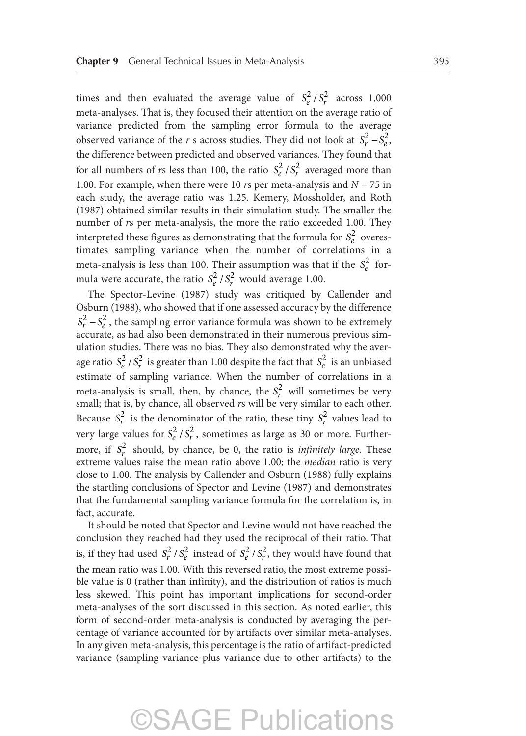times and then evaluated the average value of  $S_e^2/S_r^2$  across 1,000 meta-analyses. That is, they focused their attention on the average ratio of variance predicted from the sampling error formula to the average observed variance of the *r* s across studies. They did not look at  $S_r^2 - S_e^2$ , the difference between predicted and observed variances. They found that for all numbers of *r*s less than 100, the ratio  $S_e^2 / S_r^2$  averaged more than 1.00. For example, when there were 10 *s per meta-analysis and*  $*N* = 75$  *in* each study, the average ratio was 1.25. Kemery, Mossholder, and Roth (1987) obtained similar results in their simulation study. The smaller the number of *r*s per meta-analysis, the more the ratio exceeded 1.00. They interpreted these figures as demonstrating that the formula for  $S_e^2$  overestimates sampling variance when the number of correlations in a meta-analysis is less than 100. Their assumption was that if the  $S_e^2$  formula were accurate, the ratio  $S_e^2 / S_r^2$  would average 1.00.

The Spector-Levine (1987) study was critiqued by Callender and Osburn (1988), who showed that if one assessed accuracy by the difference  $S_r^2 - S_e^2$ , the sampling error variance formula was shown to be extremely accurate, as had also been demonstrated in their numerous previous simulation studies. There was no bias. They also demonstrated why the average ratio  $S_e^2 / S_r^2$  is greater than 1.00 despite the fact that  $S_e^2$  is an unbiased estimate of sampling variance. When the number of correlations in a meta-analysis is small, then, by chance, the  $S_r^2$  will sometimes be very small; that is, by chance, all observed *r*s will be very similar to each other. Because  $S_r^2$  is the denominator of the ratio, these tiny  $S_r^2$  values lead to very large values for  $S_e^2 / S_r^2$ , sometimes as large as 30 or more. Furthermore, if  $S_r^2$  should, by chance, be 0, the ratio is *infinitely large*. These extreme values raise the mean ratio above 1.00; the *median* ratio is very close to 1.00. The analysis by Callender and Osburn (1988) fully explains the startling conclusions of Spector and Levine (1987) and demonstrates that the fundamental sampling variance formula for the correlation is, in fact, accurate.

It should be noted that Spector and Levine would not have reached the conclusion they reached had they used the reciprocal of their ratio. That is, if they had used  $S_r^2 / S_e^2$  instead of  $S_e^2 / S_r^2$ , they would have found that the mean ratio was 1.00. With this reversed ratio, the most extreme possible value is 0 (rather than infinity), and the distribution of ratios is much less skewed. This point has important implications for second-order meta-analyses of the sort discussed in this section. As noted earlier, this form of second-order meta-analysis is conducted by averaging the percentage of variance accounted for by artifacts over similar meta-analyses. In any given meta-analysis, this percentage is the ratio of artifact-predicted variance (sampling variance plus variance due to other artifacts) to the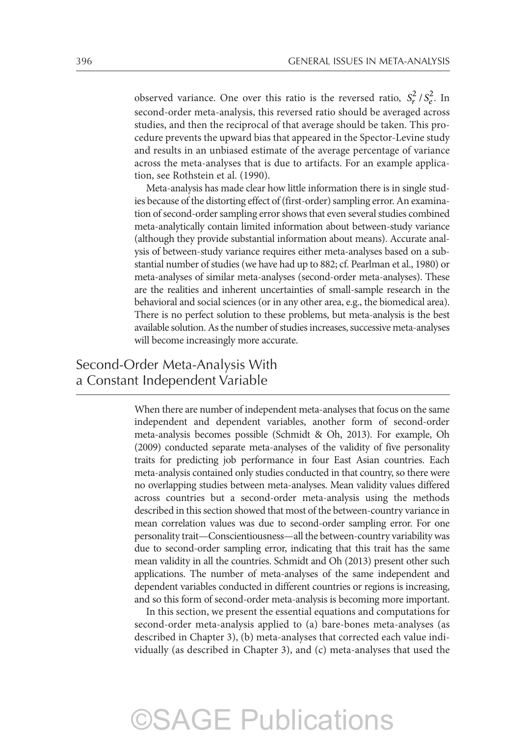observed variance. One over this ratio is the reversed ratio,  $S_r^2 / S_e^2$ . In second-order meta-analysis, this reversed ratio should be averaged across studies, and then the reciprocal of that average should be taken. This procedure prevents the upward bias that appeared in the Spector-Levine study and results in an unbiased estimate of the average percentage of variance across the meta-analyses that is due to artifacts. For an example application, see Rothstein et al. (1990).

Meta-analysis has made clear how little information there is in single studies because of the distorting effect of (first-order) sampling error. An examination of second-order sampling error shows that even several studies combined meta-analytically contain limited information about between-study variance (although they provide substantial information about means). Accurate analysis of between-study variance requires either meta-analyses based on a substantial number of studies (we have had up to 882; cf. Pearlman et al., 1980) or meta-analyses of similar meta-analyses (second-order meta-analyses). These are the realities and inherent uncertainties of small-sample research in the behavioral and social sciences (or in any other area, e.g., the biomedical area). There is no perfect solution to these problems, but meta-analysis is the best available solution. As the number of studies increases, successive meta-analyses will become increasingly more accurate.

#### Second-Order Meta-Analysis With a Constant Independent Variable

When there are number of independent meta-analyses that focus on the same independent and dependent variables, another form of second-order meta-analysis becomes possible (Schmidt & Oh, 2013). For example, Oh (2009) conducted separate meta-analyses of the validity of five personality traits for predicting job performance in four East Asian countries. Each meta-analysis contained only studies conducted in that country, so there were no overlapping studies between meta-analyses. Mean validity values differed across countries but a second-order meta-analysis using the methods described in this section showed that most of the between-country variance in mean correlation values was due to second-order sampling error. For one personality trait—Conscientiousness—all the between-country variability was due to second-order sampling error, indicating that this trait has the same mean validity in all the countries. Schmidt and Oh (2013) present other such applications. The number of meta-analyses of the same independent and dependent variables conducted in different countries or regions is increasing, and so this form of second-order meta-analysis is becoming more important.

In this section, we present the essential equations and computations for second-order meta-analysis applied to (a) bare-bones meta-analyses (as described in Chapter 3), (b) meta-analyses that corrected each value individually (as described in Chapter 3), and (c) meta-analyses that used the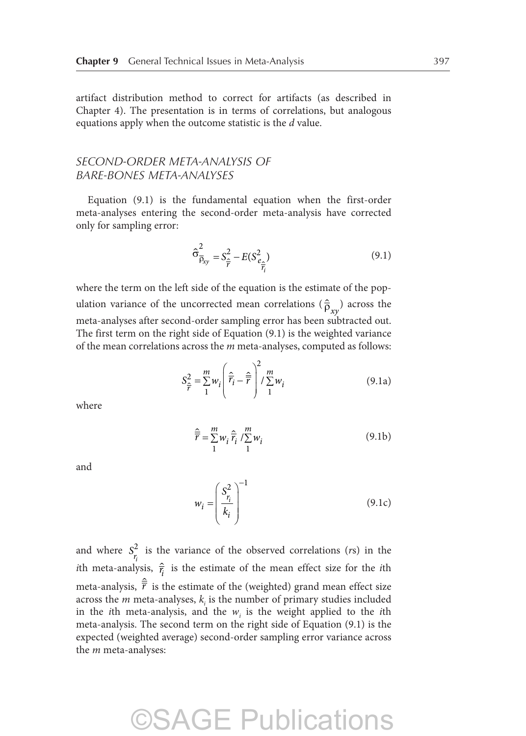artifact distribution method to correct for artifacts (as described in Chapter 4). The presentation is in terms of correlations, but analogous equations apply when the outcome statistic is the *d* value.

#### *SECOND-ORDER META-ANALYSIS OF BARE-BONES META-ANALYSES*

Equation (9.1) is the fundamental equation when the first-order meta-analyses entering the second-order meta-analysis have corrected only for sampling error:

$$
\hat{\sigma}^2_{\overline{\rho}_{xy}} = S_{\hat{\overline{r}}}^2 - E(S_{e_{\hat{\overline{r}}}}^2)
$$
\n(9.1)

where the term on the left side of the equation is the estimate of the population variance of the uncorrected mean correlations ( $\hat{\bar{p}}_{xy}$ ) across the meta-analyses after second-order sampling error has been subtracted out. The first term on the right side of Equation (9.1) is the weighted variance of the mean correlations across the *m* meta-analyses, computed as follows:

$$
S_{\widehat{\overline{r}}}^2 = \sum_{1}^{m} w_i \left( \widehat{\overline{r}}_i - \widehat{\overline{r}}_i \right)^2 / \sum_{1}^{m} w_i
$$
 (9.1a)

where

$$
\hat{\overline{\overline{r}}} = \sum_{1}^{m} w_i \hat{\overline{r}}_i / \sum_{1}^{m} w_i
$$
 (9.1b)

and

$$
w_i = \left(\frac{S_{r_i}^2}{k_i}\right)^{-1} \tag{9.1c}
$$

and where  $S^2_{r_i}$  is the variance of the observed correlations (*r*s) in the *i*th meta-analysis,  $\hat{r}_i$  is the estimate of the mean effect size for the *i*th meta-analysis,  $\hat{\vec{r}}$  is the estimate of the (weighted) grand mean effect size across the  $m$  meta-analyses,  $k_i$  is the number of primary studies included in the *i*th meta-analysis, and the  $w_i$  is the weight applied to the *i*th meta-analysis. The second term on the right side of Equation (9.1) is the expected (weighted average) second-order sampling error variance across the *m* meta-analyses: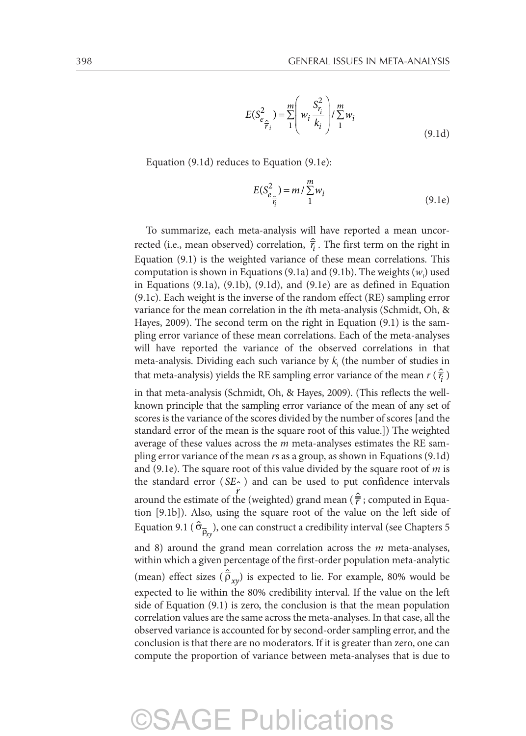$$
E(S_{e_{\hat{r}_i}}^2) = \sum_{1}^{m} \left( w_i \frac{S_{r_i}^2}{k_i} \right) / \sum_{1}^{m} w_i
$$
\n(9.1d)

Equation (9.1d) reduces to Equation (9.1e):

$$
E(S_{e_{\widehat{\overline{r_i}}}^2}^2) = m / \sum_{i=1}^{m} w_i
$$
 (9.1e)

To summarize, each meta-analysis will have reported a mean uncorrected (i.e., mean observed) correlation,  $\hat{\vec{r}}_i$ . The first term on the right in Equation (9.1) is the weighted variance of these mean correlations. This computation is shown in Equations (9.1a) and (9.1b). The weights  $(w_i)$  used in Equations (9.1a), (9.1b), (9.1d), and (9.1e) are as defined in Equation (9.1c). Each weight is the inverse of the random effect (RE) sampling error variance for the mean correlation in the *i*th meta-analysis (Schmidt, Oh, & Hayes, 2009). The second term on the right in Equation (9.1) is the sampling error variance of these mean correlations. Each of the meta-analyses will have reported the variance of the observed correlations in that meta-analysis. Dividing each such variance by  $k_i$  (the number of studies in that meta-analysis) yields the RE sampling error variance of the mean  $r(\hat{\vec{r}}_i)$ 

in that meta-analysis (Schmidt, Oh, & Hayes, 2009). (This reflects the wellknown principle that the sampling error variance of the mean of any set of scores is the variance of the scores divided by the number of scores [and the standard error of the mean is the square root of this value.]) The weighted average of these values across the *m* meta-analyses estimates the RE sampling error variance of the mean *r*s as a group, as shown in Equations (9.1d) and (9.1e). The square root of this value divided by the square root of *m* is the standard error  $SE_{\frac{\sim}{\overline{k}}}$  and can be used to put confidence intervals *r* around the estimate of the (weighted) grand mean ( $\hat{\vec{\tau}}$ ; computed in Equation [9.1b]). Also, using the square root of the value on the left side of Equation 9.1 ( $\hat{\sigma}_{\overline{\rho}_{xy}}$ ), one can construct a credibility interval (see Chapters 5 and 8) around the grand mean correlation across the *m* meta-analyses, within which a given percentage of the first-order population meta-analytic (mean) effect sizes  $(\hat{\vec{p}}_{xy})$  is expected to lie. For example, 80% would be

expected to lie within the 80% credibility interval. If the value on the left side of Equation (9.1) is zero, the conclusion is that the mean population correlation values are the same across the meta-analyses. In that case, all the observed variance is accounted for by second-order sampling error, and the conclusion is that there are no moderators. If it is greater than zero, one can compute the proportion of variance between meta-analyses that is due to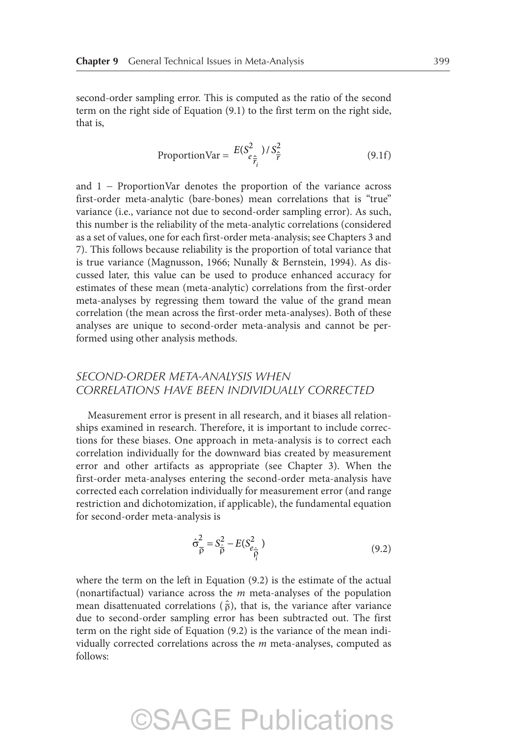second-order sampling error. This is computed as the ratio of the second term on the right side of Equation (9.1) to the first term on the right side, that is,

$$
ProportionVar = \frac{E(S_{\hat{r}_i}^2)/S_{\hat{\hat{r}}}}{\hat{r}} \tag{9.1f}
$$

and 1 − ProportionVar denotes the proportion of the variance across first-order meta-analytic (bare-bones) mean correlations that is "true" variance (i.e., variance not due to second-order sampling error). As such, this number is the reliability of the meta-analytic correlations (considered as a set of values, one for each first-order meta-analysis; see Chapters 3 and 7). This follows because reliability is the proportion of total variance that is true variance (Magnusson, 1966; Nunally & Bernstein, 1994). As discussed later, this value can be used to produce enhanced accuracy for estimates of these mean (meta-analytic) correlations from the first-order meta-analyses by regressing them toward the value of the grand mean correlation (the mean across the first-order meta-analyses). Both of these analyses are unique to second-order meta-analysis and cannot be performed using other analysis methods.

#### *SECOND-ORDER META-ANALYSIS WHEN CORRELATIONS HAVE BEEN INDIVIDUALLY CORRECTED*

Measurement error is present in all research, and it biases all relationships examined in research. Therefore, it is important to include corrections for these biases. One approach in meta-analysis is to correct each correlation individually for the downward bias created by measurement error and other artifacts as appropriate (see Chapter 3). When the first-order meta-analyses entering the second-order meta-analysis have corrected each correlation individually for measurement error (and range restriction and dichotomization, if applicable), the fundamental equation for second-order meta-analysis is

$$
\hat{\sigma}_{\overline{\rho}}^2 = S_{\hat{\rho}}^2 - E(S_{e_{\hat{\rho}}^2}^2)
$$
\n(9.2)

where the term on the left in Equation (9.2) is the estimate of the actual (nonartifactual) variance across the *m* meta-analyses of the population mean disattenuated correlations ( $\hat{\rho}$ ), that is, the variance after variance due to second-order sampling error has been subtracted out. The first term on the right side of Equation (9.2) is the variance of the mean individually corrected correlations across the *m* meta-analyses, computed as follows: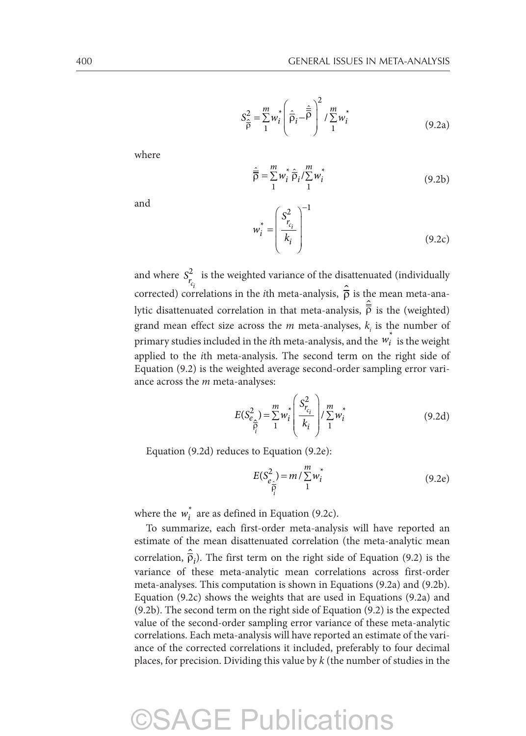$$
S_{\widehat{\overline{\rho}}}^{2} = \sum_{1}^{m} w_{i} \left( \widehat{\overline{p}}_{i} - \widehat{\overline{P}} \right)^{2} / \sum_{1}^{m} w_{i}^{*}
$$
 (9.2a)

where

$$
\hat{\overline{\rho}} = \sum_{1}^{m} w_i^* \hat{\overline{\rho}}_i / \sum_{1}^{m} w_i^*
$$
\n(9.2b)

and

$$
w_i^* = \left(\frac{S_{r_{c_i}}^2}{k_i}\right)^{-1}
$$
\n(9.2c)

and where  $S^2_{r_c}$  is the weighted variance of the disattenuated (individually corrected) correlations in the *i*th meta-analysis,  $\hat{\overline{\rho}}_i$  is the mean meta-analytic disattenuated correlation in that meta-analysis,  $\hat{\bar{p}}$  is the (weighted) grand mean effect size across the  $m$  meta-analyses,  $k<sub>i</sub>$  is the number of  $\overline{\mathbf{r}}$  primary studies included in the *i*th meta-analysis, and the  $\overrightarrow{w_i}$  is the weight applied to the *i*th meta-analysis. The second term on the right side of Equation (9.2) is the weighted average second-order sampling error variance across the *m* meta-analyses:

$$
E(S_{e_{\widehat{P_i}}}^2) = \sum_{i=1}^{m} w_i^* \left( \frac{S_{r_{c_i}}^2}{k_i} \right) / \sum_{i=1}^{m} w_i^*
$$
 (9.2d)

Equation (9.2d) reduces to Equation (9.2e):

$$
E(S_{e_{\widehat{P_i}}}^2) = m / \sum_{i=1}^{m} w_i^*
$$
 (9.2e)

where the  $w_i^*$  are as defined in Equation (9.2c).

To summarize, each first-order meta-analysis will have reported an estimate of the mean disattenuated correlation (the meta-analytic mean correlation,  $\hat{\vec{p}}_i$ ). The first term on the right side of Equation (9.2) is the variance of these meta-analytic mean correlations across first-order meta-analyses. This computation is shown in Equations (9.2a) and (9.2b). Equation (9.2c) shows the weights that are used in Equations (9.2a) and (9.2b). The second term on the right side of Equation (9.2) is the expected value of the second-order sampling error variance of these meta-analytic correlations. Each meta-analysis will have reported an estimate of the variance of the corrected correlations it included, preferably to four decimal places, for precision. Dividing this value by *k* (the number of studies in the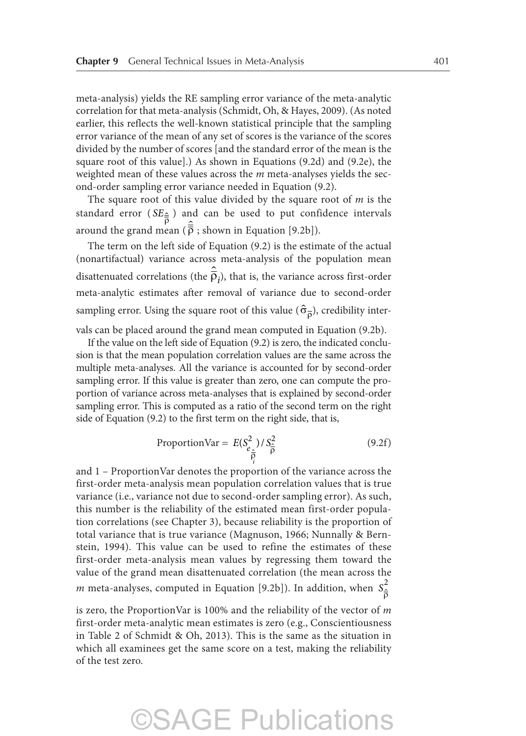meta-analysis) yields the RE sampling error variance of the meta-analytic correlation for that meta-analysis (Schmidt, Oh, & Hayes, 2009). (As noted earlier, this reflects the well-known statistical principle that the sampling error variance of the mean of any set of scores is the variance of the scores divided by the number of scores [and the standard error of the mean is the square root of this value].) As shown in Equations (9.2d) and (9.2e), the weighted mean of these values across the *m* meta-analyses yields the second-order sampling error variance needed in Equation (9.2).

The square root of this value divided by the square root of *m* is the standard error ( $SE_{\frac{\alpha}{\beta}}$ ) and can be used to put confidence intervals around the grand mean ( $\hat{\bar{p}}$ ); shown in Equation [9.2b]).

The term on the left side of Equation (9.2) is the estimate of the actual (nonartifactual) variance across meta-analysis of the population mean disattenuated correlations (the  $\hat{\overline{\rho}}$ *i* ), that is, the variance across first-order meta-analytic estimates after removal of variance due to second-order sampling error. Using the square root of this value ( $\hat{\sigma}_{\overline{0}}$ ), credibility inter-

vals can be placed around the grand mean computed in Equation (9.2b).

If the value on the left side of Equation (9.2) is zero, the indicated conclusion is that the mean population correlation values are the same across the multiple meta-analyses. All the variance is accounted for by second-order sampling error. If this value is greater than zero, one can compute the proportion of variance across meta-analyses that is explained by second-order sampling error. This is computed as a ratio of the second term on the right side of Equation (9.2) to the first term on the right side, that is,

$$
ProportionVar = E(S_{e_{\widehat{P}}^2}^2) / S_{\widehat{P}}^2 \tag{9.2f}
$$

and 1 – ProportionVar denotes the proportion of the variance across the first-order meta-analysis mean population correlation values that is true variance (i.e., variance not due to second-order sampling error). As such, this number is the reliability of the estimated mean first-order population correlations (see Chapter 3), because reliability is the proportion of total variance that is true variance (Magnuson, 1966; Nunnally & Bernstein, 1994). This value can be used to refine the estimates of these first-order meta-analysis mean values by regressing them toward the value of the grand mean disattenuated correlation (the mean across the *m* meta-analyses, computed in Equation [9.2b]). In addition, when *S* ρ 2

is zero, the ProportionVar is 100% and the reliability of the vector of *m* first-order meta-analytic mean estimates is zero (e.g., Conscientiousness in Table 2 of Schmidt & Oh, 2013). This is the same as the situation in which all examinees get the same score on a test, making the reliability of the test zero.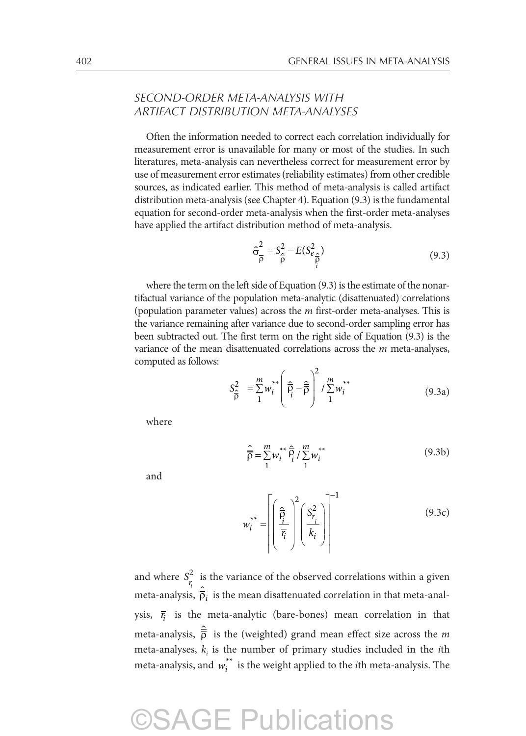#### *SECOND-ORDER META-ANALYSIS WITH ARTIFACT DISTRIBUTION META-ANALYSES*

Often the information needed to correct each correlation individually for measurement error is unavailable for many or most of the studies. In such literatures, meta-analysis can nevertheless correct for measurement error by use of measurement error estimates (reliability estimates) from other credible sources, as indicated earlier. This method of meta-analysis is called artifact distribution meta-analysis (see Chapter 4). Equation (9.3) is the fundamental equation for second-order meta-analysis when the first-order meta-analyses have applied the artifact distribution method of meta-analysis.

$$
\hat{\sigma}_{\overline{\rho}}^2 = S_{\hat{\overline{\rho}}}^2 - E(S_{e_{\hat{\overline{\rho}}}^2}^2)
$$
\n(9.3)

where the term on the left side of Equation (9.3) is the estimate of the nonartifactual variance of the population meta-analytic (disattenuated) correlations (population parameter values) across the *m* first-order meta-analyses. This is the variance remaining after variance due to second-order sampling error has been subtracted out. The first term on the right side of Equation (9.3) is the variance of the mean disattenuated correlations across the *m* meta-analyses, computed as follows:

$$
S_{\widehat{\rho}}^2 = \sum_{1}^{m} w_i^{**} \left( \widehat{\overline{\rho}}_i - \widehat{\overline{\rho}}_i \right)^2 / \sum_{1}^{m} w_i^{**}
$$
(9.3a)

where

$$
\widehat{\overline{\rho}} = \sum_{1}^{m} w_i^{**} \widehat{P}_i / \sum_{1}^{m} w_i^{**}
$$
\n(9.3b)

and

$$
w_i^{**} = \left[ \left( \frac{\widehat{p}_i}{\overline{r}_i} \right)^2 \left( \frac{S_{r_i}^2}{k_i} \right) \right]^{-1} \tag{9.3c}
$$

and where  $S^2_{r_i}$  is the variance of the observed correlations within a given meta-analysis,  $\hat{\vec{p}}_i$  is the mean disattenuated correlation in that meta-analysis,  $\bar{r}_i$  is the meta-analytic (bare-bones) mean correlation in that meta-analysis,  $\hat{\bar{p}}$  is the (weighted) grand mean effect size across the *m* meta-analyses, *ki* is the number of primary studies included in the *i*th meta-analysis, and  $w_i^{**}$  is the weight applied to the *i*th meta-analysis. The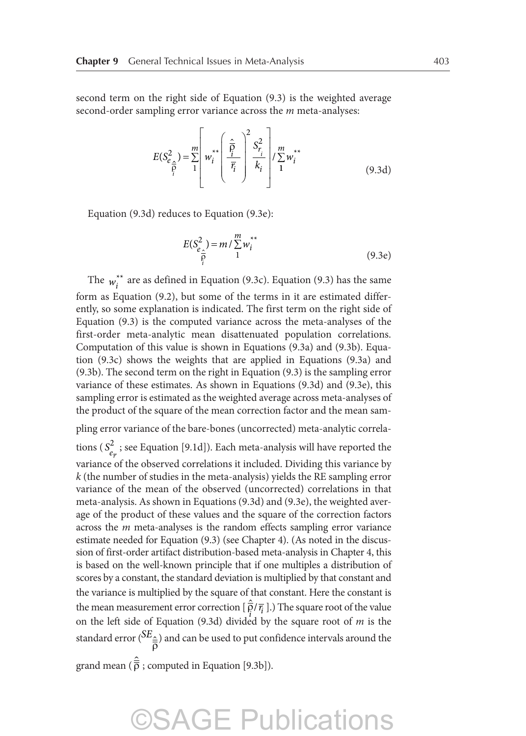second term on the right side of Equation (9.3) is the weighted average second-order sampling error variance across the *m* meta-analyses:

$$
E(S_{e_{\widehat{P}}})^2 = \sum_{i=1}^{m} \left[ w_i^* \left( \frac{\widehat{P}}{i} \right)^2 \frac{S_{r_i}^2}{K_i} \right] / \sum_{i=1}^{m} w_i^{**}
$$
(9.3d)

Equation (9.3d) reduces to Equation (9.3e):

$$
E(S_{e_{\hat{i}}}^{2}) = m / \sum_{i=1}^{m} w_{i}^{**}
$$
 (9.3e)

The  $w_i^{**}$  are as defined in Equation (9.3c). Equation (9.3) has the same form as Equation (9.2), but some of the terms in it are estimated differently, so some explanation is indicated. The first term on the right side of Equation (9.3) is the computed variance across the meta-analyses of the first-order meta-analytic mean disattenuated population correlations. Computation of this value is shown in Equations (9.3a) and (9.3b). Equation (9.3c) shows the weights that are applied in Equations (9.3a) and (9.3b). The second term on the right in Equation (9.3) is the sampling error variance of these estimates. As shown in Equations (9.3d) and (9.3e), this sampling error is estimated as the weighted average across meta-analyses of the product of the square of the mean correction factor and the mean sam-

pling error variance of the bare-bones (uncorrected) meta-analytic correlations ( $S^2_{e_{\overline{r}}}$ ; see Equation [9.1d]). Each meta-analysis will have reported the variance of the observed correlations it included. Dividing this variance by *k* (the number of studies in the meta-analysis) yields the RE sampling error variance of the mean of the observed (uncorrected) correlations in that meta-analysis. As shown in Equations (9.3d) and (9.3e), the weighted average of the product of these values and the square of the correction factors across the *m* meta-analyses is the random effects sampling error variance estimate needed for Equation (9.3) (see Chapter 4). (As noted in the discussion of first-order artifact distribution-based meta-analysis in Chapter 4, this is based on the well-known principle that if one multiples a distribution of scores by a constant, the standard deviation is multiplied by that constant and the variance is multiplied by the square of that constant. Here the constant is the mean measurement error correction  $[\hat{\vec{p}}/\vec{r}]$ .) The square root of the value on the left side of Equation (9.3d) divided by the square root of *m* is the standard error  $\left(\frac{SE}{\hat{\rho}}\right)$  and can be used to put confidence intervals around the

grand mean ( $\hat{\bar{\rho}}$  ; computed in Equation [9.3b]).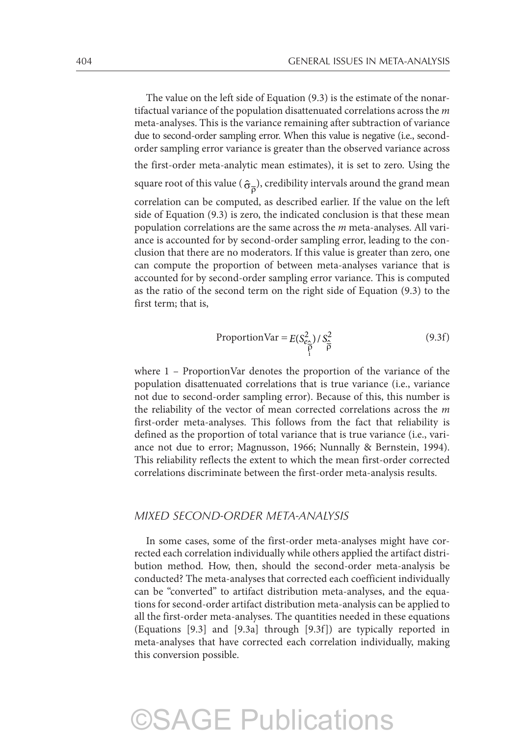The value on the left side of Equation (9.3) is the estimate of the nonartifactual variance of the population disattenuated correlations across the *m* meta-analyses. This is the variance remaining after subtraction of variance due to second-order sampling error. When this value is negative (i.e., secondorder sampling error variance is greater than the observed variance across the first-order meta-analytic mean estimates), it is set to zero. Using the square root of this value ( $\hat{\sigma}_{\overline{0}}$ ), credibility intervals around the grand mean correlation can be computed, as described earlier. If the value on the left side of Equation (9.3) is zero, the indicated conclusion is that these mean population correlations are the same across the *m* meta-analyses. All variance is accounted for by second-order sampling error, leading to the conclusion that there are no moderators. If this value is greater than zero, one can compute the proportion of between meta-analyses variance that is accounted for by second-order sampling error variance. This is computed as the ratio of the second term on the right side of Equation (9.3) to the first term; that is,

$$
ProportionVar = E(S_{e_{\hat{\rho}}}^2) / S_{\hat{\rho}}^2
$$
\n(9.3f)

where 1 – ProportionVar denotes the proportion of the variance of the population disattenuated correlations that is true variance (i.e., variance not due to second-order sampling error). Because of this, this number is the reliability of the vector of mean corrected correlations across the *m* first-order meta-analyses. This follows from the fact that reliability is defined as the proportion of total variance that is true variance (i.e., variance not due to error; Magnusson, 1966; Nunnally & Bernstein, 1994). This reliability reflects the extent to which the mean first-order corrected correlations discriminate between the first-order meta-analysis results.

#### *MIXED SECOND-ORDER META-ANALYSIS*

In some cases, some of the first-order meta-analyses might have corrected each correlation individually while others applied the artifact distribution method. How, then, should the second-order meta-analysis be conducted? The meta-analyses that corrected each coefficient individually can be "converted" to artifact distribution meta-analyses, and the equations for second-order artifact distribution meta-analysis can be applied to all the first-order meta-analyses. The quantities needed in these equations (Equations [9.3] and [9.3a] through [9.3f]) are typically reported in meta-analyses that have corrected each correlation individually, making this conversion possible.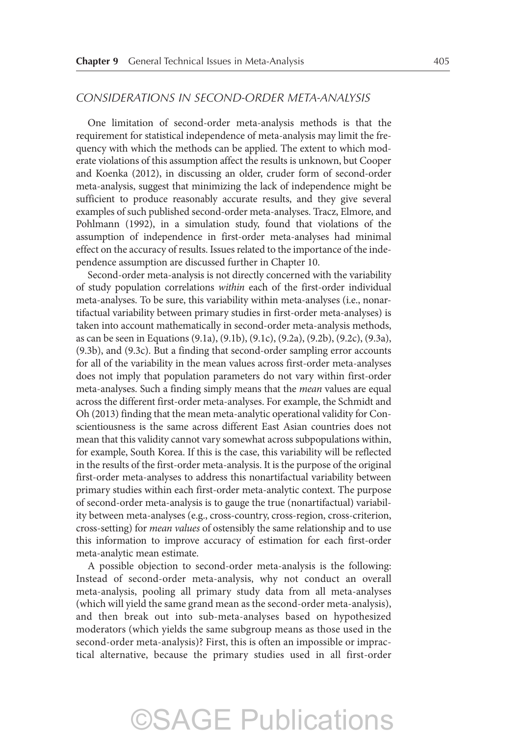#### *CONSIDERATIONS IN SECOND-ORDER META-ANALYSIS*

One limitation of second-order meta-analysis methods is that the requirement for statistical independence of meta-analysis may limit the frequency with which the methods can be applied. The extent to which moderate violations of this assumption affect the results is unknown, but Cooper and Koenka (2012), in discussing an older, cruder form of second-order meta-analysis, suggest that minimizing the lack of independence might be sufficient to produce reasonably accurate results, and they give several examples of such published second-order meta-analyses. Tracz, Elmore, and Pohlmann (1992), in a simulation study, found that violations of the assumption of independence in first-order meta-analyses had minimal effect on the accuracy of results. Issues related to the importance of the independence assumption are discussed further in Chapter 10.

Second-order meta-analysis is not directly concerned with the variability of study population correlations *within* each of the first-order individual meta-analyses. To be sure, this variability within meta-analyses (i.e., nonartifactual variability between primary studies in first-order meta-analyses) is taken into account mathematically in second-order meta-analysis methods, as can be seen in Equations (9.1a), (9.1b), (9.1c), (9.2a), (9.2b), (9.2c), (9.3a), (9.3b), and (9.3c). But a finding that second-order sampling error accounts for all of the variability in the mean values across first-order meta-analyses does not imply that population parameters do not vary within first-order meta-analyses. Such a finding simply means that the *mean* values are equal across the different first-order meta-analyses. For example, the Schmidt and Oh (2013) finding that the mean meta-analytic operational validity for Conscientiousness is the same across different East Asian countries does not mean that this validity cannot vary somewhat across subpopulations within, for example, South Korea. If this is the case, this variability will be reflected in the results of the first-order meta-analysis. It is the purpose of the original first-order meta-analyses to address this nonartifactual variability between primary studies within each first-order meta-analytic context. The purpose of second-order meta-analysis is to gauge the true (nonartifactual) variability between meta-analyses (e.g., cross-country, cross-region, cross-criterion, cross-setting) for *mean values* of ostensibly the same relationship and to use this information to improve accuracy of estimation for each first-order meta-analytic mean estimate.

A possible objection to second-order meta-analysis is the following: Instead of second-order meta-analysis, why not conduct an overall meta-analysis, pooling all primary study data from all meta-analyses (which will yield the same grand mean as the second-order meta-analysis), and then break out into sub-meta-analyses based on hypothesized moderators (which yields the same subgroup means as those used in the second-order meta-analysis)? First, this is often an impossible or impractical alternative, because the primary studies used in all first-order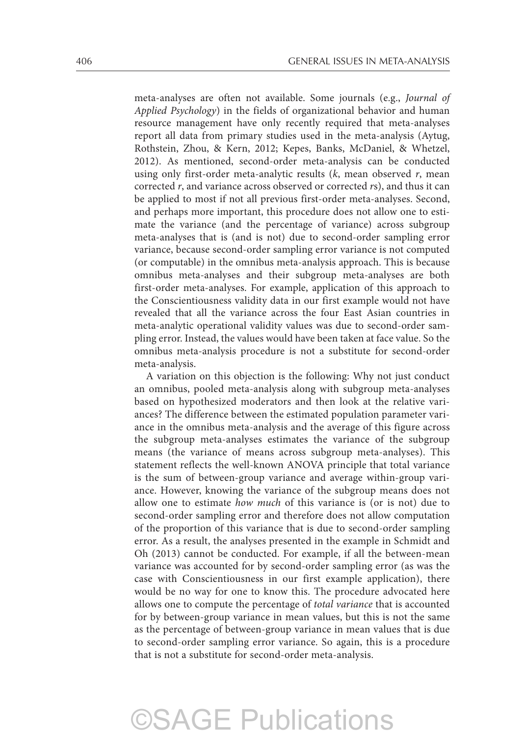meta-analyses are often not available. Some journals (e.g., *Journal of Applied Psychology*) in the fields of organizational behavior and human resource management have only recently required that meta-analyses report all data from primary studies used in the meta-analysis (Aytug, Rothstein, Zhou, & Kern, 2012; Kepes, Banks, McDaniel, & Whetzel, 2012). As mentioned, second-order meta-analysis can be conducted using only first-order meta-analytic results (*k*, mean observed *r*, mean corrected *r*, and variance across observed or corrected *r*s), and thus it can be applied to most if not all previous first-order meta-analyses. Second, and perhaps more important, this procedure does not allow one to estimate the variance (and the percentage of variance) across subgroup meta-analyses that is (and is not) due to second-order sampling error variance, because second-order sampling error variance is not computed (or computable) in the omnibus meta-analysis approach. This is because omnibus meta-analyses and their subgroup meta-analyses are both first-order meta-analyses. For example, application of this approach to the Conscientiousness validity data in our first example would not have revealed that all the variance across the four East Asian countries in meta-analytic operational validity values was due to second-order sampling error. Instead, the values would have been taken at face value. So the omnibus meta-analysis procedure is not a substitute for second-order meta-analysis.

A variation on this objection is the following: Why not just conduct an omnibus, pooled meta-analysis along with subgroup meta-analyses based on hypothesized moderators and then look at the relative variances? The difference between the estimated population parameter variance in the omnibus meta-analysis and the average of this figure across the subgroup meta-analyses estimates the variance of the subgroup means (the variance of means across subgroup meta-analyses). This statement reflects the well-known ANOVA principle that total variance is the sum of between-group variance and average within-group variance. However, knowing the variance of the subgroup means does not allow one to estimate *how much* of this variance is (or is not) due to second-order sampling error and therefore does not allow computation of the proportion of this variance that is due to second-order sampling error. As a result, the analyses presented in the example in Schmidt and Oh (2013) cannot be conducted. For example, if all the between-mean variance was accounted for by second-order sampling error (as was the case with Conscientiousness in our first example application), there would be no way for one to know this. The procedure advocated here allows one to compute the percentage of *total variance* that is accounted for by between-group variance in mean values, but this is not the same as the percentage of between-group variance in mean values that is due to second-order sampling error variance. So again, this is a procedure that is not a substitute for second-order meta-analysis.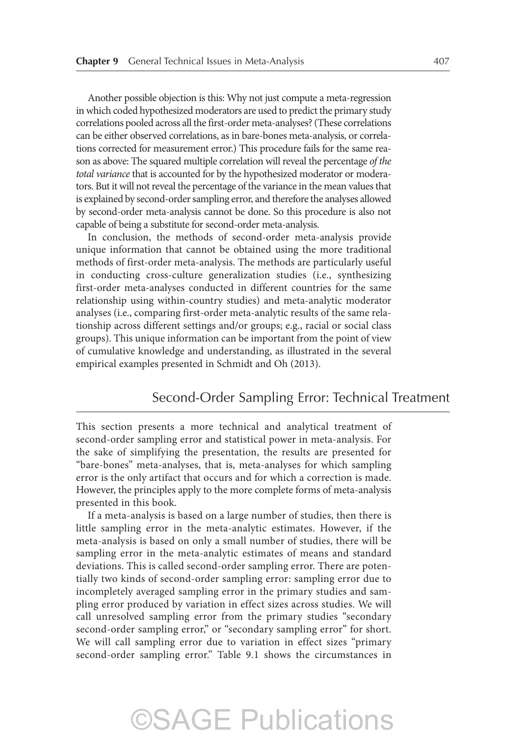Another possible objection is this: Why not just compute a meta-regression in which coded hypothesized moderators are used to predict the primary study correlations pooled across all the first-order meta-analyses? (These correlations can be either observed correlations, as in bare-bones meta-analysis, or correlations corrected for measurement error.) This procedure fails for the same reason as above: The squared multiple correlation will reveal the percentage *of the total variance* that is accounted for by the hypothesized moderator or moderators. But it will not reveal the percentage of the variance in the mean values that is explained by second-order sampling error, and therefore the analyses allowed by second-order meta-analysis cannot be done. So this procedure is also not capable of being a substitute for second-order meta-analysis.

In conclusion, the methods of second-order meta-analysis provide unique information that cannot be obtained using the more traditional methods of first-order meta-analysis. The methods are particularly useful in conducting cross-culture generalization studies (i.e., synthesizing first-order meta-analyses conducted in different countries for the same relationship using within-country studies) and meta-analytic moderator analyses (i.e., comparing first-order meta-analytic results of the same relationship across different settings and/or groups; e.g., racial or social class groups). This unique information can be important from the point of view of cumulative knowledge and understanding, as illustrated in the several empirical examples presented in Schmidt and Oh (2013).

#### Second-Order Sampling Error: Technical Treatment

This section presents a more technical and analytical treatment of second-order sampling error and statistical power in meta-analysis. For the sake of simplifying the presentation, the results are presented for "bare-bones" meta-analyses, that is, meta-analyses for which sampling error is the only artifact that occurs and for which a correction is made. However, the principles apply to the more complete forms of meta-analysis presented in this book.

If a meta-analysis is based on a large number of studies, then there is little sampling error in the meta-analytic estimates. However, if the meta-analysis is based on only a small number of studies, there will be sampling error in the meta-analytic estimates of means and standard deviations. This is called second-order sampling error. There are potentially two kinds of second-order sampling error: sampling error due to incompletely averaged sampling error in the primary studies and sampling error produced by variation in effect sizes across studies. We will call unresolved sampling error from the primary studies "secondary second-order sampling error," or "secondary sampling error" for short. We will call sampling error due to variation in effect sizes "primary second-order sampling error." Table 9.1 shows the circumstances in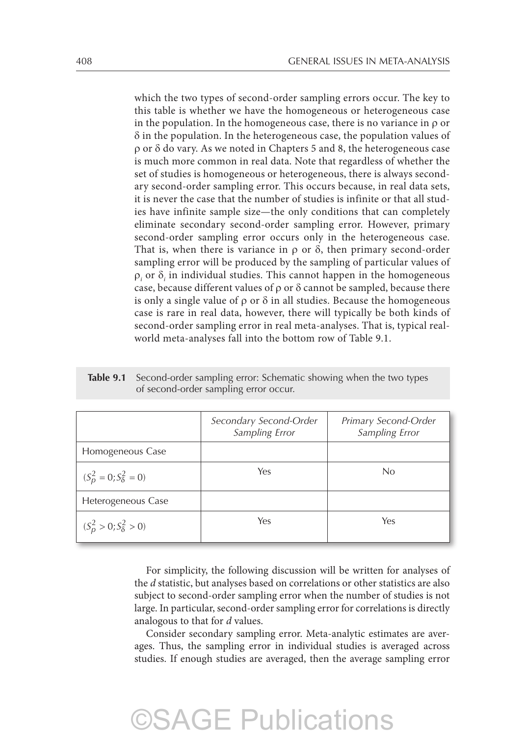which the two types of second-order sampling errors occur. The key to this table is whether we have the homogeneous or heterogeneous case in the population. In the homogeneous case, there is no variance in  $\rho$  or δ in the population. In the heterogeneous case, the population values of ρ or δ do vary. As we noted in Chapters 5 and 8, the heterogeneous case is much more common in real data. Note that regardless of whether the set of studies is homogeneous or heterogeneous, there is always secondary second-order sampling error. This occurs because, in real data sets, it is never the case that the number of studies is infinite or that all studies have infinite sample size—the only conditions that can completely eliminate secondary second-order sampling error. However, primary second-order sampling error occurs only in the heterogeneous case. That is, when there is variance in  $\rho$  or  $\delta$ , then primary second-order sampling error will be produced by the sampling of particular values of  $\rho_i$  or  $\delta_i$  in individual studies. This cannot happen in the homogeneous case, because different values of  $\rho$  or  $\delta$  cannot be sampled, because there is only a single value of  $\rho$  or  $\delta$  in all studies. Because the homogeneous case is rare in real data, however, there will typically be both kinds of second-order sampling error in real meta-analyses. That is, typical realworld meta-analyses fall into the bottom row of Table 9.1.

| <b>Table 9.1</b> Second-order sampling error: Schematic showing when the two types |
|------------------------------------------------------------------------------------|
| of second-order sampling error occur.                                              |

|                               | Secondary Second-Order<br>Sampling Error | Primary Second-Order<br>Sampling Error |
|-------------------------------|------------------------------------------|----------------------------------------|
| Homogeneous Case              |                                          |                                        |
| $(S_p^2 = 0; S_\delta^2 = 0)$ | Yes                                      | N <sub>0</sub>                         |
| Heterogeneous Case            |                                          |                                        |
| $(S_p^2 > 0; S_\delta^2 > 0)$ | Yes                                      | Yes                                    |

For simplicity, the following discussion will be written for analyses of the *d* statistic, but analyses based on correlations or other statistics are also subject to second-order sampling error when the number of studies is not large. In particular, second-order sampling error for correlations is directly analogous to that for *d* values.

Consider secondary sampling error. Meta-analytic estimates are averages. Thus, the sampling error in individual studies is averaged across studies. If enough studies are averaged, then the average sampling error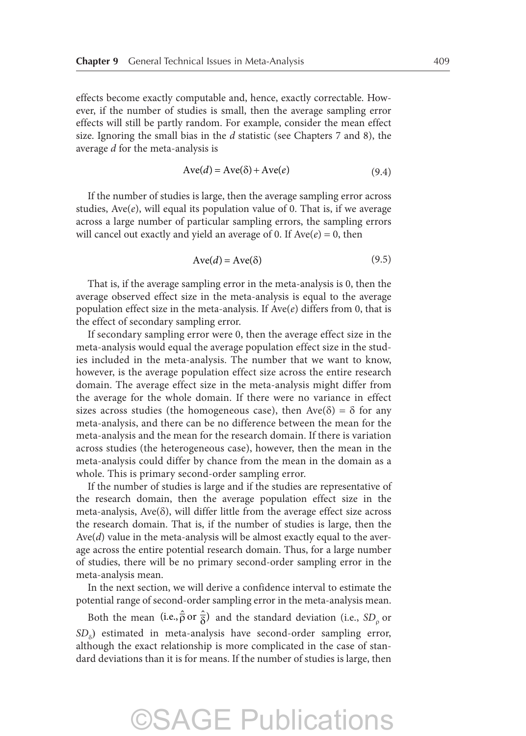effects become exactly computable and, hence, exactly correctable. However, if the number of studies is small, then the average sampling error effects will still be partly random. For example, consider the mean effect size. Ignoring the small bias in the *d* statistic (see Chapters 7 and 8), the average *d* for the meta-analysis is

$$
Ave(d) = Ave(\delta) + Ave(e)
$$
 (9.4)

If the number of studies is large, then the average sampling error across studies, Ave(*e*), will equal its population value of 0. That is, if we average across a large number of particular sampling errors, the sampling errors will cancel out exactly and yield an average of 0. If  $Ave(e) = 0$ , then

$$
Ave(d) = Ave(\delta)
$$
 (9.5)

That is, if the average sampling error in the meta-analysis is 0, then the average observed effect size in the meta-analysis is equal to the average population effect size in the meta-analysis. If Ave(*e*) differs from 0, that is the effect of secondary sampling error.

If secondary sampling error were 0, then the average effect size in the meta-analysis would equal the average population effect size in the studies included in the meta-analysis. The number that we want to know, however, is the average population effect size across the entire research domain. The average effect size in the meta-analysis might differ from the average for the whole domain. If there were no variance in effect sizes across studies (the homogeneous case), then  $Ave(\delta) = \delta$  for any meta-analysis, and there can be no difference between the mean for the meta-analysis and the mean for the research domain. If there is variation across studies (the heterogeneous case), however, then the mean in the meta-analysis could differ by chance from the mean in the domain as a whole. This is primary second-order sampling error.

If the number of studies is large and if the studies are representative of the research domain, then the average population effect size in the meta-analysis,  $Ave(\delta)$ , will differ little from the average effect size across the research domain. That is, if the number of studies is large, then the Ave(*d*) value in the meta-analysis will be almost exactly equal to the average across the entire potential research domain. Thus, for a large number of studies, there will be no primary second-order sampling error in the meta-analysis mean.

In the next section, we will derive a confidence interval to estimate the potential range of second-order sampling error in the meta-analysis mean.

Both the mean (i.e.,  $\hat{\vec{p}}$  or  $\hat{\vec{\delta}}$ ) and the standard deviation (i.e., *SD*<sub> $\rho$ </sub> or *SD*<sub> $s$ </sub>) estimated in meta-analysis have second-order sampling error, although the exact relationship is more complicated in the case of standard deviations than it is for means. If the number of studies is large, then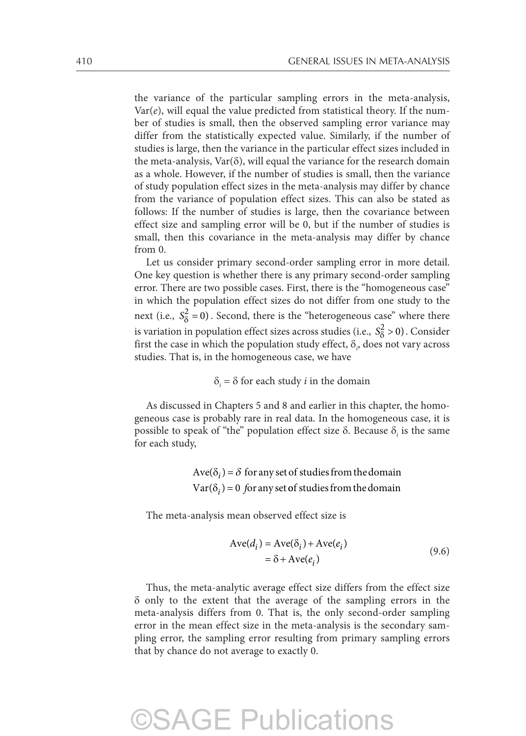the variance of the particular sampling errors in the meta-analysis, Var $(e)$ , will equal the value predicted from statistical theory. If the number of studies is small, then the observed sampling error variance may differ from the statistically expected value. Similarly, if the number of studies is large, then the variance in the particular effect sizes included in the meta-analysis,  $Var(\delta)$ , will equal the variance for the research domain as a whole. However, if the number of studies is small, then the variance of study population effect sizes in the meta-analysis may differ by chance from the variance of population effect sizes. This can also be stated as follows: If the number of studies is large, then the covariance between effect size and sampling error will be 0, but if the number of studies is small, then this covariance in the meta-analysis may differ by chance from 0.

Let us consider primary second-order sampling error in more detail. One key question is whether there is any primary second-order sampling error. There are two possible cases. First, there is the "homogeneous case" in which the population effect sizes do not differ from one study to the next (i.e.,  $S_0^2 = 0$ ). Second, there is the "heterogeneous case" where there is variation in population effect sizes across studies (i.e.,  $S_8^2 > 0$ ). Consider first the case in which the population study effect,  $\delta$ <sub>i</sub>, does not vary across studies. That is, in the homogeneous case, we have

 $\delta_i = \delta$  for each study *i* in the domain

As discussed in Chapters 5 and 8 and earlier in this chapter, the homogeneous case is probably rare in real data. In the homogeneous case, it is possible to speak of "the" population effect size  $\delta$ . Because  $\delta_i$  is the same for each study,

> $Ave(\delta_i) = \delta$  for any set of studies from the domain  $Var(\delta_i) = 0$  *f* or any set of studies from the domain

The meta-analysis mean observed effect size is

$$
Ave(d_i) = Ave(\delta_i) + Ave(e_i)
$$
  
=  $\delta + Ave(e_i)$  (9.6)

Thus, the meta-analytic average effect size differs from the effect size δ only to the extent that the average of the sampling errors in the meta-analysis differs from 0. That is, the only second-order sampling error in the mean effect size in the meta-analysis is the secondary sampling error, the sampling error resulting from primary sampling errors that by chance do not average to exactly 0.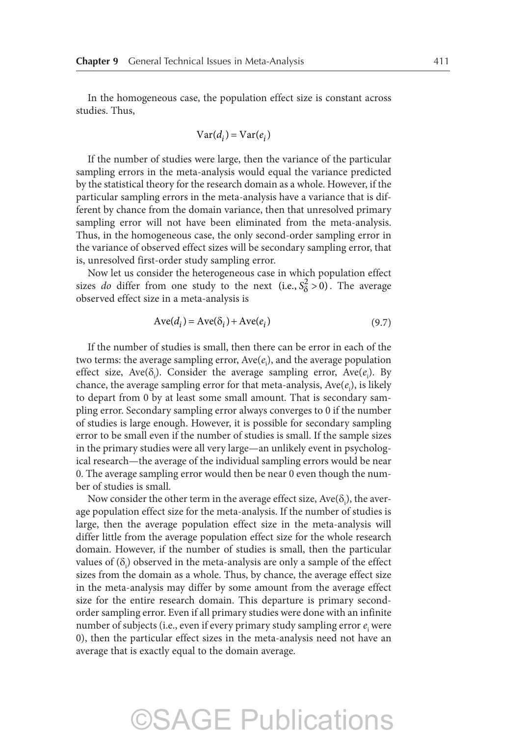In the homogeneous case, the population effect size is constant across studies. Thus,

$$
Var(d_i) = Var(e_i)
$$

If the number of studies were large, then the variance of the particular sampling errors in the meta-analysis would equal the variance predicted by the statistical theory for the research domain as a whole. However, if the particular sampling errors in the meta-analysis have a variance that is different by chance from the domain variance, then that unresolved primary sampling error will not have been eliminated from the meta-analysis. Thus, in the homogeneous case, the only second-order sampling error in the variance of observed effect sizes will be secondary sampling error, that is, unresolved first-order study sampling error.

Now let us consider the heterogeneous case in which population effect sizes *do* differ from one study to the next (i.e.,  $S_6^2 > 0$ ). The average observed effect size in a meta-analysis is

$$
Ave(d_i) = Ave(\delta_i) + Ave(e_i)
$$
\n(9.7)

If the number of studies is small, then there can be error in each of the two terms: the average sampling error,  $Ave(e_i)$ , and the average population effect size, Ave( $\delta$ <sub>i</sub>). Consider the average sampling error, Ave( $e$ <sub>i</sub>). By chance, the average sampling error for that meta-analysis, Ave( $e_i$ ), is likely to depart from 0 by at least some small amount. That is secondary sampling error. Secondary sampling error always converges to 0 if the number of studies is large enough. However, it is possible for secondary sampling error to be small even if the number of studies is small. If the sample sizes in the primary studies were all very large—an unlikely event in psychological research—the average of the individual sampling errors would be near 0. The average sampling error would then be near 0 even though the number of studies is small.

Now consider the other term in the average effect size,  $Ave(\delta_i)$ , the average population effect size for the meta-analysis. If the number of studies is large, then the average population effect size in the meta-analysis will differ little from the average population effect size for the whole research domain. However, if the number of studies is small, then the particular values of  $(\delta_i)$  observed in the meta-analysis are only a sample of the effect sizes from the domain as a whole. Thus, by chance, the average effect size in the meta-analysis may differ by some amount from the average effect size for the entire research domain. This departure is primary secondorder sampling error. Even if all primary studies were done with an infinite number of subjects (i.e., even if every primary study sampling error  $e_{\rm i}$  were 0), then the particular effect sizes in the meta-analysis need not have an average that is exactly equal to the domain average.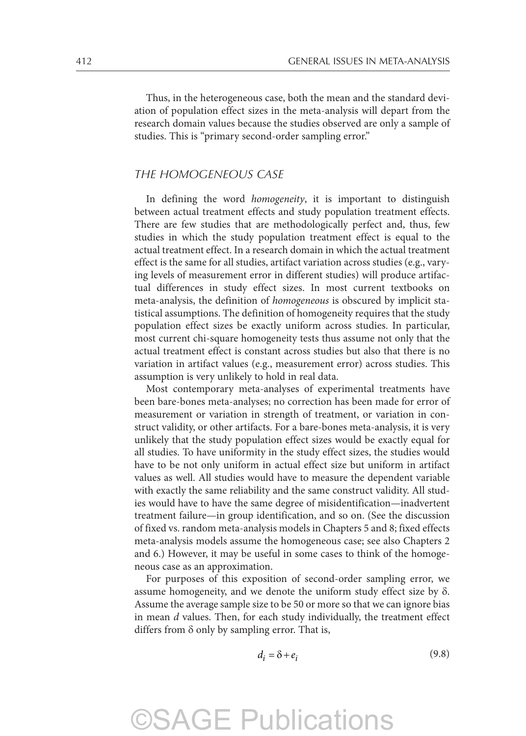Thus, in the heterogeneous case, both the mean and the standard deviation of population effect sizes in the meta-analysis will depart from the research domain values because the studies observed are only a sample of studies. This is "primary second-order sampling error."

#### *THE HOMOGENEOUS CASE*

In defining the word *homogeneity*, it is important to distinguish between actual treatment effects and study population treatment effects. There are few studies that are methodologically perfect and, thus, few studies in which the study population treatment effect is equal to the actual treatment effect. In a research domain in which the actual treatment effect is the same for all studies, artifact variation across studies (e.g., varying levels of measurement error in different studies) will produce artifactual differences in study effect sizes. In most current textbooks on meta-analysis, the definition of *homogeneous* is obscured by implicit statistical assumptions. The definition of homogeneity requires that the study population effect sizes be exactly uniform across studies. In particular, most current chi-square homogeneity tests thus assume not only that the actual treatment effect is constant across studies but also that there is no variation in artifact values (e.g., measurement error) across studies. This assumption is very unlikely to hold in real data.

Most contemporary meta-analyses of experimental treatments have been bare-bones meta-analyses; no correction has been made for error of measurement or variation in strength of treatment, or variation in construct validity, or other artifacts. For a bare-bones meta-analysis, it is very unlikely that the study population effect sizes would be exactly equal for all studies. To have uniformity in the study effect sizes, the studies would have to be not only uniform in actual effect size but uniform in artifact values as well. All studies would have to measure the dependent variable with exactly the same reliability and the same construct validity. All studies would have to have the same degree of misidentification—inadvertent treatment failure—in group identification, and so on. (See the discussion of fixed vs. random meta-analysis models in Chapters 5 and 8; fixed effects meta-analysis models assume the homogeneous case; see also Chapters 2 and 6.) However, it may be useful in some cases to think of the homogeneous case as an approximation.

For purposes of this exposition of second-order sampling error, we assume homogeneity, and we denote the uniform study effect size by δ. Assume the average sample size to be 50 or more so that we can ignore bias in mean *d* values. Then, for each study individually, the treatment effect differs from δ only by sampling error. That is,

$$
d_i = \delta + e_i \tag{9.8}
$$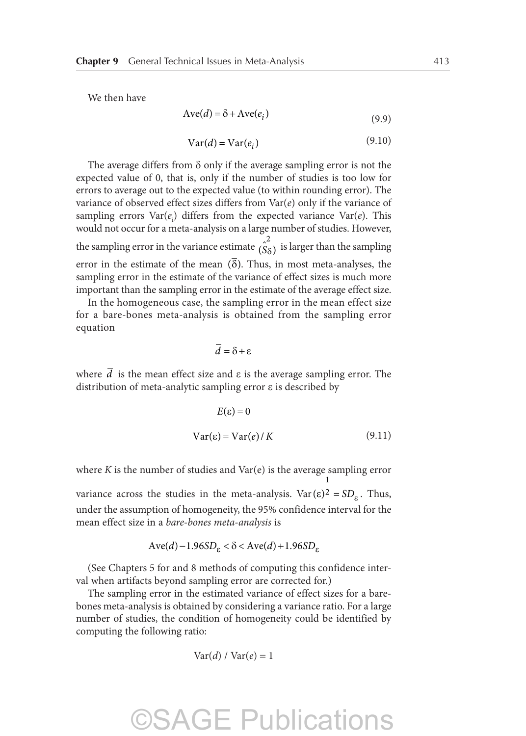We then have

$$
Ave(d) = \delta + Ave(e_i)
$$
\n(9.9)

$$
Var(d) = Var(e_i)
$$
\n(9.10)

The average differs from  $\delta$  only if the average sampling error is not the expected value of 0, that is, only if the number of studies is too low for errors to average out to the expected value (to within rounding error). The variance of observed effect sizes differs from Var(*e*) only if the variance of sampling errors  $Var(e_i)$  differs from the expected variance  $Var(e)$ . This would not occur for a meta-analysis on a large number of studies. However, the sampling error in the variance estimate  $\hat{S}_\delta^2$  $\hat{S}_\delta$ ) is larger than the sampling error in the estimate of the mean  $(\delta)$ . Thus, in most meta-analyses, the sampling error in the estimate of the variance of effect sizes is much more important than the sampling error in the estimate of the average effect size.

In the homogeneous case, the sampling error in the mean effect size for a bare-bones meta-analysis is obtained from the sampling error equation

$$
\overline{d} = \delta + \varepsilon
$$

where  $d$  is the mean effect size and  $\varepsilon$  is the average sampling error. The distribution of meta-analytic sampling error ε is described by

$$
E(\varepsilon) = 0
$$
  
Var( $\varepsilon$ ) = Var(*e*)/K (9.11)

where  $K$  is the number of studies and  $Var(e)$  is the average sampling error

variance across the studies in the meta-analysis.  $Var(\epsilon)^2 = SD_{\epsilon}$ . Thus, 1 under the assumption of homogeneity, the 95% confidence interval for the mean effect size in a *bare-bones meta-analysis* is

$$
Ave(d) - 1.96SD_{\varepsilon} < \delta < Ave(d) + 1.96SD_{\varepsilon}
$$

(See Chapters 5 for and 8 methods of computing this confidence interval when artifacts beyond sampling error are corrected for.)

The sampling error in the estimated variance of effect sizes for a barebones meta-analysis is obtained by considering a variance ratio. For a large number of studies, the condition of homogeneity could be identified by computing the following ratio:

$$
Var(d) / Var(e) = 1
$$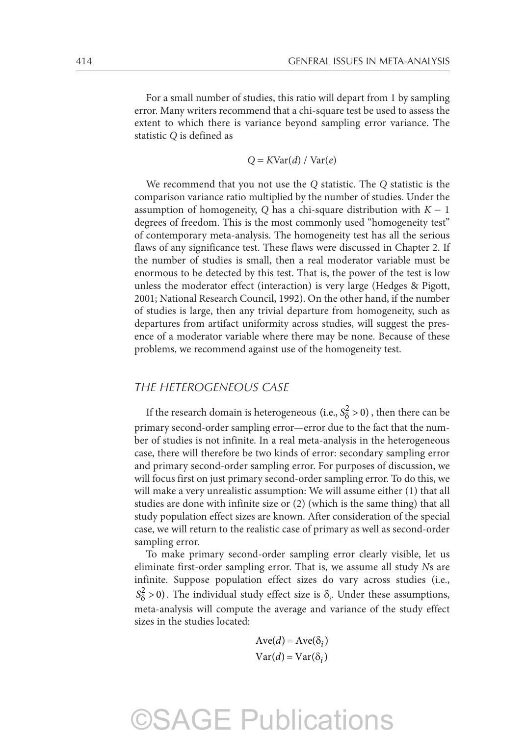For a small number of studies, this ratio will depart from 1 by sampling error. Many writers recommend that a chi-square test be used to assess the extent to which there is variance beyond sampling error variance. The statistic *Q* is defined as

$$
Q = K \text{Var}(d) / \text{Var}(e)
$$

We recommend that you not use the *Q* statistic. The *Q* statistic is the comparison variance ratio multiplied by the number of studies. Under the assumption of homogeneity, *Q* has a chi-square distribution with *K* − 1 degrees of freedom. This is the most commonly used "homogeneity test" of contemporary meta-analysis. The homogeneity test has all the serious flaws of any significance test. These flaws were discussed in Chapter 2. If the number of studies is small, then a real moderator variable must be enormous to be detected by this test. That is, the power of the test is low unless the moderator effect (interaction) is very large (Hedges & Pigott, 2001; National Research Council, 1992). On the other hand, if the number of studies is large, then any trivial departure from homogeneity, such as departures from artifact uniformity across studies, will suggest the presence of a moderator variable where there may be none. Because of these problems, we recommend against use of the homogeneity test.

#### *THE HETEROGENEOUS CASE*

If the research domain is heterogeneous (i.e.,  $S^2_\delta > 0$ ), then there can be primary second-order sampling error—error due to the fact that the number of studies is not infinite. In a real meta-analysis in the heterogeneous case, there will therefore be two kinds of error: secondary sampling error and primary second-order sampling error. For purposes of discussion, we will focus first on just primary second-order sampling error. To do this, we will make a very unrealistic assumption: We will assume either (1) that all studies are done with infinite size or (2) (which is the same thing) that all study population effect sizes are known. After consideration of the special case, we will return to the realistic case of primary as well as second-order sampling error.

To make primary second-order sampling error clearly visible, let us eliminate first-order sampling error. That is, we assume all study *N*s are infinite. Suppose population effect sizes do vary across studies (i.e.,  $S_8^2 > 0$ ). The individual study effect size is  $\delta_i$ . Under these assumptions, meta-analysis will compute the average and variance of the study effect sizes in the studies located:

> $Ave(d) = Ave(\delta_i)$  $Var(d) = Var(\delta_i)$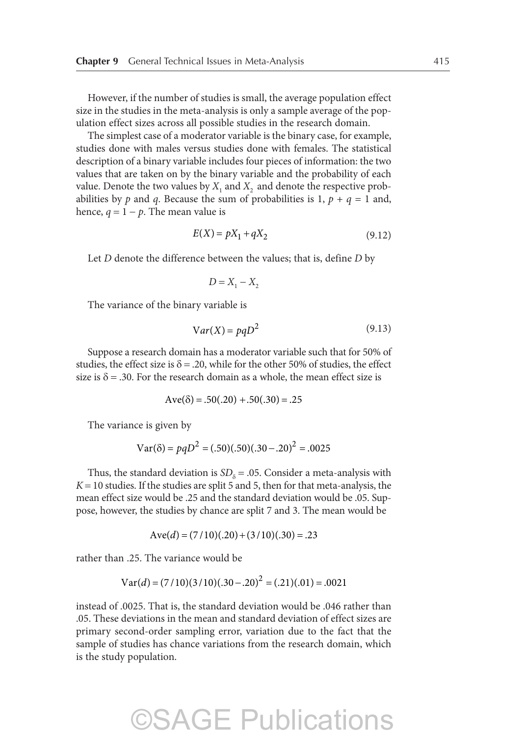However, if the number of studies is small, the average population effect size in the studies in the meta-analysis is only a sample average of the population effect sizes across all possible studies in the research domain.

The simplest case of a moderator variable is the binary case, for example, studies done with males versus studies done with females. The statistical description of a binary variable includes four pieces of information: the two values that are taken on by the binary variable and the probability of each value. Denote the two values by  $X_1$  and  $X_2$  and denote the respective probabilities by *p* and *q*. Because the sum of probabilities is 1,  $p + q = 1$  and, hence,  $q = 1 - p$ . The mean value is

$$
E(X) = pX_1 + qX_2 \tag{9.12}
$$

Let *D* denote the difference between the values; that is, define *D* by

$$
D=X_1-X_2
$$

The variance of the binary variable is

$$
Var(X) = pqD^2 \tag{9.13}
$$

Suppose a research domain has a moderator variable such that for 50% of studies, the effect size is  $\delta$  = .20, while for the other 50% of studies, the effect size is  $\delta = 0.30$ . For the research domain as a whole, the mean effect size is

$$
Ave(\delta) = .50(.20) + .50(.30) = .25
$$

The variance is given by

$$
Var(\delta) = pqD^{2} = (.50)(.50)(.30 - .20)^{2} = .0025
$$

Thus, the standard deviation is  $SD_8 = .05$ . Consider a meta-analysis with  $K = 10$  studies. If the studies are split 5 and 5, then for that meta-analysis, the mean effect size would be .25 and the standard deviation would be .05. Suppose, however, the studies by chance are split 7 and 3. The mean would be

$$
Ave(d) = (7/10)(.20) + (3/10)(.30) = .23
$$

rather than .25. The variance would be

$$
Var(d) = (7/10)(3/10)(.30 - .20)^{2} = (.21)(.01) = .0021
$$

instead of .0025. That is, the standard deviation would be .046 rather than .05. These deviations in the mean and standard deviation of effect sizes are primary second-order sampling error, variation due to the fact that the sample of studies has chance variations from the research domain, which is the study population.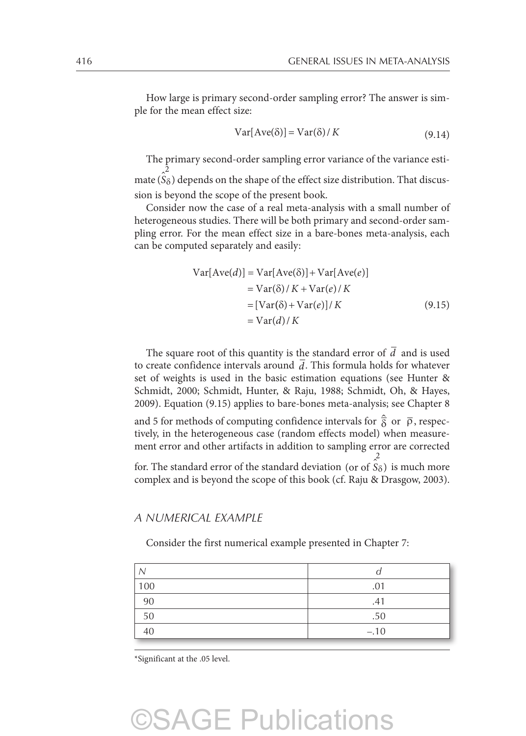How large is primary second-order sampling error? The answer is simple for the mean effect size:

$$
Var[Ave(\delta)] = Var(\delta) / K \tag{9.14}
$$

The primary second-order sampling error variance of the variance estimate  $(\hat{\vec{s}}_{\delta})$  depends on the shape of the effect size distribution. That discus-2 sion is beyond the scope of the present book.

Consider now the case of a real meta-analysis with a small number of heterogeneous studies. There will be both primary and second-order sampling error. For the mean effect size in a bare-bones meta-analysis, each can be computed separately and easily:

$$
Var[Ave(d)] = Var[Ave(\delta)] + Var[Ave(e)]
$$
  
= Var( $\delta$ )/ K + Var(e)/ K  
= [Var( $\delta$ ) + Var(e)]/ K  
= Var(d)/ K (9.15)

The square root of this quantity is the standard error of  $\overline{d}$  and is used to create confidence intervals around *d*. This formula holds for whatever set of weights is used in the basic estimation equations (see Hunter & Schmidt, 2000; Schmidt, Hunter, & Raju, 1988; Schmidt, Oh, & Hayes, 2009). Equation (9.15) applies to bare-bones meta-analysis; see Chapter 8 and 5 for methods of computing confidence intervals for  $\hat{\bar{\mathfrak{d}}}$  or  $\bar{\mathfrak{p}}$ , respectively, in the heterogeneous case (random effects model) when measurement error and other artifacts in addition to sampling error are corrected for. The standard error of the standard deviation (or of  $S_\delta$ ) 2 or of  $\overline{\hat{S}}_{\delta}$ ) is much more complex and is beyond the scope of this book (cf. Raju & Drasgow, 2003).

#### *A NUMERICAL EXAMPLE*

Consider the first numerical example presented in Chapter 7:

| 100 | .01    |
|-----|--------|
| 90  | .41    |
| 50  | .50    |
|     | $-.10$ |

\*Significant at the .05 level.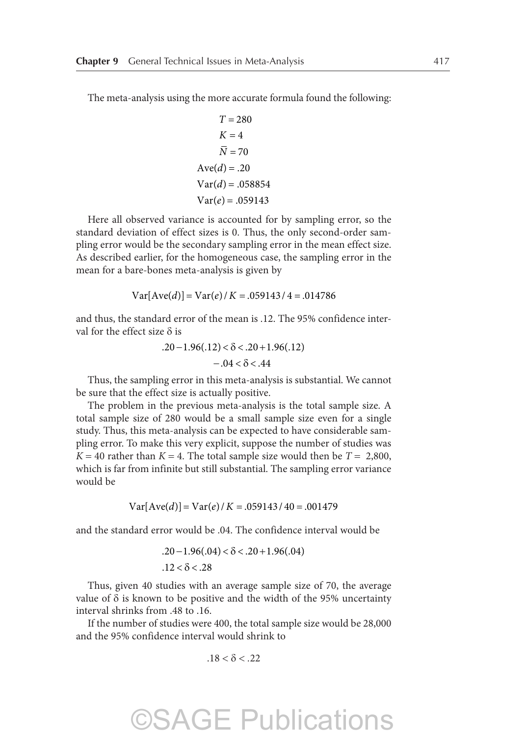The meta-analysis using the more accurate formula found the following:

$$
T = 280
$$
  
\n
$$
K = 4
$$
  
\n
$$
\overline{N} = 70
$$
  
\n
$$
Ave(d) = .20
$$
  
\n
$$
Var(d) = .058854
$$
  
\n
$$
Var(e) = .059143
$$

Here all observed variance is accounted for by sampling error, so the standard deviation of effect sizes is 0. Thus, the only second-order sampling error would be the secondary sampling error in the mean effect size. As described earlier, for the homogeneous case, the sampling error in the mean for a bare-bones meta-analysis is given by

$$
Var[Ave(d)] = Var(e)/K = .059143/4 = .014786
$$

and thus, the standard error of the mean is .12. The 95% confidence interval for the effect size  $\delta$  is

$$
.20-1.96(.12) < \delta < .20+1.96(.12) -.04 < \delta < .44
$$

Thus, the sampling error in this meta-analysis is substantial. We cannot be sure that the effect size is actually positive.

The problem in the previous meta-analysis is the total sample size. A total sample size of 280 would be a small sample size even for a single study. Thus, this meta-analysis can be expected to have considerable sampling error. To make this very explicit, suppose the number of studies was  $K = 40$  rather than  $K = 4$ . The total sample size would then be  $T = 2,800$ , which is far from infinite but still substantial. The sampling error variance would be

$$
Var[Ave(d)] = Var(e)/K = .059143/40 = .001479
$$

and the standard error would be .04. The confidence interval would be

$$
.20-1.96(.04) < \delta < .20+1.96(.04)
$$
  
.12 <  $\delta$  < .28

Thus, given 40 studies with an average sample size of 70, the average value of  $\delta$  is known to be positive and the width of the 95% uncertainty interval shrinks from .48 to .16.

If the number of studies were 400, the total sample size would be 28,000 and the 95% confidence interval would shrink to

$$
.18 < \delta < .22
$$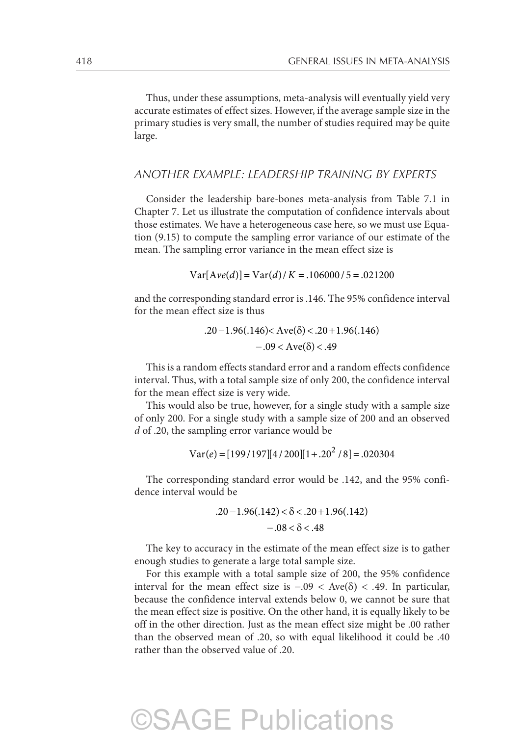Thus, under these assumptions, meta-analysis will eventually yield very accurate estimates of effect sizes. However, if the average sample size in the primary studies is very small, the number of studies required may be quite large.

#### *ANOTHER EXAMPLE: LEADERSHIP TRAINING BY EXPERTS*

Consider the leadership bare-bones meta-analysis from Table 7.1 in Chapter 7. Let us illustrate the computation of confidence intervals about those estimates. We have a heterogeneous case here, so we must use Equation (9.15) to compute the sampling error variance of our estimate of the mean. The sampling error variance in the mean effect size is

$$
Var[Ave(d)] = Var(d)/K = .106000/5 = .021200
$$

and the corresponding standard error is .146. The 95% confidence interval for the mean effect size is thus

$$
.20-1.96(.146) < Ave(\delta) < .20+1.96(.146) -.09 < Ave(\delta) < .49
$$

This is a random effects standard error and a random effects confidence interval. Thus, with a total sample size of only 200, the confidence interval for the mean effect size is very wide.

This would also be true, however, for a single study with a sample size of only 200. For a single study with a sample size of 200 and an observed *d* of .20, the sampling error variance would be

$$
Var(e) = [199/197][4/200][1+.202/8] = .020304
$$

The corresponding standard error would be .142, and the 95% confidence interval would be

$$
.20-1.96(.142) < \delta < .20+1.96(.142)
$$
  

$$
-.08 < \delta < .48
$$

The key to accuracy in the estimate of the mean effect size is to gather enough studies to generate a large total sample size.

For this example with a total sample size of 200, the 95% confidence interval for the mean effect size is −.09 < Ave(δ) < *.*49. In particular, because the confidence interval extends below 0, we cannot be sure that the mean effect size is positive. On the other hand, it is equally likely to be off in the other direction. Just as the mean effect size might be .00 rather than the observed mean of .20, so with equal likelihood it could be .40 rather than the observed value of .20.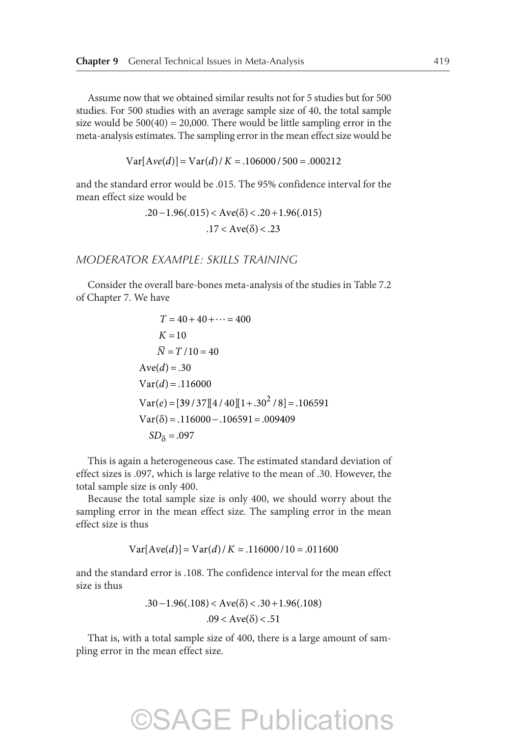Assume now that we obtained similar results not for 5 studies but for 500 studies. For 500 studies with an average sample size of 40, the total sample size would be  $500(40) = 20,000$ . There would be little sampling error in the meta-analysis estimates. The sampling error in the mean effect size would be

$$
Var[Ave(d)] = Var(d)/K = .106000/500 = .000212
$$

and the standard error would be .015. The 95% confidence interval for the mean effect size would be

$$
.20-1.96(.015) < Ave(\delta) < .20+1.96(.015)
$$
\n
$$
.17 < Ave(\delta) < .23
$$

#### *MODERATOR EXAMPLE: SKILLS TRAINING*

Consider the overall bare-bones meta-analysis of the studies in Table 7.2 of Chapter 7. We have

$$
T = 40 + 40 + \dots = 400
$$
  
\n
$$
K = 10
$$
  
\n
$$
\overline{N} = T/10 = 40
$$
  
\n
$$
Ave(d) = .30
$$
  
\n
$$
Var(d) = .116000
$$
  
\n
$$
Var(e) = [39/37][4/40][1+.302/8] = .106591
$$
  
\n
$$
Var(\delta) = .116000 - .106591 = .009409
$$
  
\n
$$
SD_{\delta} = .097
$$

This is again a heterogeneous case. The estimated standard deviation of effect sizes is .097, which is large relative to the mean of .30. However, the total sample size is only 400.

Because the total sample size is only 400, we should worry about the sampling error in the mean effect size. The sampling error in the mean effect size is thus

$$
Var[Ave(d)] = Var(d)/K = .116000/10 = .011600
$$

and the standard error is .108. The confidence interval for the mean effect size is thus

$$
.30-1.96(.108) < Ave(\delta) < .30+1.96(.108) \\ .09 < Ave(\delta) < .51
$$

That is, with a total sample size of 400, there is a large amount of sampling error in the mean effect size.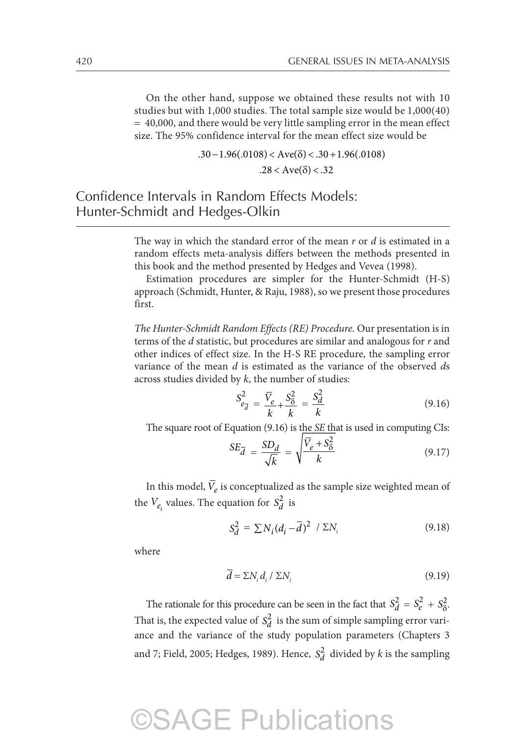On the other hand, suppose we obtained these results not with 10 studies but with 1,000 studies. The total sample size would be 1,000(40)  $= 40,000$ , and there would be very little sampling error in the mean effect size. The 95% confidence interval for the mean effect size would be

> $.30-1.96(.0108) <$  Ave( $\delta$ ) < .30 + 1.96(.0108)  $.28 < \text{Ave}(\delta) < .32$

#### Confidence Intervals in Random Effects Models: Hunter-Schmidt and Hedges-Olkin

The way in which the standard error of the mean *r* or *d* is estimated in a random effects meta-analysis differs between the methods presented in this book and the method presented by Hedges and Vevea (1998).

Estimation procedures are simpler for the Hunter-Schmidt (H-S) approach (Schmidt, Hunter, & Raju, 1988), so we present those procedures first.

*The Hunter-Schmidt Random Effects (RE) Procedure.* Our presentation is in terms of the *d* statistic, but procedures are similar and analogous for *r* and other indices of effect size. In the H-S RE procedure, the sampling error variance of the mean *d* is estimated as the variance of the observed *d*s across studies divided by *k*, the number of studies:

$$
S_{e_{\bar{d}}}^2 = \frac{\bar{V}_e}{k} + \frac{S_{\delta}^2}{k} = \frac{S_d^2}{k}
$$
 (9.16)

The square root of Equation (9.16) is the *SE* that is used in computing CIs:

$$
SE_{\overline{d}} = \frac{SD_d}{\sqrt{k}} = \sqrt{\frac{\overline{V}_e + S_\delta^2}{k}}
$$
(9.17)

In this model,  $\overline{V}_e$  is conceptualized as the sample size weighted mean of the  $V_{e_i}$  values. The equation for  $S_d^2$  is

$$
S_d^2 = \sum N_i (d_i - \overline{d})^2 / \Sigma N_i
$$
 (9.18)

where

$$
\overline{d} = \Sigma N_i d_i / \Sigma N_i \tag{9.19}
$$

The rationale for this procedure can be seen in the fact that  $S_d^2 = S_e^2 + S_8^2$ . That is, the expected value of  $S_d^2$  is the sum of simple sampling error variance and the variance of the study population parameters (Chapters 3 and 7; Field, 2005; Hedges, 1989). Hence,  $S_d^2$  divided by *k* is the sampling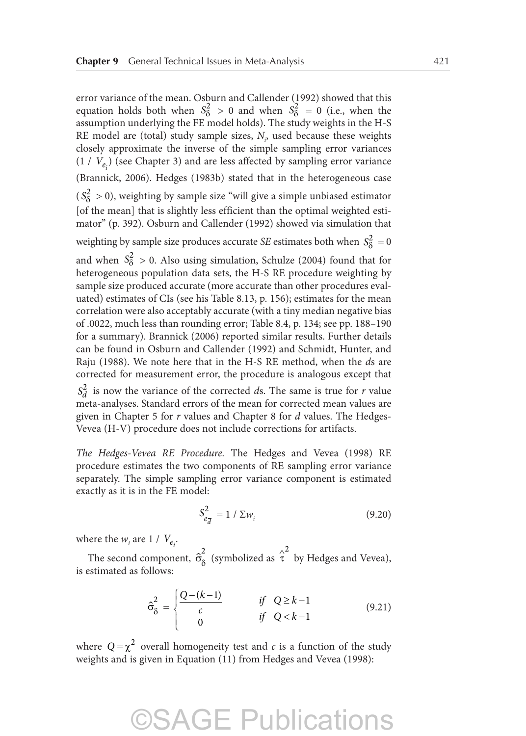error variance of the mean. Osburn and Callender (1992) showed that this equation holds both when  $S_8^2 > 0$  and when  $S_8^2 = 0$  (i.e., when the assumption underlying the FE model holds). The study weights in the H-S RE model are (total) study sample sizes,  $N_p$  used because these weights closely approximate the inverse of the simple sampling error variances  $(1 / V_{e_i})$  (see Chapter 3) and are less affected by sampling error variance (Brannick, 2006). Hedges (1983b) stated that in the heterogeneous case  $(S^2_\delta > 0)$ , weighting by sample size "will give a simple unbiased estimator [of the mean] that is slightly less efficient than the optimal weighted estimator" (p. 392). Osburn and Callender (1992) showed via simulation that weighting by sample size produces accurate *SE* estimates both when  $S^2_{\delta} = 0$ and when  $S_8^2 > 0$ . Also using simulation, Schulze (2004) found that for heterogeneous population data sets, the H-S RE procedure weighting by sample size produced accurate (more accurate than other procedures evaluated) estimates of CIs (see his Table 8.13, p. 156); estimates for the mean correlation were also acceptably accurate (with a tiny median negative bias of .0022, much less than rounding error; Table 8.4, p. 134; see pp. 188–190 for a summary). Brannick (2006) reported similar results. Further details can be found in Osburn and Callender (1992) and Schmidt, Hunter, and Raju (1988). We note here that in the H-S RE method, when the *d*s are corrected for measurement error, the procedure is analogous except that  $S_d^2$  is now the variance of the corrected *ds*. The same is true for *r* value meta-analyses. Standard errors of the mean for corrected mean values are given in Chapter 5 for *r* values and Chapter 8 for *d* values. The Hedges-

*The Hedges-Vevea RE Procedure.* The Hedges and Vevea (1998) RE procedure estimates the two components of RE sampling error variance separately. The simple sampling error variance component is estimated exactly as it is in the FE model:

Vevea (H-V) procedure does not include corrections for artifacts.

$$
S_{e_{\overline{d}}}^2 = 1 / \Sigma w_i \tag{9.20}
$$

where the  $w_i$  are 1 /  $V_{e_i}$ .

The second component,  $\hat{\sigma}_{\delta}^2$  (symbolized as  $\hat{\tau}^2$  by Hedges and Vevea), is estimated as follows:

$$
\hat{\sigma}_{\delta}^{2} = \begin{cases} \frac{Q - (k - 1)}{c} & \text{if } Q \ge k - 1\\ 0 & \text{if } Q < k - 1 \end{cases} \tag{9.21}
$$

where  $Q = \chi^2$  overall homogeneity test and *c* is a function of the study weights and is given in Equation (11) from Hedges and Vevea (1998):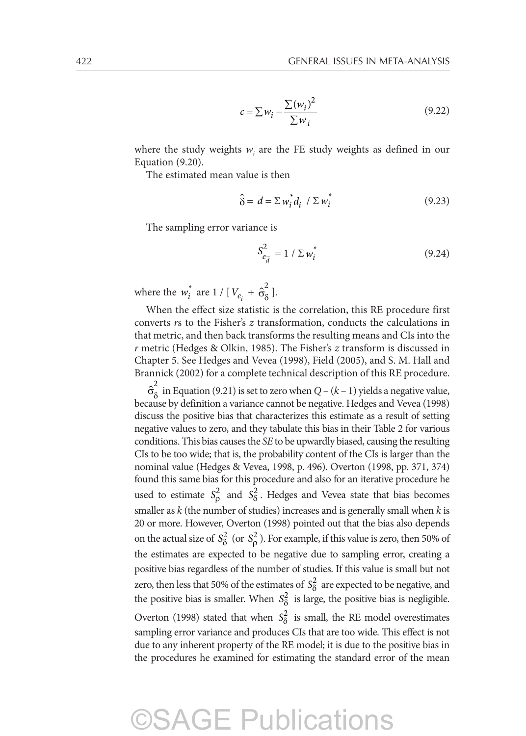$$
c = \sum w_i - \frac{\sum (w_i)^2}{\sum w_i}
$$
\n(9.22)

where the study weights  $w_i$  are the FE study weights as defined in our Equation (9.20).

The estimated mean value is then

$$
\hat{\delta} = \overline{d} = \Sigma w_i^* d_i / \Sigma w_i^* \tag{9.23}
$$

The sampling error variance is

$$
S_{e_{\bar{d}}}^2 = 1 / \Sigma w_i^* \tag{9.24}
$$

where the  $w_i^*$  are 1 / [ $V_{e_i} + \hat{\sigma}_\delta^2$  ].

When the effect size statistic is the correlation, this RE procedure first converts *r*s to the Fisher's *z* transformation, conducts the calculations in that metric, and then back transforms the resulting means and CIs into the *r* metric (Hedges & Olkin, 1985). The Fisher's *z* transform is discussed in Chapter 5. See Hedges and Vevea (1998), Field (2005), and S. M. Hall and Brannick (2002) for a complete technical description of this RE procedure.

 $\hat{\sigma}_{\delta}^2$  in Equation (9.21) is set to zero when *Q* – (*k* – 1) yields a negative value, because by definition a variance cannot be negative. Hedges and Vevea (1998) discuss the positive bias that characterizes this estimate as a result of setting negative values to zero, and they tabulate this bias in their Table 2 for various conditions. This bias causes the *SE* to be upwardly biased, causing the resulting CIs to be too wide; that is, the probability content of the CIs is larger than the nominal value (Hedges & Vevea, 1998, p. 496). Overton (1998, pp. 371, 374) found this same bias for this procedure and also for an iterative procedure he used to estimate  $S_p^2$  and  $S_\delta^2$ . Hedges and Vevea state that bias becomes smaller as *k* (the number of studies) increases and is generally small when *k* is 20 or more. However, Overton (1998) pointed out that the bias also depends on the actual size of  $S^2_\delta$  (or  $S^2_\rho$ ). For example, if this value is zero, then 50% of the estimates are expected to be negative due to sampling error, creating a positive bias regardless of the number of studies. If this value is small but not zero, then less that 50% of the estimates of  $S^2_\delta$  are expected to be negative, and the positive bias is smaller. When  $S^2_{\delta}$  is large, the positive bias is negligible. Overton (1998) stated that when  $S^2_{\delta}$  is small, the RE model overestimates sampling error variance and produces CIs that are too wide. This effect is not due to any inherent property of the RE model; it is due to the positive bias in the procedures he examined for estimating the standard error of the mean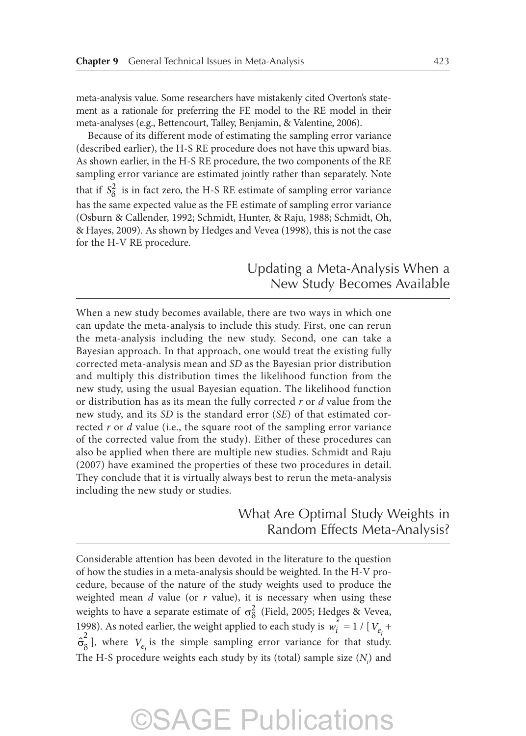meta-analysis value. Some researchers have mistakenly cited Overton's statement as a rationale for preferring the FE model to the RE model in their meta-analyses (e.g., Bettencourt, Talley, Benjamin, & Valentine, 2006).

Because of its different mode of estimating the sampling error variance (described earlier), the H-S RE procedure does not have this upward bias. As shown earlier, in the H-S RE procedure, the two components of the RE sampling error variance are estimated jointly rather than separately. Note that if  $S_8^2$  is in fact zero, the H-S RE estimate of sampling error variance has the same expected value as the FE estimate of sampling error variance (Osburn & Callender, 1992; Schmidt, Hunter, & Raju, 1988; Schmidt, Oh, & Hayes, 2009). As shown by Hedges and Vevea (1998), this is not the case for the H-V RE procedure.

#### Updating a Meta-Analysis When a New Study Becomes Available

When a new study becomes available, there are two ways in which one can update the meta-analysis to include this study. First, one can rerun the meta-analysis including the new study. Second, one can take a Bayesian approach. In that approach, one would treat the existing fully corrected meta-analysis mean and *SD* as the Bayesian prior distribution and multiply this distribution times the likelihood function from the new study, using the usual Bayesian equation. The likelihood function or distribution has as its mean the fully corrected *r* or *d* value from the new study, and its *SD* is the standard error (*SE*) of that estimated corrected *r* or *d* value (i.e., the square root of the sampling error variance of the corrected value from the study). Either of these procedures can also be applied when there are multiple new studies. Schmidt and Raju (2007) have examined the properties of these two procedures in detail. They conclude that it is virtually always best to rerun the meta-analysis including the new study or studies.

#### What Are Optimal Study Weights in Random Effects Meta-Analysis?

Considerable attention has been devoted in the literature to the question of how the studies in a meta-analysis should be weighted. In the H-V procedure, because of the nature of the study weights used to produce the weighted mean *d* value (or *r* value), it is necessary when using these weights to have a separate estimate of  $\sigma_{\delta}^2$  (Field, 2005; Hedges & Vevea, 1998). As noted earlier, the weight applied to each study is  $w_i^* = 1 / [V_{e_i} + 2]$  $\hat{\sigma}_{\delta}^2$ ], where  $V_{e_i}$  is the simple sampling error variance for that study. The H-S procedure weights each study by its (total) sample size  $(N_i)$  and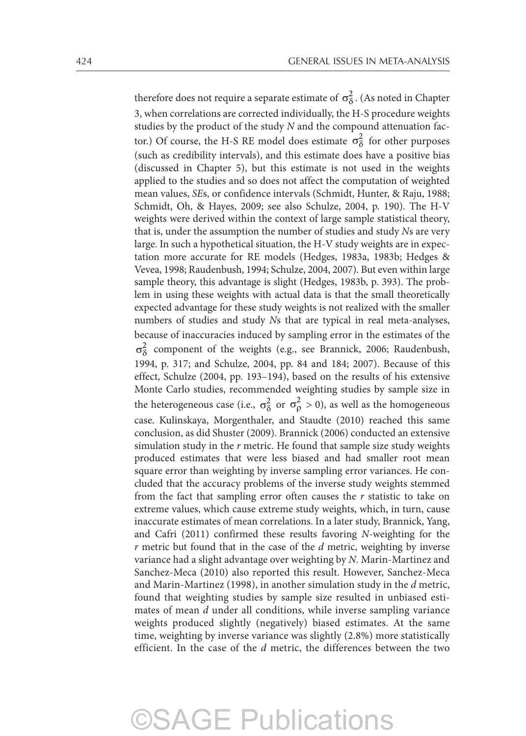therefore does not require a separate estimate of  $\sigma_{\delta}^2$  . (As noted in Chapter 3, when correlations are corrected individually, the H-S procedure weights studies by the product of the study *N* and the compound attenuation factor.) Of course, the H-S RE model does estimate  $\sigma_{\delta}^2$  for other purposes (such as credibility intervals), and this estimate does have a positive bias (discussed in Chapter 5), but this estimate is not used in the weights applied to the studies and so does not affect the computation of weighted mean values, *SE*s, or confidence intervals (Schmidt, Hunter, & Raju, 1988; Schmidt, Oh, & Hayes, 2009; see also Schulze, 2004, p. 190). The H-V weights were derived within the context of large sample statistical theory, that is, under the assumption the number of studies and study *N*s are very large. In such a hypothetical situation, the H-V study weights are in expectation more accurate for RE models (Hedges, 1983a, 1983b; Hedges & Vevea, 1998; Raudenbush, 1994; Schulze, 2004, 2007). But even within large sample theory, this advantage is slight (Hedges, 1983b, p. 393). The problem in using these weights with actual data is that the small theoretically expected advantage for these study weights is not realized with the smaller numbers of studies and study *N*s that are typical in real meta-analyses, because of inaccuracies induced by sampling error in the estimates of the  $\sigma_8^2$  component of the weights (e.g., see Brannick, 2006; Raudenbush, 1994, p. 317; and Schulze, 2004, pp. 84 and 184; 2007). Because of this effect, Schulze (2004, pp. 193–194), based on the results of his extensive Monte Carlo studies, recommended weighting studies by sample size in the heterogeneous case (i.e.,  $\sigma_{\delta}^2$  or  $\sigma_{\rho}^2 > 0$ ), as well as the homogeneous case. Kulinskaya, Morgenthaler, and Staudte (2010) reached this same conclusion, as did Shuster (2009). Brannick (2006) conducted an extensive simulation study in the *r* metric. He found that sample size study weights produced estimates that were less biased and had smaller root mean square error than weighting by inverse sampling error variances. He concluded that the accuracy problems of the inverse study weights stemmed from the fact that sampling error often causes the *r* statistic to take on extreme values, which cause extreme study weights, which, in turn, cause inaccurate estimates of mean correlations. In a later study, Brannick, Yang, and Cafri (2011) confirmed these results favoring *N*-weighting for the *r* metric but found that in the case of the *d* metric, weighting by inverse variance had a slight advantage over weighting by *N.* Marin-Martinez and Sanchez-Meca (2010) also reported this result. However, Sanchez-Meca and Marin-Martinez (1998), in another simulation study in the *d* metric, found that weighting studies by sample size resulted in unbiased estimates of mean *d* under all conditions, while inverse sampling variance weights produced slightly (negatively) biased estimates. At the same time, weighting by inverse variance was slightly (2.8%) more statistically efficient. In the case of the *d* metric, the differences between the two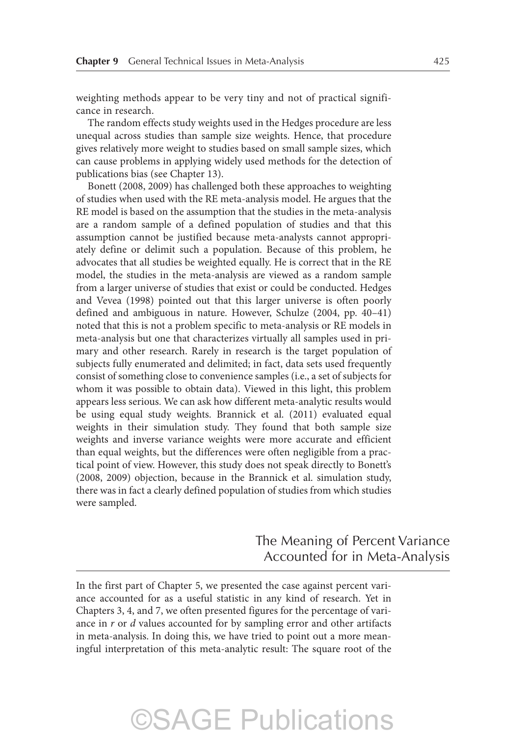weighting methods appear to be very tiny and not of practical significance in research.

The random effects study weights used in the Hedges procedure are less unequal across studies than sample size weights. Hence, that procedure gives relatively more weight to studies based on small sample sizes, which can cause problems in applying widely used methods for the detection of publications bias (see Chapter 13).

Bonett (2008, 2009) has challenged both these approaches to weighting of studies when used with the RE meta-analysis model. He argues that the RE model is based on the assumption that the studies in the meta-analysis are a random sample of a defined population of studies and that this assumption cannot be justified because meta-analysts cannot appropriately define or delimit such a population. Because of this problem, he advocates that all studies be weighted equally. He is correct that in the RE model, the studies in the meta-analysis are viewed as a random sample from a larger universe of studies that exist or could be conducted. Hedges and Vevea (1998) pointed out that this larger universe is often poorly defined and ambiguous in nature. However, Schulze (2004, pp. 40–41) noted that this is not a problem specific to meta-analysis or RE models in meta-analysis but one that characterizes virtually all samples used in primary and other research. Rarely in research is the target population of subjects fully enumerated and delimited; in fact, data sets used frequently consist of something close to convenience samples (i.e., a set of subjects for whom it was possible to obtain data). Viewed in this light, this problem appears less serious. We can ask how different meta-analytic results would be using equal study weights. Brannick et al. (2011) evaluated equal weights in their simulation study. They found that both sample size weights and inverse variance weights were more accurate and efficient than equal weights, but the differences were often negligible from a practical point of view. However, this study does not speak directly to Bonett's (2008, 2009) objection, because in the Brannick et al. simulation study, there was in fact a clearly defined population of studies from which studies were sampled.

#### The Meaning of Percent Variance Accounted for in Meta-Analysis

In the first part of Chapter 5, we presented the case against percent variance accounted for as a useful statistic in any kind of research. Yet in Chapters 3, 4, and 7, we often presented figures for the percentage of variance in *r* or *d* values accounted for by sampling error and other artifacts in meta-analysis. In doing this, we have tried to point out a more meaningful interpretation of this meta-analytic result: The square root of the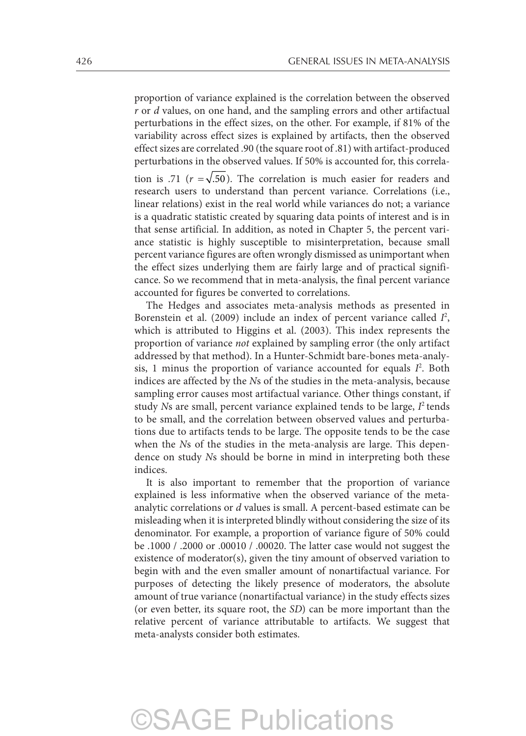proportion of variance explained is the correlation between the observed *r* or *d* values, on one hand, and the sampling errors and other artifactual perturbations in the effect sizes, on the other. For example, if 81% of the variability across effect sizes is explained by artifacts, then the observed effect sizes are correlated .90 (the square root of .81) with artifact-produced perturbations in the observed values. If 50% is accounted for, this correla-

tion is .71 ( $r = \sqrt{.50}$ ). The correlation is much easier for readers and research users to understand than percent variance. Correlations (i.e., linear relations) exist in the real world while variances do not; a variance is a quadratic statistic created by squaring data points of interest and is in that sense artificial. In addition, as noted in Chapter 5, the percent variance statistic is highly susceptible to misinterpretation, because small percent variance figures are often wrongly dismissed as unimportant when the effect sizes underlying them are fairly large and of practical significance. So we recommend that in meta-analysis, the final percent variance accounted for figures be converted to correlations.

The Hedges and associates meta-analysis methods as presented in Borenstein et al. (2009) include an index of percent variance called  $I^2$ , which is attributed to Higgins et al. (2003). This index represents the proportion of variance *not* explained by sampling error (the only artifact addressed by that method). In a Hunter-Schmidt bare-bones meta-analysis, 1 minus the proportion of variance accounted for equals  $I^2$ . Both indices are affected by the *N*s of the studies in the meta-analysis, because sampling error causes most artifactual variance. Other things constant, if study *N*s are small, percent variance explained tends to be large, *I* 2 tends to be small, and the correlation between observed values and perturbations due to artifacts tends to be large. The opposite tends to be the case when the *N*s of the studies in the meta-analysis are large. This dependence on study *N*s should be borne in mind in interpreting both these indices.

It is also important to remember that the proportion of variance explained is less informative when the observed variance of the metaanalytic correlations or *d* values is small. A percent-based estimate can be misleading when it is interpreted blindly without considering the size of its denominator. For example, a proportion of variance figure of 50% could be .1000 / .2000 or .00010 / .00020. The latter case would not suggest the existence of moderator(s), given the tiny amount of observed variation to begin with and the even smaller amount of nonartifactual variance. For purposes of detecting the likely presence of moderators, the absolute amount of true variance (nonartifactual variance) in the study effects sizes (or even better, its square root, the *SD*) can be more important than the relative percent of variance attributable to artifacts. We suggest that meta-analysts consider both estimates.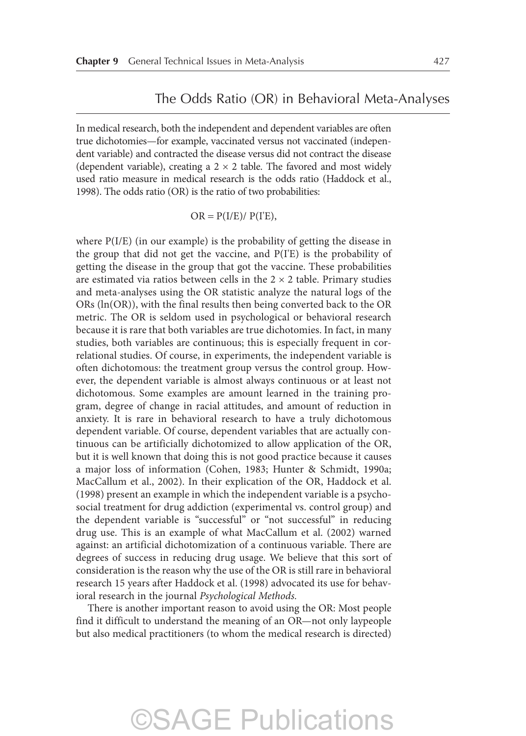#### The Odds Ratio (OR) in Behavioral Meta-Analyses

In medical research, both the independent and dependent variables are often true dichotomies—for example, vaccinated versus not vaccinated (independent variable) and contracted the disease versus did not contract the disease (dependent variable), creating a  $2 \times 2$  table. The favored and most widely used ratio measure in medical research is the odds ratio (Haddock et al., 1998). The odds ratio (OR) is the ratio of two probabilities:

$$
OR = P(I/E)/ P(I'E),
$$

where P(I/E) (in our example) is the probability of getting the disease in the group that did not get the vaccine, and P(I'E) is the probability of getting the disease in the group that got the vaccine. These probabilities are estimated via ratios between cells in the  $2 \times 2$  table. Primary studies and meta-analyses using the OR statistic analyze the natural logs of the ORs (ln(OR)), with the final results then being converted back to the OR metric. The OR is seldom used in psychological or behavioral research because it is rare that both variables are true dichotomies. In fact, in many studies, both variables are continuous; this is especially frequent in correlational studies. Of course, in experiments, the independent variable is often dichotomous: the treatment group versus the control group. However, the dependent variable is almost always continuous or at least not dichotomous. Some examples are amount learned in the training program, degree of change in racial attitudes, and amount of reduction in anxiety. It is rare in behavioral research to have a truly dichotomous dependent variable. Of course, dependent variables that are actually continuous can be artificially dichotomized to allow application of the OR, but it is well known that doing this is not good practice because it causes a major loss of information (Cohen, 1983; Hunter & Schmidt, 1990a; MacCallum et al., 2002). In their explication of the OR, Haddock et al. (1998) present an example in which the independent variable is a psychosocial treatment for drug addiction (experimental vs. control group) and the dependent variable is "successful" or "not successful" in reducing drug use. This is an example of what MacCallum et al. (2002) warned against: an artificial dichotomization of a continuous variable. There are degrees of success in reducing drug usage. We believe that this sort of consideration is the reason why the use of the OR is still rare in behavioral research 15 years after Haddock et al. (1998) advocated its use for behavioral research in the journal *Psychological Methods.*

There is another important reason to avoid using the OR: Most people find it difficult to understand the meaning of an OR—not only laypeople but also medical practitioners (to whom the medical research is directed)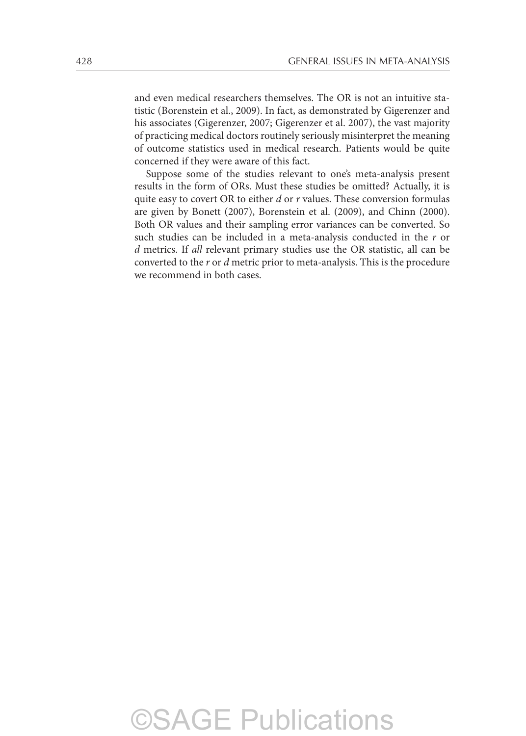and even medical researchers themselves. The OR is not an intuitive statistic (Borenstein et al., 2009). In fact, as demonstrated by Gigerenzer and his associates (Gigerenzer, 2007; Gigerenzer et al. 2007), the vast majority of practicing medical doctors routinely seriously misinterpret the meaning of outcome statistics used in medical research. Patients would be quite concerned if they were aware of this fact.

Suppose some of the studies relevant to one's meta-analysis present results in the form of ORs. Must these studies be omitted? Actually, it is quite easy to covert OR to either *d* or *r* values. These conversion formulas are given by Bonett (2007), Borenstein et al. (2009), and Chinn (2000). Both OR values and their sampling error variances can be converted. So such studies can be included in a meta-analysis conducted in the *r* or *d* metrics. If *all* relevant primary studies use the OR statistic, all can be converted to the *r* or *d* metric prior to meta-analysis. This is the procedure we recommend in both cases.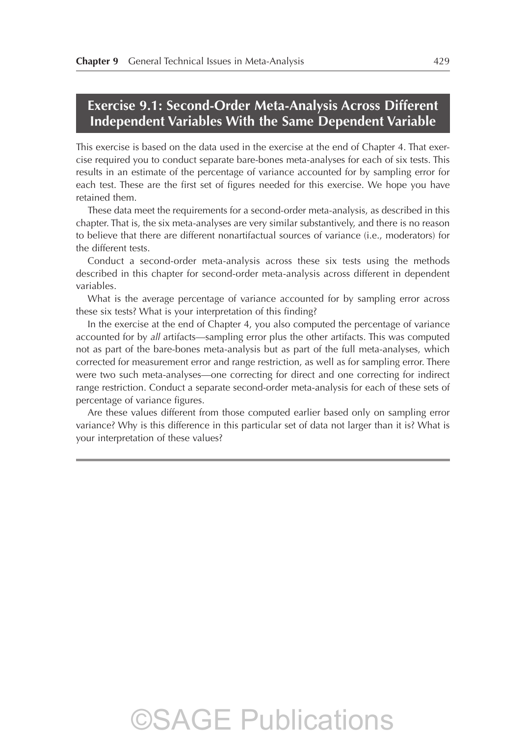#### **Exercise 9.1: Second-Order Meta-Analysis Across Different Independent Variables With the Same Dependent Variable**

This exercise is based on the data used in the exercise at the end of Chapter 4. That exercise required you to conduct separate bare-bones meta-analyses for each of six tests. This results in an estimate of the percentage of variance accounted for by sampling error for each test. These are the first set of figures needed for this exercise. We hope you have retained them.

These data meet the requirements for a second-order meta-analysis, as described in this chapter. That is, the six meta-analyses are very similar substantively, and there is no reason to believe that there are different nonartifactual sources of variance (i.e., moderators) for the different tests.

Conduct a second-order meta-analysis across these six tests using the methods described in this chapter for second-order meta-analysis across different in dependent variables.

What is the average percentage of variance accounted for by sampling error across these six tests? What is your interpretation of this finding?

In the exercise at the end of Chapter 4, you also computed the percentage of variance accounted for by *all* artifacts—sampling error plus the other artifacts. This was computed not as part of the bare-bones meta-analysis but as part of the full meta-analyses, which corrected for measurement error and range restriction, as well as for sampling error. There were two such meta-analyses—one correcting for direct and one correcting for indirect range restriction. Conduct a separate second-order meta-analysis for each of these sets of percentage of variance figures.

Are these values different from those computed earlier based only on sampling error variance? Why is this difference in this particular set of data not larger than it is? What is your interpretation of these values?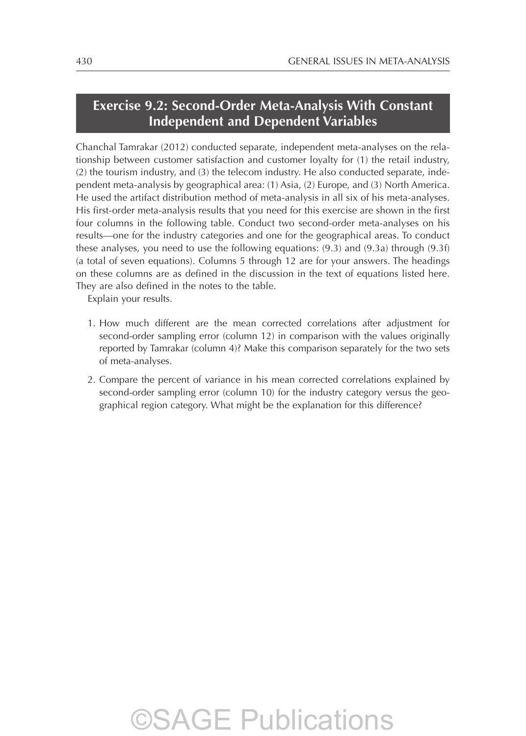#### **Exercise 9.2: Second-Order Meta-Analysis With Constant Independent and Dependent Variables**

Chanchal Tamrakar (2012) conducted separate, independent meta-analyses on the relationship between customer satisfaction and customer loyalty for (1) the retail industry, (2) the tourism industry, and (3) the telecom industry. He also conducted separate, independent meta-analysis by geographical area: (1) Asia, (2) Europe, and (3) North America. He used the artifact distribution method of meta-analysis in all six of his meta-analyses. His first-order meta-analysis results that you need for this exercise are shown in the first four columns in the following table. Conduct two second-order meta-analyses on his results—one for the industry categories and one for the geographical areas. To conduct these analyses, you need to use the following equations: (9.3) and (9.3a) through (9.3f) (a total of seven equations). Columns 5 through 12 are for your answers. The headings on these columns are as defined in the discussion in the text of equations listed here. They are also defined in the notes to the table.

Explain your results.

- 1. How much different are the mean corrected correlations after adjustment for second-order sampling error (column 12) in comparison with the values originally reported by Tamrakar (column 4)? Make this comparison separately for the two sets of meta-analyses.
- 2. Compare the percent of variance in his mean corrected correlations explained by second-order sampling error (column 10) for the industry category versus the geographical region category. What might be the explanation for this difference?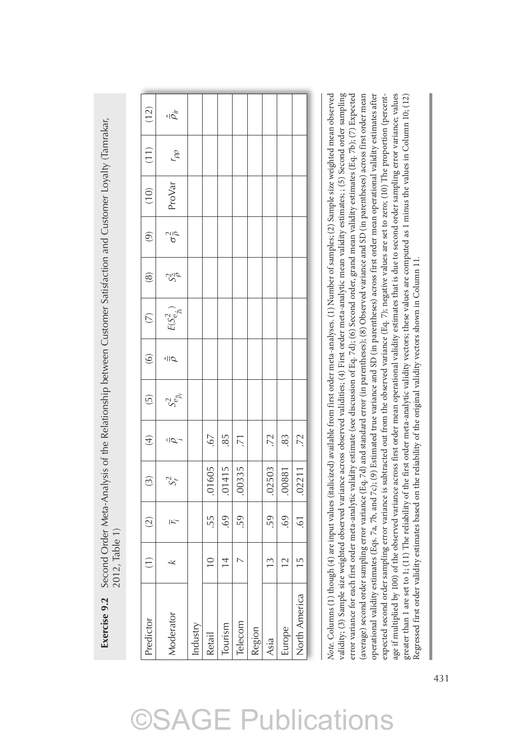**SAGE Publications** 

**Exercise 9.2** Second Order Meta-Analysis of the Relationship between Customer Satisfaction and Customer Loyalty (Tamrakar, Second Order Meta-Analysis of the Relationship between Customer Satisfaction and Customer Loyalty (Tamrakar, 2012, Table 1) 2012, Table 1) Exercise 9.2

| Predictor        |                | $\widehat{\supseteq}$ | $\qquad \qquad \textbf{(3)}$ | $\bigoplus$    | $\overline{5}$           | $\widehat{\odot}$ | $\widetilde{\zeta}$          | $\circledR$     | $\begin{pmatrix} 0 \\ 0 \end{pmatrix}$ | $\begin{array}{c c} \hline \text{10} & \text{1} \\ \hline \end{array}$ | (11)         | $(12)$                       |
|------------------|----------------|-----------------------|------------------------------|----------------|--------------------------|-------------------|------------------------------|-----------------|----------------------------------------|------------------------------------------------------------------------|--------------|------------------------------|
| <b>Aoderator</b> |                | $\overline{r}$        | $S_r^2$                      | $\hat{Q}$      | $S^2_{e_{\hat{\rho_i}}}$ | $\frac{1}{2}$     | $E(S^2_{e_{\hat{\beta_i}}})$ | $S_{\bar{p}}^2$ | $\sigma_{\overline{\rho}}^2$           | ProVar                                                                 | $\sigma_{J}$ | $\hat{\bar{\rho}}_{\dot{r}}$ |
| ndustry          |                |                       |                              |                |                          |                   |                              |                 |                                        |                                                                        |              |                              |
| Retail           | $\subseteq$    | .55                   | .01605                       | 59.            |                          |                   |                              |                 |                                        |                                                                        |              |                              |
| ourism           | ᅼ              | .69                   | $-1.1415$                    | .85            |                          |                   |                              |                 |                                        |                                                                        |              |                              |
| elecom           |                | .59                   | .00335                       | $\overline{7}$ |                          |                   |                              |                 |                                        |                                                                        |              |                              |
| Region           |                |                       |                              |                |                          |                   |                              |                 |                                        |                                                                        |              |                              |
| Asia             | 13             | .59                   | .02503                       | .72            |                          |                   |                              |                 |                                        |                                                                        |              |                              |
| urope            | $\overline{C}$ | 69.                   | .00881                       | .83            |                          |                   |                              |                 |                                        |                                                                        |              |                              |
| North America    | Ļ              | .61                   | .02211                       | .72            |                          |                   |                              |                 |                                        |                                                                        |              |                              |
|                  |                |                       |                              |                |                          |                   |                              |                 |                                        |                                                                        |              |                              |

*Note.* Columns (1) though (4) are input values (italicized) available from first order meta-analyses. (1) Number of samples; (2) Sample size weighted mean observed validity; (3) Sample size weighted observed variance across observed validities; (4) First order meta-analytic mean validity estimates; ; (5) Second order sampling error variance for each first order meta-analytic validity estimate (see discussion of Eq. 7d); (6) Second order, grand mean validity estimates (Eq. 7b); (7) Expected (average) second order sampling error variance (Eq. 7d) and standard error (in parentheses); (8) Observed variance and SD (in parentheses) across first order mean operational validity estimates (Eqs. 7a, 7b, and 7c); (9) Estimated true variance and SD (in parentheses) across first order mean operational validity estimates after age if multiplied by 100) of the observed variance across first order mean operational validity estimates that is due to second order sampling error variance; values greater than 1 are set to 1; (11) The reliability of the first order meta-analytic validity vectors; these values are computed as 1 minus the values in Column 10; (12) Note. Columns (1) though (4) are input values (italicized) available from first order meta-analyses. (1) Number of samples; (2) Sample size weighted mean observed validity; (3) Sample size weighted observed variance across observed validities; (4) First order meta-analytic mean validity estimates; ; (5) Second order sampling error variance for each first order meta-analytic validity estimate (see discussion of Eq. 7d); (6) Second order, grand mean validity estimates (Eq. 7b); (7) Expected (average) second order sampling error variance (Eq. 7d) and standard error (in parentheses); (8) Observed variance and SD (in parentheses) across first order mean operational validity estimates (Eqs. 7a, 7b, and 7c); (9) Estimated true variance and SD (in parentheses) across first order mean operational validity estimates after expected second order sampling error variance is subtracted out from the observed variance (Eq. 7); negative values are set to zero; (10) The proportion (percentage if multiplied by 100) of the observed variance across first order mean operational validity estimates that is due to second order sampling error variance; values greater than 1 are set to 1; (11) The reliability of the first order meta-analytic validity vectors; these values are computed as 1 minus the values in Column 10; (12) expected second order sampling error variance is subtracted out from the observed variance (Eq. 7); negative values are set to zero; (10) The proportion (percent-Regressed first order validity estimates based on the reliability of the original validity vectors shown in Column 11. Regressed first order validity estimates based on the reliability of the original validity vectors shown in Column 11.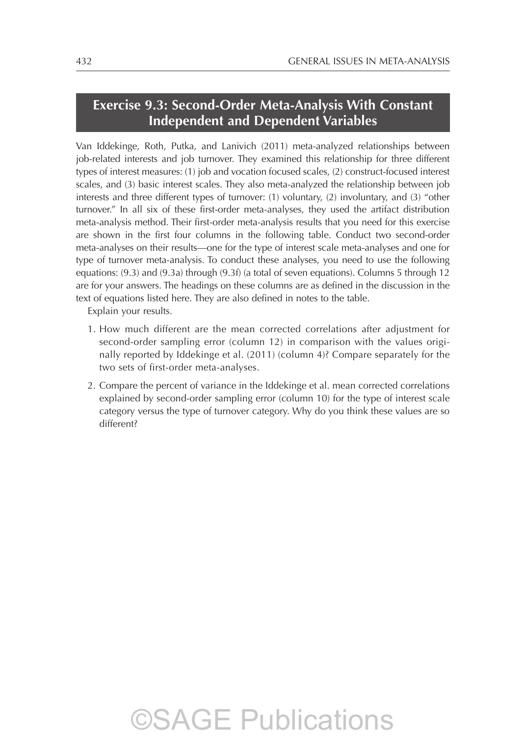#### **Exercise 9.3: Second-Order Meta-Analysis With Constant Independent and Dependent Variables**

Van Iddekinge, Roth, Putka, and Lanivich (2011) meta-analyzed relationships between job-related interests and job turnover. They examined this relationship for three different types of interest measures: (1) job and vocation focused scales, (2) construct-focused interest scales, and (3) basic interest scales. They also meta-analyzed the relationship between job interests and three different types of turnover: (1) voluntary, (2) involuntary, and (3) "other turnover." In all six of these first-order meta-analyses, they used the artifact distribution meta-analysis method. Their first-order meta-analysis results that you need for this exercise are shown in the first four columns in the following table. Conduct two second-order meta-analyses on their results—one for the type of interest scale meta-analyses and one for type of turnover meta-analysis. To conduct these analyses, you need to use the following equations: (9.3) and (9.3a) through (9.3f) (a total of seven equations). Columns 5 through 12 are for your answers. The headings on these columns are as defined in the discussion in the text of equations listed here. They are also defined in notes to the table.

Explain your results.

- 1. How much different are the mean corrected correlations after adjustment for second-order sampling error (column 12) in comparison with the values originally reported by Iddekinge et al. (2011) (column 4)? Compare separately for the two sets of first-order meta-analyses.
- 2. Compare the percent of variance in the Iddekinge et al. mean corrected correlations explained by second-order sampling error (column 10) for the type of interest scale category versus the type of turnover category. Why do you think these values are so different?